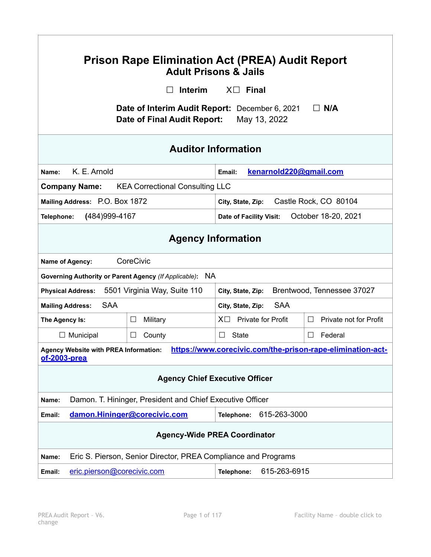| <b>Prison Rape Elimination Act (PREA) Audit Report</b><br><b>Adult Prisons &amp; Jails</b>                              |                                                                  |                                  |                                            |  |  |
|-------------------------------------------------------------------------------------------------------------------------|------------------------------------------------------------------|----------------------------------|--------------------------------------------|--|--|
|                                                                                                                         | Interim                                                          | $X \Box$ Final                   |                                            |  |  |
| Date of Interim Audit Report: December 6, 2021<br>$\Box$ N/A<br>Date of Final Audit Report:<br>May 13, 2022             |                                                                  |                                  |                                            |  |  |
| <b>Auditor Information</b>                                                                                              |                                                                  |                                  |                                            |  |  |
| K. E. Arnold<br>Name:                                                                                                   |                                                                  | kenarnold220@gmail.com<br>Email: |                                            |  |  |
| <b>KEA Correctional Consulting LLC</b><br><b>Company Name:</b>                                                          |                                                                  |                                  |                                            |  |  |
|                                                                                                                         | Mailing Address: P.O. Box 1872                                   |                                  | Castle Rock, CO 80104<br>City, State, Zip: |  |  |
| Telephone:                                                                                                              | (484) 999-4167<br>October 18-20, 2021<br>Date of Facility Visit: |                                  |                                            |  |  |
| <b>Agency Information</b>                                                                                               |                                                                  |                                  |                                            |  |  |
| Name of Agency:                                                                                                         | CoreCivic                                                        |                                  |                                            |  |  |
| Governing Authority or Parent Agency (If Applicable): NA                                                                |                                                                  |                                  |                                            |  |  |
| 5501 Virginia Way, Suite 110<br>Brentwood, Tennessee 37027<br><b>Physical Address:</b><br>City, State, Zip:             |                                                                  |                                  |                                            |  |  |
| <b>SAA</b><br><b>Mailing Address:</b>                                                                                   |                                                                  | <b>SAA</b><br>City, State, Zip:  |                                            |  |  |
| The Agency Is:                                                                                                          | Military<br>$\Box$                                               | $X \Box$ Private for Profit      | Private not for Profit<br>⊔                |  |  |
| $\Box$ Municipal                                                                                                        | $\Box$<br>County                                                 | State<br>$\perp$                 | Federal<br>$\Box$                          |  |  |
| Agency Website with PREA Information: <u>https://www.corecivic.com/the-prison-rape-elimination-act-</u><br>of-2003-prea |                                                                  |                                  |                                            |  |  |
| <b>Agency Chief Executive Officer</b>                                                                                   |                                                                  |                                  |                                            |  |  |
| Damon. T. Hininger, President and Chief Executive Officer<br>Name:                                                      |                                                                  |                                  |                                            |  |  |
| damon.Hininger@corecivic.com<br>615-263-3000<br>Telephone:<br>Email:                                                    |                                                                  |                                  |                                            |  |  |
| <b>Agency-Wide PREA Coordinator</b>                                                                                     |                                                                  |                                  |                                            |  |  |
| Eric S. Pierson, Senior Director, PREA Compliance and Programs<br>Name:                                                 |                                                                  |                                  |                                            |  |  |
| eric.pierson@corecivic.com<br>Email:                                                                                    |                                                                  | 615-263-6915<br>Telephone:       |                                            |  |  |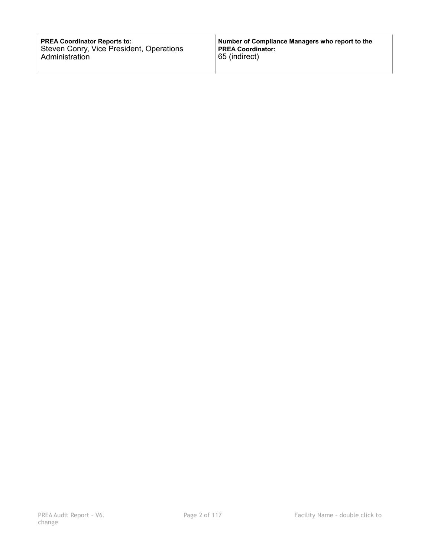| <b>PREA Coordinator Reports to:</b>      | Number of Compliance Managers who report to the |
|------------------------------------------|-------------------------------------------------|
| Steven Conry, Vice President, Operations | PREA Coordinator:                               |
| Administration                           | 65 (indirect)                                   |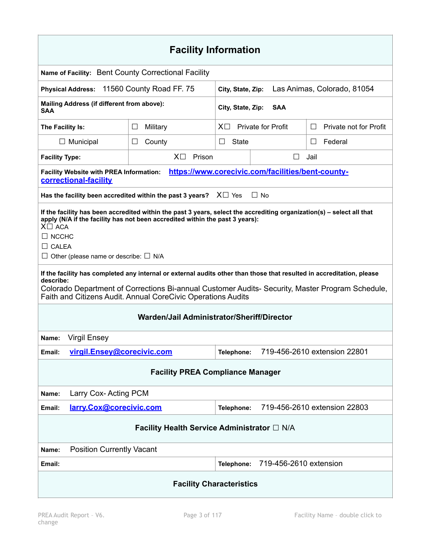| <b>Facility Information</b>                                                                                                                                                                                                                                                                                                                                                                                                                                                                                                                                                                                            |                                                                           |                                                  |                                                   |                        |
|------------------------------------------------------------------------------------------------------------------------------------------------------------------------------------------------------------------------------------------------------------------------------------------------------------------------------------------------------------------------------------------------------------------------------------------------------------------------------------------------------------------------------------------------------------------------------------------------------------------------|---------------------------------------------------------------------------|--------------------------------------------------|---------------------------------------------------|------------------------|
| Name of Facility: Bent County Correctional Facility                                                                                                                                                                                                                                                                                                                                                                                                                                                                                                                                                                    |                                                                           |                                                  |                                                   |                        |
| Physical Address: 11560 County Road FF. 75                                                                                                                                                                                                                                                                                                                                                                                                                                                                                                                                                                             |                                                                           | Las Animas, Colorado, 81054<br>City, State, Zip: |                                                   |                        |
| Mailing Address (if different from above):<br>City, State, Zip:<br><b>SAA</b><br>SAA                                                                                                                                                                                                                                                                                                                                                                                                                                                                                                                                   |                                                                           |                                                  |                                                   |                        |
| The Facility Is:                                                                                                                                                                                                                                                                                                                                                                                                                                                                                                                                                                                                       | $\Box$<br>Military                                                        | <b>Private for Profit</b><br>$X\Box$<br>$\perp$  |                                                   | Private not for Profit |
| $\Box$ Municipal                                                                                                                                                                                                                                                                                                                                                                                                                                                                                                                                                                                                       | County<br>⊔                                                               | State<br>Federal<br>⊔<br>⊔                       |                                                   |                        |
| <b>Facility Type:</b>                                                                                                                                                                                                                                                                                                                                                                                                                                                                                                                                                                                                  | $X\square$<br>Prison                                                      | $\perp$<br>Jail                                  |                                                   |                        |
| <b>Facility Website with PREA Information:</b><br>correctional-facility                                                                                                                                                                                                                                                                                                                                                                                                                                                                                                                                                |                                                                           |                                                  | https://www.corecivic.com/facilities/bent-county- |                        |
|                                                                                                                                                                                                                                                                                                                                                                                                                                                                                                                                                                                                                        | Has the facility been accredited within the past 3 years? $X \square$ Yes |                                                  | $\Box$ No                                         |                        |
| If the facility has been accredited within the past 3 years, select the accrediting organization(s) – select all that<br>apply (N/A if the facility has not been accredited within the past 3 years):<br>$X\square$ ACA<br>$\Box$ NCCHC<br>$\Box$ CALEA<br>$\Box$ Other (please name or describe: $\Box$ N/A<br>If the facility has completed any internal or external audits other than those that resulted in accreditation, please<br>describe:<br>Colorado Department of Corrections Bi-annual Customer Audits- Security, Master Program Schedule,<br>Faith and Citizens Audit. Annual CoreCivic Operations Audits |                                                                           |                                                  |                                                   |                        |
| Warden/Jail Administrator/Sheriff/Director                                                                                                                                                                                                                                                                                                                                                                                                                                                                                                                                                                             |                                                                           |                                                  |                                                   |                        |
| <b>Virgil Ensey</b><br>Name:                                                                                                                                                                                                                                                                                                                                                                                                                                                                                                                                                                                           |                                                                           |                                                  |                                                   |                        |
| Email:                                                                                                                                                                                                                                                                                                                                                                                                                                                                                                                                                                                                                 | virgil.Ensey@corecivic.com<br>719-456-2610 extension 22801<br>Telephone:  |                                                  |                                                   |                        |
| <b>Facility PREA Compliance Manager</b>                                                                                                                                                                                                                                                                                                                                                                                                                                                                                                                                                                                |                                                                           |                                                  |                                                   |                        |
| Larry Cox-Acting PCM<br>Name:                                                                                                                                                                                                                                                                                                                                                                                                                                                                                                                                                                                          |                                                                           |                                                  |                                                   |                        |
| Email:                                                                                                                                                                                                                                                                                                                                                                                                                                                                                                                                                                                                                 | larry.Cox@corecivic.com<br>719-456-2610 extension 22803<br>Telephone:     |                                                  |                                                   |                        |
| Facility Health Service Administrator □ N/A                                                                                                                                                                                                                                                                                                                                                                                                                                                                                                                                                                            |                                                                           |                                                  |                                                   |                        |
| <b>Position Currently Vacant</b><br>Name:                                                                                                                                                                                                                                                                                                                                                                                                                                                                                                                                                                              |                                                                           |                                                  |                                                   |                        |
| Email:                                                                                                                                                                                                                                                                                                                                                                                                                                                                                                                                                                                                                 |                                                                           | Telephone:                                       | 719-456-2610 extension                            |                        |
| <b>Facility Characteristics</b>                                                                                                                                                                                                                                                                                                                                                                                                                                                                                                                                                                                        |                                                                           |                                                  |                                                   |                        |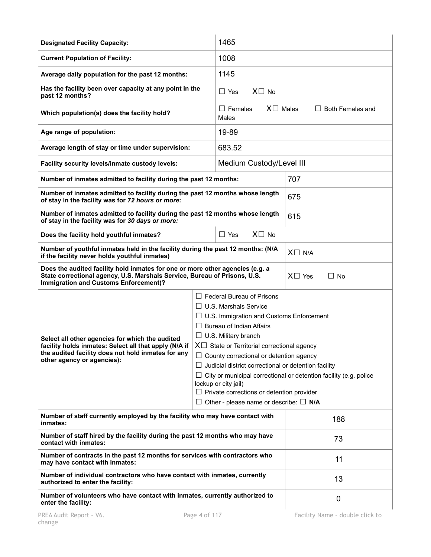| <b>Designated Facility Capacity:</b>                                                                                                                                                                       |                                                                                                                                                                                                                                                                                                                                                                                                                                                                                                                                                                          | 1465                                                                    |     |  |
|------------------------------------------------------------------------------------------------------------------------------------------------------------------------------------------------------------|--------------------------------------------------------------------------------------------------------------------------------------------------------------------------------------------------------------------------------------------------------------------------------------------------------------------------------------------------------------------------------------------------------------------------------------------------------------------------------------------------------------------------------------------------------------------------|-------------------------------------------------------------------------|-----|--|
| <b>Current Population of Facility:</b>                                                                                                                                                                     |                                                                                                                                                                                                                                                                                                                                                                                                                                                                                                                                                                          | 1008                                                                    |     |  |
| Average daily population for the past 12 months:                                                                                                                                                           |                                                                                                                                                                                                                                                                                                                                                                                                                                                                                                                                                                          | 1145                                                                    |     |  |
| Has the facility been over capacity at any point in the<br>past 12 months?                                                                                                                                 |                                                                                                                                                                                                                                                                                                                                                                                                                                                                                                                                                                          | $X\square$ No<br>$\Box$ Yes                                             |     |  |
| Which population(s) does the facility hold?                                                                                                                                                                |                                                                                                                                                                                                                                                                                                                                                                                                                                                                                                                                                                          | $X \square$ Males<br>$\Box$ Females<br>$\Box$ Both Females and<br>Males |     |  |
| Age range of population:                                                                                                                                                                                   |                                                                                                                                                                                                                                                                                                                                                                                                                                                                                                                                                                          | 19-89                                                                   |     |  |
| Average length of stay or time under supervision:                                                                                                                                                          |                                                                                                                                                                                                                                                                                                                                                                                                                                                                                                                                                                          | 683.52                                                                  |     |  |
| Facility security levels/inmate custody levels:                                                                                                                                                            |                                                                                                                                                                                                                                                                                                                                                                                                                                                                                                                                                                          | Medium Custody/Level III                                                |     |  |
| Number of inmates admitted to facility during the past 12 months:                                                                                                                                          |                                                                                                                                                                                                                                                                                                                                                                                                                                                                                                                                                                          | 707                                                                     |     |  |
| Number of inmates admitted to facility during the past 12 months whose length<br>of stay in the facility was for 72 hours or more:                                                                         |                                                                                                                                                                                                                                                                                                                                                                                                                                                                                                                                                                          |                                                                         | 675 |  |
| Number of inmates admitted to facility during the past 12 months whose length<br>of stay in the facility was for 30 days or more:                                                                          |                                                                                                                                                                                                                                                                                                                                                                                                                                                                                                                                                                          | 615                                                                     |     |  |
| Does the facility hold youthful inmates?                                                                                                                                                                   | $X \square$ No<br>$\Box$ Yes                                                                                                                                                                                                                                                                                                                                                                                                                                                                                                                                             |                                                                         |     |  |
| Number of youthful inmates held in the facility during the past 12 months: (N/A<br>if the facility never holds youthful inmates)                                                                           |                                                                                                                                                                                                                                                                                                                                                                                                                                                                                                                                                                          | $X \square$ N/A                                                         |     |  |
| Does the audited facility hold inmates for one or more other agencies (e.g. a<br>State correctional agency, U.S. Marshals Service, Bureau of Prisons, U.S.<br><b>Immigration and Customs Enforcement)?</b> |                                                                                                                                                                                                                                                                                                                                                                                                                                                                                                                                                                          | $X \square$ Yes<br>$\Box$ No                                            |     |  |
| Select all other agencies for which the audited<br>facility holds inmates: Select all that apply (N/A if<br>the audited facility does not hold inmates for any<br>other agency or agencies):               | $\Box$ Federal Bureau of Prisons<br>$\Box$ U.S. Marshals Service<br>$\Box$ U.S. Immigration and Customs Enforcement<br>$\Box$ Bureau of Indian Affairs<br>$\Box$ U.S. Military branch<br>$X\Box$ State or Territorial correctional agency<br>$\Box$ County correctional or detention agency<br>$\Box$ Judicial district correctional or detention facility<br>$\Box$ City or municipal correctional or detention facility (e.g. police<br>lockup or city jail)<br>$\Box$ Private corrections or detention provider<br>$\Box$ Other - please name or describe: $\Box$ N/A |                                                                         |     |  |
| Number of staff currently employed by the facility who may have contact with<br>inmates:                                                                                                                   |                                                                                                                                                                                                                                                                                                                                                                                                                                                                                                                                                                          | 188                                                                     |     |  |
| Number of staff hired by the facility during the past 12 months who may have<br>contact with inmates:                                                                                                      |                                                                                                                                                                                                                                                                                                                                                                                                                                                                                                                                                                          | 73                                                                      |     |  |
| Number of contracts in the past 12 months for services with contractors who<br>may have contact with inmates:                                                                                              |                                                                                                                                                                                                                                                                                                                                                                                                                                                                                                                                                                          | 11                                                                      |     |  |
| Number of individual contractors who have contact with inmates, currently<br>authorized to enter the facility:                                                                                             |                                                                                                                                                                                                                                                                                                                                                                                                                                                                                                                                                                          | 13                                                                      |     |  |
| Number of volunteers who have contact with inmates, currently authorized to<br>enter the facility:                                                                                                         |                                                                                                                                                                                                                                                                                                                                                                                                                                                                                                                                                                          | 0                                                                       |     |  |
| PREA Audit Report - V6.<br>Page 4 of 117                                                                                                                                                                   |                                                                                                                                                                                                                                                                                                                                                                                                                                                                                                                                                                          | Facility Name - double click to                                         |     |  |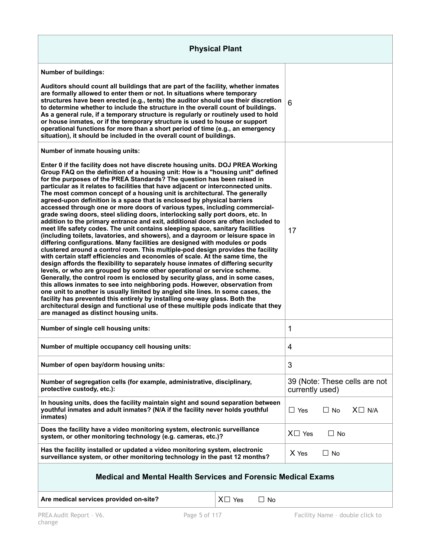| <b>Physical Plant</b>                                                                                                                                                                                                                                                                                                                                                                                                                                                                                                                                                                                                                                                                                                                                                                                                                                                                                                                                                                                                                                                                                                                                                                                                                                                                                                                                                                                                                                                                                                                                                                                                                                                                                                                                                                                                                                                                                           |                              |                                                  |           |                                 |
|-----------------------------------------------------------------------------------------------------------------------------------------------------------------------------------------------------------------------------------------------------------------------------------------------------------------------------------------------------------------------------------------------------------------------------------------------------------------------------------------------------------------------------------------------------------------------------------------------------------------------------------------------------------------------------------------------------------------------------------------------------------------------------------------------------------------------------------------------------------------------------------------------------------------------------------------------------------------------------------------------------------------------------------------------------------------------------------------------------------------------------------------------------------------------------------------------------------------------------------------------------------------------------------------------------------------------------------------------------------------------------------------------------------------------------------------------------------------------------------------------------------------------------------------------------------------------------------------------------------------------------------------------------------------------------------------------------------------------------------------------------------------------------------------------------------------------------------------------------------------------------------------------------------------|------------------------------|--------------------------------------------------|-----------|---------------------------------|
| <b>Number of buildings:</b><br>Auditors should count all buildings that are part of the facility, whether inmates<br>are formally allowed to enter them or not. In situations where temporary<br>structures have been erected (e.g., tents) the auditor should use their discretion<br>to determine whether to include the structure in the overall count of buildings.<br>As a general rule, if a temporary structure is regularly or routinely used to hold<br>or house inmates, or if the temporary structure is used to house or support<br>operational functions for more than a short period of time (e.g., an emergency                                                                                                                                                                                                                                                                                                                                                                                                                                                                                                                                                                                                                                                                                                                                                                                                                                                                                                                                                                                                                                                                                                                                                                                                                                                                                  |                              | 6                                                |           |                                 |
| situation), it should be included in the overall count of buildings.<br>Number of inmate housing units:<br>Enter 0 if the facility does not have discrete housing units. DOJ PREA Working<br>Group FAQ on the definition of a housing unit: How is a "housing unit" defined<br>for the purposes of the PREA Standards? The question has been raised in<br>particular as it relates to facilities that have adjacent or interconnected units.<br>The most common concept of a housing unit is architectural. The generally<br>agreed-upon definition is a space that is enclosed by physical barriers<br>accessed through one or more doors of various types, including commercial-<br>grade swing doors, steel sliding doors, interlocking sally port doors, etc. In<br>addition to the primary entrance and exit, additional doors are often included to<br>meet life safety codes. The unit contains sleeping space, sanitary facilities<br>(including toilets, lavatories, and showers), and a dayroom or leisure space in<br>differing configurations. Many facilities are designed with modules or pods<br>clustered around a control room. This multiple-pod design provides the facility<br>with certain staff efficiencies and economies of scale. At the same time, the<br>design affords the flexibility to separately house inmates of differing security<br>levels, or who are grouped by some other operational or service scheme.<br>Generally, the control room is enclosed by security glass, and in some cases,<br>this allows inmates to see into neighboring pods. However, observation from<br>one unit to another is usually limited by angled site lines. In some cases, the<br>facility has prevented this entirely by installing one-way glass. Both the<br>architectural design and functional use of these multiple pods indicate that they<br>are managed as distinct housing units. |                              | 17                                               |           |                                 |
| Number of single cell housing units:                                                                                                                                                                                                                                                                                                                                                                                                                                                                                                                                                                                                                                                                                                                                                                                                                                                                                                                                                                                                                                                                                                                                                                                                                                                                                                                                                                                                                                                                                                                                                                                                                                                                                                                                                                                                                                                                            |                              | 1                                                |           |                                 |
| Number of multiple occupancy cell housing units:                                                                                                                                                                                                                                                                                                                                                                                                                                                                                                                                                                                                                                                                                                                                                                                                                                                                                                                                                                                                                                                                                                                                                                                                                                                                                                                                                                                                                                                                                                                                                                                                                                                                                                                                                                                                                                                                |                              | 4                                                |           |                                 |
| Number of open bay/dorm housing units:                                                                                                                                                                                                                                                                                                                                                                                                                                                                                                                                                                                                                                                                                                                                                                                                                                                                                                                                                                                                                                                                                                                                                                                                                                                                                                                                                                                                                                                                                                                                                                                                                                                                                                                                                                                                                                                                          |                              | 3                                                |           |                                 |
| Number of segregation cells (for example, administrative, disciplinary,<br>protective custody, etc.):                                                                                                                                                                                                                                                                                                                                                                                                                                                                                                                                                                                                                                                                                                                                                                                                                                                                                                                                                                                                                                                                                                                                                                                                                                                                                                                                                                                                                                                                                                                                                                                                                                                                                                                                                                                                           |                              | 39 (Note: These cells are not<br>currently used) |           |                                 |
| In housing units, does the facility maintain sight and sound separation between<br>youthful inmates and adult inmates? (N/A if the facility never holds youthful<br>inmates)                                                                                                                                                                                                                                                                                                                                                                                                                                                                                                                                                                                                                                                                                                                                                                                                                                                                                                                                                                                                                                                                                                                                                                                                                                                                                                                                                                                                                                                                                                                                                                                                                                                                                                                                    |                              | $\Box$ Yes                                       | $\Box$ No | $X \square$ N/A                 |
| Does the facility have a video monitoring system, electronic surveillance<br>system, or other monitoring technology (e.g. cameras, etc.)?                                                                                                                                                                                                                                                                                                                                                                                                                                                                                                                                                                                                                                                                                                                                                                                                                                                                                                                                                                                                                                                                                                                                                                                                                                                                                                                                                                                                                                                                                                                                                                                                                                                                                                                                                                       |                              | $X\square$ Yes                                   | $\Box$ No |                                 |
| Has the facility installed or updated a video monitoring system, electronic<br>surveillance system, or other monitoring technology in the past 12 months?                                                                                                                                                                                                                                                                                                                                                                                                                                                                                                                                                                                                                                                                                                                                                                                                                                                                                                                                                                                                                                                                                                                                                                                                                                                                                                                                                                                                                                                                                                                                                                                                                                                                                                                                                       |                              | X Yes                                            | $\Box$ No |                                 |
| <b>Medical and Mental Health Services and Forensic Medical Exams</b>                                                                                                                                                                                                                                                                                                                                                                                                                                                                                                                                                                                                                                                                                                                                                                                                                                                                                                                                                                                                                                                                                                                                                                                                                                                                                                                                                                                                                                                                                                                                                                                                                                                                                                                                                                                                                                            |                              |                                                  |           |                                 |
| Are medical services provided on-site?                                                                                                                                                                                                                                                                                                                                                                                                                                                                                                                                                                                                                                                                                                                                                                                                                                                                                                                                                                                                                                                                                                                                                                                                                                                                                                                                                                                                                                                                                                                                                                                                                                                                                                                                                                                                                                                                          | $X \square$ Yes<br>$\Box$ No |                                                  |           |                                 |
| PREA Audit Report - V6.<br>Page 5 of 117                                                                                                                                                                                                                                                                                                                                                                                                                                                                                                                                                                                                                                                                                                                                                                                                                                                                                                                                                                                                                                                                                                                                                                                                                                                                                                                                                                                                                                                                                                                                                                                                                                                                                                                                                                                                                                                                        |                              |                                                  |           | Facility Name - double click to |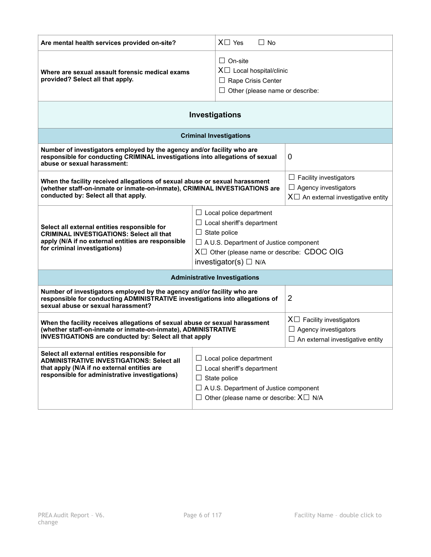| Are mental health services provided on-site?                                                                                                                                                                                                                                                                                                                                                                            | $X \square$ Yes<br>$\Box$ No                                                                                                                                                                       |                                                                                                           |
|-------------------------------------------------------------------------------------------------------------------------------------------------------------------------------------------------------------------------------------------------------------------------------------------------------------------------------------------------------------------------------------------------------------------------|----------------------------------------------------------------------------------------------------------------------------------------------------------------------------------------------------|-----------------------------------------------------------------------------------------------------------|
| $\Box$ On-site<br>$X \Box$ Local hospital/clinic<br>Where are sexual assault forensic medical exams<br>provided? Select all that apply.<br>$\Box$ Rape Crisis Center<br>$\Box$ Other (please name or describe:                                                                                                                                                                                                          |                                                                                                                                                                                                    |                                                                                                           |
| Investigations                                                                                                                                                                                                                                                                                                                                                                                                          |                                                                                                                                                                                                    |                                                                                                           |
| <b>Criminal Investigations</b>                                                                                                                                                                                                                                                                                                                                                                                          |                                                                                                                                                                                                    |                                                                                                           |
| Number of investigators employed by the agency and/or facility who are<br>responsible for conducting CRIMINAL investigations into allegations of sexual<br>abuse or sexual harassment:                                                                                                                                                                                                                                  |                                                                                                                                                                                                    | 0                                                                                                         |
| When the facility received allegations of sexual abuse or sexual harassment<br>(whether staff-on-inmate or inmate-on-inmate), CRIMINAL INVESTIGATIONS are<br>conducted by: Select all that apply.                                                                                                                                                                                                                       |                                                                                                                                                                                                    | $\Box$ Facility investigators<br>$\Box$ Agency investigators<br>$X\Box$ An external investigative entity  |
| $\Box$ Local police department<br>$\Box$ Local sheriff's department<br>Select all external entities responsible for<br>$\Box$ State police<br><b>CRIMINAL INVESTIGATIONS: Select all that</b><br>apply (N/A if no external entities are responsible<br>$\Box$ A U.S. Department of Justice component<br>for criminal investigations)<br>$X \Box$ Other (please name or describe: CDOC OIG<br>investigator(s) $\Box$ N/A |                                                                                                                                                                                                    |                                                                                                           |
| <b>Administrative Investigations</b>                                                                                                                                                                                                                                                                                                                                                                                    |                                                                                                                                                                                                    |                                                                                                           |
| Number of investigators employed by the agency and/or facility who are<br>$\overline{2}$<br>responsible for conducting ADMINISTRATIVE investigations into allegations of<br>sexual abuse or sexual harassment?                                                                                                                                                                                                          |                                                                                                                                                                                                    |                                                                                                           |
| When the facility receives allegations of sexual abuse or sexual harassment<br>(whether staff-on-inmate or inmate-on-inmate), ADMINISTRATIVE<br><b>INVESTIGATIONS are conducted by: Select all that apply</b>                                                                                                                                                                                                           |                                                                                                                                                                                                    | $X \Box$ Facility investigators<br>$\Box$ Agency investigators<br>$\Box$ An external investigative entity |
| Select all external entities responsible for<br><b>ADMINISTRATIVE INVESTIGATIONS: Select all</b><br>that apply (N/A if no external entities are<br>responsible for administrative investigations)                                                                                                                                                                                                                       | $\Box$ Local police department<br>$\Box$ Local sheriff's department<br>$\Box$ State police<br>$\Box$ A U.S. Department of Justice component<br>$\Box$ Other (please name or describe: $X \Box N/A$ |                                                                                                           |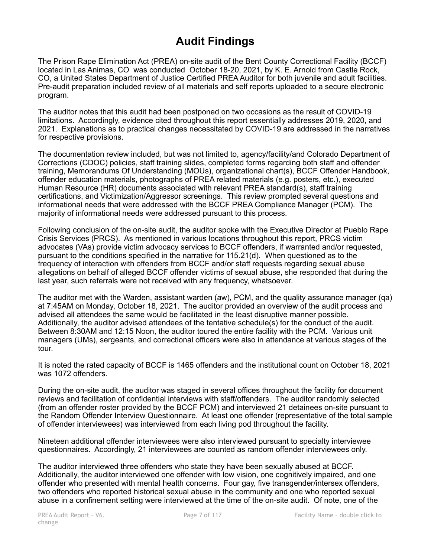# **Audit Findings**

The Prison Rape Elimination Act (PREA) on-site audit of the Bent County Correctional Facility (BCCF) located in Las Animas, CO was conducted October 18-20, 2021, by K. E. Arnold from Castle Rock, CO, a United States Department of Justice Certified PREA Auditor for both juvenile and adult facilities. Pre-audit preparation included review of all materials and self reports uploaded to a secure electronic program.

The auditor notes that this audit had been postponed on two occasions as the result of COVID-19 limitations. Accordingly, evidence cited throughout this report essentially addresses 2019, 2020, and 2021. Explanations as to practical changes necessitated by COVID-19 are addressed in the narratives for respective provisions.

The documentation review included, but was not limited to, agency/facility/and Colorado Department of Corrections (CDOC) policies, staff training slides, completed forms regarding both staff and offender training, Memorandums Of Understanding (MOUs), organizational chart(s), BCCF Offender Handbook, offender education materials, photographs of PREA related materials (e.g. posters, etc.), executed Human Resource (HR) documents associated with relevant PREA standard(s), staff training certifications, and Victimization/Aggressor screenings. This review prompted several questions and informational needs that were addressed with the BCCF PREA Compliance Manager (PCM). The majority of informational needs were addressed pursuant to this process.

Following conclusion of the on-site audit, the auditor spoke with the Executive Director at Pueblo Rape Crisis Services (PRCS). As mentioned in various locations throughout this report, PRCS victim advocates (VAs) provide victim advocacy services to BCCF offenders, if warranted and/or requested, pursuant to the conditions specified in the narrative for 115.21(d). When questioned as to the frequency of interaction with offenders from BCCF and/or staff requests regarding sexual abuse allegations on behalf of alleged BCCF offender victims of sexual abuse, she responded that during the last year, such referrals were not received with any frequency, whatsoever.

The auditor met with the Warden, assistant warden (aw), PCM, and the quality assurance manager (qa) at 7:45AM on Monday, October 18, 2021. The auditor provided an overview of the audit process and advised all attendees the same would be facilitated in the least disruptive manner possible. Additionally, the auditor advised attendees of the tentative schedule(s) for the conduct of the audit. Between 8:30AM and 12:15 Noon, the auditor toured the entire facility with the PCM. Various unit managers (UMs), sergeants, and correctional officers were also in attendance at various stages of the tour.

It is noted the rated capacity of BCCF is 1465 offenders and the institutional count on October 18, 2021 was 1072 offenders.

During the on-site audit, the auditor was staged in several offices throughout the facility for document reviews and facilitation of confidential interviews with staff/offenders. The auditor randomly selected (from an offender roster provided by the BCCF PCM) and interviewed 21 detainees on-site pursuant to the Random Offender Interview Questionnaire. At least one offender (representative of the total sample of offender interviewees) was interviewed from each living pod throughout the facility.

Nineteen additional offender interviewees were also interviewed pursuant to specialty interviewee questionnaires. Accordingly, 21 interviewees are counted as random offender interviewees only.

The auditor interviewed three offenders who state they have been sexually abused at BCCF. Additionally, the auditor interviewed one offender with low vision, one cognitively impaired, and one offender who presented with mental health concerns. Four gay, five transgender/intersex offenders, two offenders who reported historical sexual abuse in the community and one who reported sexual abuse in a confinement setting were interviewed at the time of the on-site audit. Of note, one of the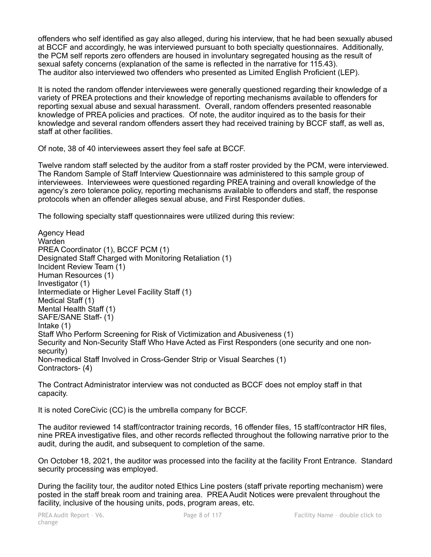offenders who self identified as gay also alleged, during his interview, that he had been sexually abused at BCCF and accordingly, he was interviewed pursuant to both specialty questionnaires. Additionally, the PCM self reports zero offenders are housed in involuntary segregated housing as the result of sexual safety concerns (explanation of the same is reflected in the narrative for 115.43). The auditor also interviewed two offenders who presented as Limited English Proficient (LEP).

It is noted the random offender interviewees were generally questioned regarding their knowledge of a variety of PREA protections and their knowledge of reporting mechanisms available to offenders for reporting sexual abuse and sexual harassment. Overall, random offenders presented reasonable knowledge of PREA policies and practices. Of note, the auditor inquired as to the basis for their knowledge and several random offenders assert they had received training by BCCF staff, as well as, staff at other facilities.

Of note, 38 of 40 interviewees assert they feel safe at BCCF.

Twelve random staff selected by the auditor from a staff roster provided by the PCM, were interviewed. The Random Sample of Staff Interview Questionnaire was administered to this sample group of interviewees. Interviewees were questioned regarding PREA training and overall knowledge of the agency's zero tolerance policy, reporting mechanisms available to offenders and staff, the response protocols when an offender alleges sexual abuse, and First Responder duties.

The following specialty staff questionnaires were utilized during this review:

Agency Head Warden PREA Coordinator (1), BCCF PCM (1) Designated Staff Charged with Monitoring Retaliation (1) Incident Review Team (1) Human Resources (1) Investigator (1) Intermediate or Higher Level Facility Staff (1) Medical Staff (1) Mental Health Staff (1) SAFE/SANE Staff- (1) Intake (1) Staff Who Perform Screening for Risk of Victimization and Abusiveness (1) Security and Non-Security Staff Who Have Acted as First Responders (one security and one nonsecurity) Non-medical Staff Involved in Cross-Gender Strip or Visual Searches (1) Contractors- (4)

The Contract Administrator interview was not conducted as BCCF does not employ staff in that capacity.

It is noted CoreCivic (CC) is the umbrella company for BCCF.

The auditor reviewed 14 staff/contractor training records, 16 offender files, 15 staff/contractor HR files, nine PREA investigative files, and other records reflected throughout the following narrative prior to the audit, during the audit, and subsequent to completion of the same.

On October 18, 2021, the auditor was processed into the facility at the facility Front Entrance. Standard security processing was employed.

During the facility tour, the auditor noted Ethics Line posters (staff private reporting mechanism) were posted in the staff break room and training area. PREA Audit Notices were prevalent throughout the facility, inclusive of the housing units, pods, program areas, etc.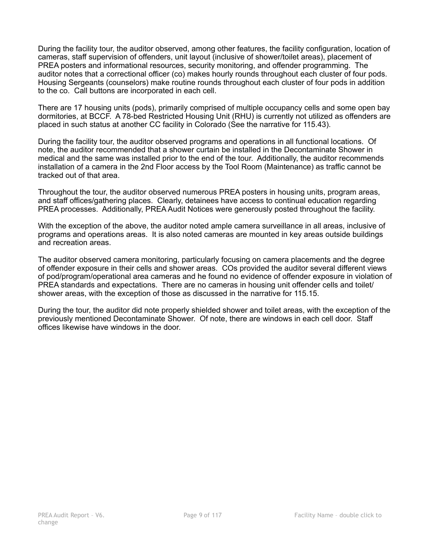During the facility tour, the auditor observed, among other features, the facility configuration, location of cameras, staff supervision of offenders, unit layout (inclusive of shower/toilet areas), placement of PREA posters and informational resources, security monitoring, and offender programming. The auditor notes that a correctional officer (co) makes hourly rounds throughout each cluster of four pods. Housing Sergeants (counselors) make routine rounds throughout each cluster of four pods in addition to the co. Call buttons are incorporated in each cell.

There are 17 housing units (pods), primarily comprised of multiple occupancy cells and some open bay dormitories, at BCCF. A 78-bed Restricted Housing Unit (RHU) is currently not utilized as offenders are placed in such status at another CC facility in Colorado (See the narrative for 115.43).

During the facility tour, the auditor observed programs and operations in all functional locations. Of note, the auditor recommended that a shower curtain be installed in the Decontaminate Shower in medical and the same was installed prior to the end of the tour. Additionally, the auditor recommends installation of a camera in the 2nd Floor access by the Tool Room (Maintenance) as traffic cannot be tracked out of that area.

Throughout the tour, the auditor observed numerous PREA posters in housing units, program areas, and staff offices/gathering places. Clearly, detainees have access to continual education regarding PREA processes. Additionally, PREA Audit Notices were generously posted throughout the facility.

With the exception of the above, the auditor noted ample camera surveillance in all areas, inclusive of programs and operations areas. It is also noted cameras are mounted in key areas outside buildings and recreation areas.

The auditor observed camera monitoring, particularly focusing on camera placements and the degree of offender exposure in their cells and shower areas. COs provided the auditor several different views of pod/program/operational area cameras and he found no evidence of offender exposure in violation of PREA standards and expectations. There are no cameras in housing unit offender cells and toilet/ shower areas, with the exception of those as discussed in the narrative for 115.15.

During the tour, the auditor did note properly shielded shower and toilet areas, with the exception of the previously mentioned Decontaminate Shower. Of note, there are windows in each cell door. Staff offices likewise have windows in the door.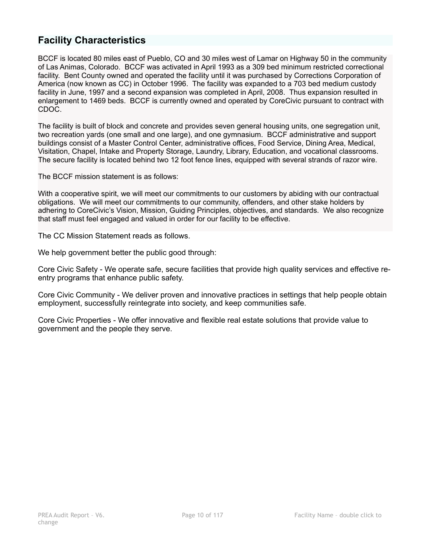# **Facility Characteristics**

BCCF is located 80 miles east of Pueblo, CO and 30 miles west of Lamar on Highway 50 in the community of Las Animas, Colorado. BCCF was activated in April 1993 as a 309 bed minimum restricted correctional facility. Bent County owned and operated the facility until it was purchased by Corrections Corporation of America (now known as CC) in October 1996. The facility was expanded to a 703 bed medium custody facility in June, 1997 and a second expansion was completed in April, 2008. Thus expansion resulted in enlargement to 1469 beds. BCCF is currently owned and operated by CoreCivic pursuant to contract with CDOC.

The facility is built of block and concrete and provides seven general housing units, one segregation unit, two recreation yards (one small and one large), and one gymnasium. BCCF administrative and support buildings consist of a Master Control Center, administrative offices, Food Service, Dining Area, Medical, Visitation, Chapel, Intake and Property Storage, Laundry, Library, Education, and vocational classrooms. The secure facility is located behind two 12 foot fence lines, equipped with several strands of razor wire.

The BCCF mission statement is as follows:

With a cooperative spirit, we will meet our commitments to our customers by abiding with our contractual obligations. We will meet our commitments to our community, offenders, and other stake holders by adhering to CoreCivic's Vision, Mission, Guiding Principles, objectives, and standards. We also recognize that staff must feel engaged and valued in order for our facility to be effective.

The CC Mission Statement reads as follows.

We help government better the public good through:

Core Civic Safety - We operate safe, secure facilities that provide high quality services and effective reentry programs that enhance public safety.

Core Civic Community - We deliver proven and innovative practices in settings that help people obtain employment, successfully reintegrate into society, and keep communities safe.

Core Civic Properties - We offer innovative and flexible real estate solutions that provide value to government and the people they serve.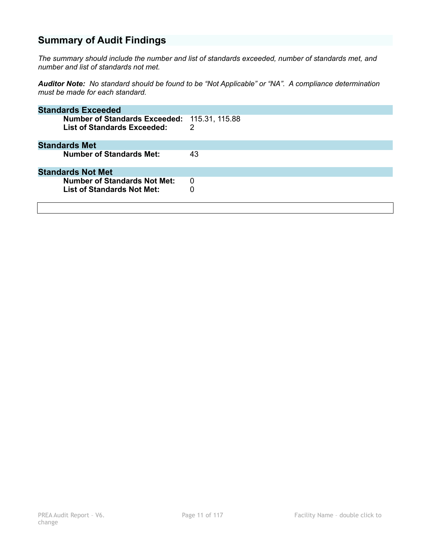# **Summary of Audit Findings**

*The summary should include the number and list of standards exceeded, number of standards met, and number and list of standards not met.* 

*Auditor Note: No standard should be found to be "Not Applicable" or "NA". A compliance determination must be made for each standard.* 

| <b>Standards Exceeded</b>                                                          |    |
|------------------------------------------------------------------------------------|----|
| Number of Standards Exceeded: 115.31, 115.88<br><b>List of Standards Exceeded:</b> | 2  |
| <b>Standards Met</b>                                                               |    |
| <b>Number of Standards Met:</b>                                                    | 43 |
| <b>Standards Not Met</b>                                                           |    |
| <b>Number of Standards Not Met:</b>                                                | 0  |
| List of Standards Not Met:                                                         | 0  |
|                                                                                    |    |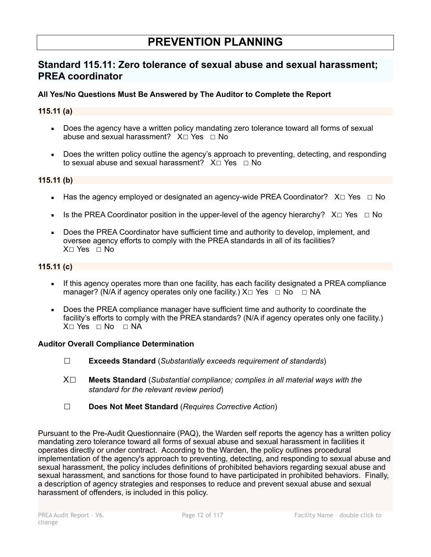# **PREVENTION PLANNING**

# **Standard 115.11: Zero tolerance of sexual abuse and sexual harassment; PREA coordinator**

# **All Yes/No Questions Must Be Answered by The Auditor to Complete the Report**

### **115.11 (a)**

- Does the agency have a written policy mandating zero tolerance toward all forms of sexual abuse and sexual harassment? X□ Yes □ No
- Does the written policy outline the agency's approach to preventing, detecting, and responding to sexual abuse and sexual harassment? X□ Yes □ No

#### **115.11 (b)**

- Has the agency employed or designated an agency-wide PREA Coordinator? X□ Yes □ No
- **■** Is the PREA Coordinator position in the upper-level of the agency hierarchy?  $X \Box Y$ es  $\Box$  No
- Does the PREA Coordinator have sufficient time and authority to develop, implement, and oversee agency efforts to comply with the PREA standards in all of its facilities?  $X \cap Yes \cap No$

# **115.11 (c)**

- **•** If this agency operates more than one facility, has each facility designated a PREA compliance manager? (N/A if agency operates only one facility.)  $X \Box Y$ es  $\Box$  No  $\Box$  NA
- Does the PREA compliance manager have sufficient time and authority to coordinate the facility's efforts to comply with the PREA standards? (N/A if agency operates only one facility.)  $X \cap Yes \cap No \cap NA$

#### **Auditor Overall Compliance Determination**

- ☐ **Exceeds Standard** (*Substantially exceeds requirement of standards*)
- X☐ **Meets Standard** (*Substantial compliance; complies in all material ways with the standard for the relevant review period*)
- ☐ **Does Not Meet Standard** (*Requires Corrective Action*)

Pursuant to the Pre-Audit Questionnaire (PAQ), the Warden self reports the agency has a written policy mandating zero tolerance toward all forms of sexual abuse and sexual harassment in facilities it operates directly or under contract. According to the Warden, the policy outlines procedural implementation of the agency's approach to preventing, detecting, and responding to sexual abuse and sexual harassment, the policy includes definitions of prohibited behaviors regarding sexual abuse and sexual harassment, and sanctions for those found to have participated in prohibited behaviors. Finally, a description of agency strategies and responses to reduce and prevent sexual abuse and sexual harassment of offenders, is included in this policy.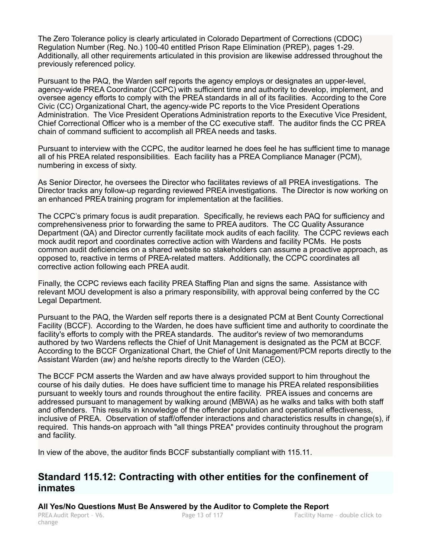The Zero Tolerance policy is clearly articulated in Colorado Department of Corrections (CDOC) Regulation Number (Reg. No.) 100-40 entitled Prison Rape Elimination (PREP), pages 1-29. Additionally, all other requirements articulated in this provision are likewise addressed throughout the previously referenced policy.

Pursuant to the PAQ, the Warden self reports the agency employs or designates an upper-level, agency-wide PREA Coordinator (CCPC) with sufficient time and authority to develop, implement, and oversee agency efforts to comply with the PREA standards in all of its facilities. According to the Core Civic (CC) Organizational Chart, the agency-wide PC reports to the Vice President Operations Administration. The Vice President Operations Administration reports to the Executive Vice President, Chief Correctional Officer who is a member of the CC executive staff. The auditor finds the CC PREA chain of command sufficient to accomplish all PREA needs and tasks.

Pursuant to interview with the CCPC, the auditor learned he does feel he has sufficient time to manage all of his PREA related responsibilities. Each facility has a PREA Compliance Manager (PCM), numbering in excess of sixty.

As Senior Director, he oversees the Director who facilitates reviews of all PREA investigations. The Director tracks any follow-up regarding reviewed PREA investigations. The Director is now working on an enhanced PREA training program for implementation at the facilities.

The CCPC's primary focus is audit preparation. Specifically, he reviews each PAQ for sufficiency and comprehensiveness prior to forwarding the same to PREA auditors. The CC Quality Assurance Department (QA) and Director currently facilitate mock audits of each facility. The CCPC reviews each mock audit report and coordinates corrective action with Wardens and facility PCMs. He posts common audit deficiencies on a shared website so stakeholders can assume a proactive approach, as opposed to, reactive in terms of PREA-related matters. Additionally, the CCPC coordinates all corrective action following each PREA audit.

Finally, the CCPC reviews each facility PREA Staffing Plan and signs the same. Assistance with relevant MOU development is also a primary responsibility, with approval being conferred by the CC Legal Department.

Pursuant to the PAQ, the Warden self reports there is a designated PCM at Bent County Correctional Facility (BCCF). According to the Warden, he does have sufficient time and authority to coordinate the facility's efforts to comply with the PREA standards. The auditor's review of two memorandums authored by two Wardens reflects the Chief of Unit Management is designated as the PCM at BCCF. According to the BCCF Organizational Chart, the Chief of Unit Management/PCM reports directly to the Assistant Warden (aw) and he/she reports directly to the Warden (CEO).

The BCCF PCM asserts the Warden and aw have always provided support to him throughout the course of his daily duties. He does have sufficient time to manage his PREA related responsibilities pursuant to weekly tours and rounds throughout the entire facility. PREA issues and concerns are addressed pursuant to management by walking around (MBWA) as he walks and talks with both staff and offenders. This results in knowledge of the offender population and operational effectiveness, inclusive of PREA. Observation of staff/offender interactions and characteristics results in change(s), if required. This hands-on approach with "all things PREA" provides continuity throughout the program and facility.

In view of the above, the auditor finds BCCF substantially compliant with 115.11.

# **Standard 115.12: Contracting with other entities for the confinement of inmates**

**All Yes/No Questions Must Be Answered by the Auditor to Complete the Report** 

change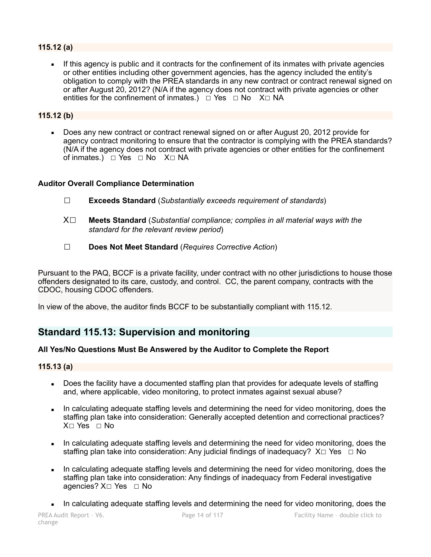# **115.12 (a)**

**.** If this agency is public and it contracts for the confinement of its inmates with private agencies or other entities including other government agencies, has the agency included the entity's obligation to comply with the PREA standards in any new contract or contract renewal signed on or after August 20, 2012? (N/A if the agency does not contract with private agencies or other entities for the confinement of inmates.)  $\Box$  Yes  $\Box$  No X $\Box$  NA

### **115.12 (b)**

Does any new contract or contract renewal signed on or after August 20, 2012 provide for agency contract monitoring to ensure that the contractor is complying with the PREA standards? (N/A if the agency does not contract with private agencies or other entities for the confinement of inmates.)  $□$  Yes  $□$  No  $X□$  NA

### **Auditor Overall Compliance Determination**

- ☐ **Exceeds Standard** (*Substantially exceeds requirement of standards*)
- X☐ **Meets Standard** (*Substantial compliance; complies in all material ways with the standard for the relevant review period*)
- ☐ **Does Not Meet Standard** (*Requires Corrective Action*)

Pursuant to the PAQ, BCCF is a private facility, under contract with no other jurisdictions to house those offenders designated to its care, custody, and control. CC, the parent company, contracts with the CDOC, housing CDOC offenders.

In view of the above, the auditor finds BCCF to be substantially compliant with 115.12.

# **Standard 115.13: Supervision and monitoring**

# **All Yes/No Questions Must Be Answered by the Auditor to Complete the Report**

#### **115.13 (a)**

- Does the facility have a documented staffing plan that provides for adequate levels of staffing and, where applicable, video monitoring, to protect inmates against sexual abuse?
- In calculating adequate staffing levels and determining the need for video monitoring, does the staffing plan take into consideration: Generally accepted detention and correctional practices? X⊓ Yes ⊓ No
- In calculating adequate staffing levels and determining the need for video monitoring, does the staffing plan take into consideration: Any judicial findings of inadequacy?  $X \Box Y$ es  $\Box$  No
- In calculating adequate staffing levels and determining the need for video monitoring, does the staffing plan take into consideration: Any findings of inadequacy from Federal investigative agencies? X□ Yes □ No
- **EXECUTE:** In calculating adequate staffing levels and determining the need for video monitoring, does the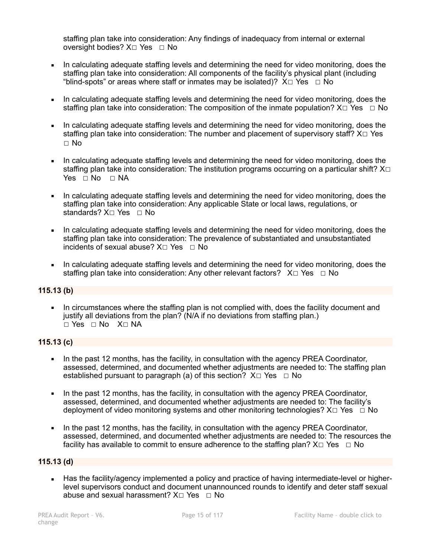staffing plan take into consideration: Any findings of inadequacy from internal or external oversight bodies? X□ Yes □ No

- In calculating adequate staffing levels and determining the need for video monitoring, does the staffing plan take into consideration: All components of the facility's physical plant (including "blind-spots" or areas where staff or inmates may be isolated)?  $X \Box Y$ es  $\Box$  No
- In calculating adequate staffing levels and determining the need for video monitoring, does the staffing plan take into consideration: The composition of the inmate population?  $X \Box Y$ es  $\Box$  No
- In calculating adequate staffing levels and determining the need for video monitoring, does the staffing plan take into consideration: The number and placement of supervisory staff? X□ Yes ☐ No
- In calculating adequate staffing levels and determining the need for video monitoring, does the staffing plan take into consideration: The institution programs occurring on a particular shift? X□  $Yes \square No \square NA$
- In calculating adequate staffing levels and determining the need for video monitoring, does the staffing plan take into consideration: Any applicable State or local laws, regulations, or standards? X□ Yes □ No
- In calculating adequate staffing levels and determining the need for video monitoring, does the staffing plan take into consideration: The prevalence of substantiated and unsubstantiated incidents of sexual abuse?  $X \square Y$ es  $\square N$ o
- In calculating adequate staffing levels and determining the need for video monitoring, does the staffing plan take into consideration: Any other relevant factors? X□ Yes □ No

# **115.13 (b)**

• In circumstances where the staffing plan is not complied with, does the facility document and justify all deviations from the plan? (N/A if no deviations from staffing plan.) ☐ Yes ☐ No X☐ NA

# **115.13 (c)**

- In the past 12 months, has the facility, in consultation with the agency PREA Coordinator, assessed, determined, and documented whether adjustments are needed to: The staffing plan established pursuant to paragraph (a) of this section?  $X \Box Y$ es  $\Box$  No
- In the past 12 months, has the facility, in consultation with the agency PREA Coordinator, assessed, determined, and documented whether adjustments are needed to: The facility's deployment of video monitoring systems and other monitoring technologies?  $X \Box Y$ es  $\Box$  No
- In the past 12 months, has the facility, in consultation with the agency PREA Coordinator, assessed, determined, and documented whether adjustments are needed to: The resources the facility has available to commit to ensure adherence to the staffing plan?  $X \Box Y$ es  $\Box$  No

# **115.13 (d)**

▪ Has the facility/agency implemented a policy and practice of having intermediate-level or higherlevel supervisors conduct and document unannounced rounds to identify and deter staff sexual abuse and sexual harassment?  $X \square Y$ es  $\square N$ o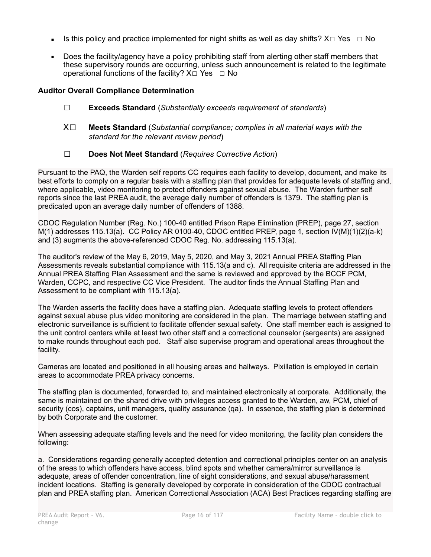- Is this policy and practice implemented for night shifts as well as day shifts?  $X \square Ye$ s  $\Box$  No
- Does the facility/agency have a policy prohibiting staff from alerting other staff members that these supervisory rounds are occurring, unless such announcement is related to the legitimate operational functions of the facility?  $X\square$  Yes  $\square$  No

# **Auditor Overall Compliance Determination**

- ☐ **Exceeds Standard** (*Substantially exceeds requirement of standards*)
- X☐ **Meets Standard** (*Substantial compliance; complies in all material ways with the standard for the relevant review period*)
- ☐ **Does Not Meet Standard** (*Requires Corrective Action*)

Pursuant to the PAQ, the Warden self reports CC requires each facility to develop, document, and make its best efforts to comply on a regular basis with a staffing plan that provides for adequate levels of staffing and, where applicable, video monitoring to protect offenders against sexual abuse. The Warden further self reports since the last PREA audit, the average daily number of offenders is 1379. The staffing plan is predicated upon an average daily number of offenders of 1388.

CDOC Regulation Number (Reg. No.) 100-40 entitled Prison Rape Elimination (PREP), page 27, section  $M(1)$  addresses 115.13(a). CC Policy AR 0100-40, CDOC entitled PREP, page 1, section  $V(M)(1)(2)(a-k)$ and (3) augments the above-referenced CDOC Reg. No. addressing 115.13(a).

The auditor's review of the May 6, 2019, May 5, 2020, and May 3, 2021 Annual PREA Staffing Plan Assessments reveals substantial compliance with 115.13(a and c). All requisite criteria are addressed in the Annual PREA Staffing Plan Assessment and the same is reviewed and approved by the BCCF PCM, Warden, CCPC, and respective CC Vice President. The auditor finds the Annual Staffing Plan and Assessment to be compliant with 115.13(a).

The Warden asserts the facility does have a staffing plan. Adequate staffing levels to protect offenders against sexual abuse plus video monitoring are considered in the plan. The marriage between staffing and electronic surveillance is sufficient to facilitate offender sexual safety. One staff member each is assigned to the unit control centers while at least two other staff and a correctional counselor (sergeants) are assigned to make rounds throughout each pod. Staff also supervise program and operational areas throughout the facility.

Cameras are located and positioned in all housing areas and hallways. Pixillation is employed in certain areas to accommodate PREA privacy concerns.

The staffing plan is documented, forwarded to, and maintained electronically at corporate. Additionally, the same is maintained on the shared drive with privileges access granted to the Warden, aw, PCM, chief of security (cos), captains, unit managers, quality assurance (qa). In essence, the staffing plan is determined by both Corporate and the customer.

When assessing adequate staffing levels and the need for video monitoring, the facility plan considers the following:

a. Considerations regarding generally accepted detention and correctional principles center on an analysis of the areas to which offenders have access, blind spots and whether camera/mirror surveillance is adequate, areas of offender concentration, line of sight considerations, and sexual abuse/harassment incident locations. Staffing is generally developed by corporate in consideration of the CDOC contractual plan and PREA staffing plan. American Correctional Association (ACA) Best Practices regarding staffing are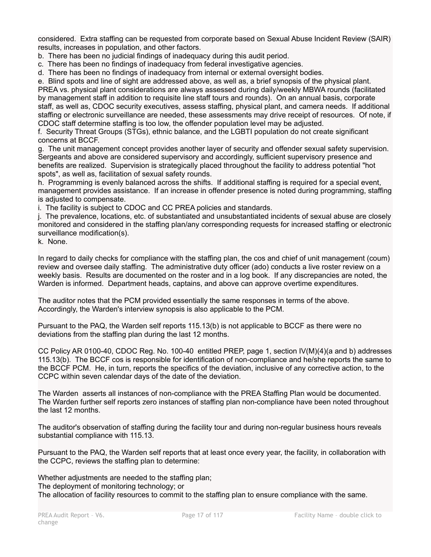considered. Extra staffing can be requested from corporate based on Sexual Abuse Incident Review (SAIR) results, increases in population, and other factors.

- b. There has been no judicial findings of inadequacy during this audit period.
- c. There has been no findings of inadequacy from federal investigative agencies.
- d. There has been no findings of inadequacy from internal or external oversight bodies.

e. Blind spots and line of sight are addressed above, as well as, a brief synopsis of the physical plant.

PREA vs. physical plant considerations are always assessed during daily/weekly MBWA rounds (facilitated by management staff in addition to requisite line staff tours and rounds). On an annual basis, corporate staff, as well as, CDOC security executives, assess staffing, physical plant, and camera needs. If additional staffing or electronic surveillance are needed, these assessments may drive receipt of resources. Of note, if CDOC staff determine staffing is too low, the offender population level may be adjusted.

f. Security Threat Groups (STGs), ethnic balance, and the LGBTI population do not create significant concerns at BCCF.

g. The unit management concept provides another layer of security and offender sexual safety supervision. Sergeants and above are considered supervisory and accordingly, sufficient supervisory presence and benefits are realized. Supervision is strategically placed throughout the facility to address potential "hot spots", as well as, facilitation of sexual safety rounds.

h. Programming is evenly balanced across the shifts. If additional staffing is required for a special event, management provides assistance. If an increase in offender presence is noted during programming, staffing is adjusted to compensate.

i. The facility is subject to CDOC and CC PREA policies and standards.

j. The prevalence, locations, etc. of substantiated and unsubstantiated incidents of sexual abuse are closely monitored and considered in the staffing plan/any corresponding requests for increased staffing or electronic surveillance modification(s).

k. None.

In regard to daily checks for compliance with the staffing plan, the cos and chief of unit management (coum) review and oversee daily staffing. The administrative duty officer (ado) conducts a live roster review on a weekly basis. Results are documented on the roster and in a log book. If any discrepancies are noted, the Warden is informed. Department heads, captains, and above can approve overtime expenditures.

The auditor notes that the PCM provided essentially the same responses in terms of the above. Accordingly, the Warden's interview synopsis is also applicable to the PCM.

Pursuant to the PAQ, the Warden self reports 115.13(b) is not applicable to BCCF as there were no deviations from the staffing plan during the last 12 months.

CC Policy AR 0100-40, CDOC Reg. No. 100-40 entitled PREP, page 1, section IV(M)(4)(a and b) addresses 115.13(b). The BCCF cos is responsible for identification of non-compliance and he/she reports the same to the BCCF PCM. He, in turn, reports the specifics of the deviation, inclusive of any corrective action, to the CCPC within seven calendar days of the date of the deviation.

The Warden asserts all instances of non-compliance with the PREA Staffing Plan would be documented. The Warden further self reports zero instances of staffing plan non-compliance have been noted throughout the last 12 months.

The auditor's observation of staffing during the facility tour and during non-regular business hours reveals substantial compliance with 115.13.

Pursuant to the PAQ, the Warden self reports that at least once every year, the facility, in collaboration with the CCPC, reviews the staffing plan to determine:

Whether adjustments are needed to the staffing plan; The deployment of monitoring technology; or The allocation of facility resources to commit to the staffing plan to ensure compliance with the same.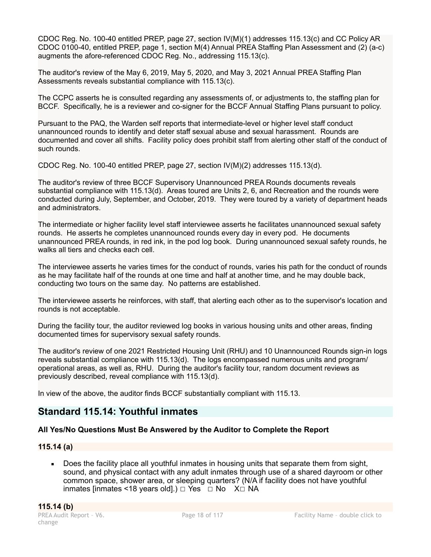CDOC Reg. No. 100-40 entitled PREP, page 27, section IV(M)(1) addresses 115.13(c) and CC Policy AR CDOC 0100-40, entitled PREP, page 1, section M(4) Annual PREA Staffing Plan Assessment and (2) (a-c) augments the afore-referenced CDOC Reg. No., addressing 115.13(c).

The auditor's review of the May 6, 2019, May 5, 2020, and May 3, 2021 Annual PREA Staffing Plan Assessments reveals substantial compliance with 115.13(c).

The CCPC asserts he is consulted regarding any assessments of, or adjustments to, the staffing plan for BCCF. Specifically, he is a reviewer and co-signer for the BCCF Annual Staffing Plans pursuant to policy.

Pursuant to the PAQ, the Warden self reports that intermediate-level or higher level staff conduct unannounced rounds to identify and deter staff sexual abuse and sexual harassment. Rounds are documented and cover all shifts. Facility policy does prohibit staff from alerting other staff of the conduct of such rounds.

CDOC Reg. No. 100-40 entitled PREP, page 27, section IV(M)(2) addresses 115.13(d).

The auditor's review of three BCCF Supervisory Unannounced PREA Rounds documents reveals substantial compliance with 115.13(d). Areas toured are Units 2, 6, and Recreation and the rounds were conducted during July, September, and October, 2019. They were toured by a variety of department heads and administrators.

The intermediate or higher facility level staff interviewee asserts he facilitates unannounced sexual safety rounds. He asserts he completes unannounced rounds every day in every pod. He documents unannounced PREA rounds, in red ink, in the pod log book. During unannounced sexual safety rounds, he walks all tiers and checks each cell.

The interviewee asserts he varies times for the conduct of rounds, varies his path for the conduct of rounds as he may facilitate half of the rounds at one time and half at another time, and he may double back, conducting two tours on the same day. No patterns are established.

The interviewee asserts he reinforces, with staff, that alerting each other as to the supervisor's location and rounds is not acceptable.

During the facility tour, the auditor reviewed log books in various housing units and other areas, finding documented times for supervisory sexual safety rounds.

The auditor's review of one 2021 Restricted Housing Unit (RHU) and 10 Unannounced Rounds sign-in logs reveals substantial compliance with 115.13(d). The logs encompassed numerous units and program/ operational areas, as well as, RHU. During the auditor's facility tour, random document reviews as previously described, reveal compliance with 115.13(d).

In view of the above, the auditor finds BCCF substantially compliant with 115.13.

# **Standard 115.14: Youthful inmates**

# **All Yes/No Questions Must Be Answered by the Auditor to Complete the Report**

# **115.14 (a)**

**•** Does the facility place all youthful inmates in housing units that separate them from sight, sound, and physical contact with any adult inmates through use of a shared dayroom or other common space, shower area, or sleeping quarters? (N/A if facility does not have youthful inmates [inmates <18 years old].)  $\Box$  Yes  $\Box$  No X $\Box$  NA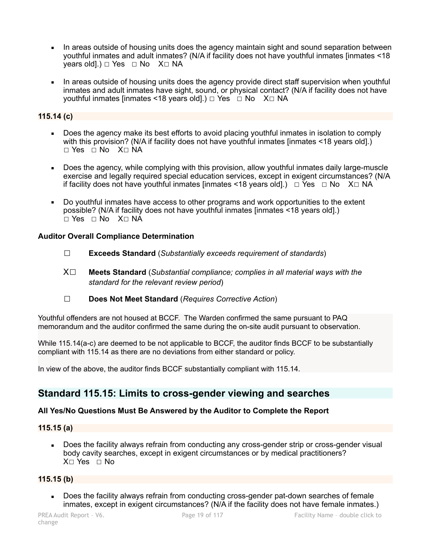- In areas outside of housing units does the agency maintain sight and sound separation between youthful inmates and adult inmates? (N/A if facility does not have youthful inmates [inmates <18 years old].)  $\Box$  Yes  $\Box$  No X $\Box$  NA
- In areas outside of housing units does the agency provide direct staff supervision when youthful inmates and adult inmates have sight, sound, or physical contact? (N/A if facility does not have youthful inmates [inmates <18 years old].) □ Yes □ No X□ NA

# **115.14 (c)**

- Does the agency make its best efforts to avoid placing youthful inmates in isolation to comply with this provision? (N/A if facility does not have youthful inmates [inmates <18 years old].) ☐ Yes ☐ No X☐ NA
- Does the agency, while complying with this provision, allow youthful inmates daily large-muscle exercise and legally required special education services, except in exigent circumstances? (N/A if facility does not have youthful inmates  $|$ inmates <18 years old].)  $\Box$  Yes  $\Box$  No X $\Box$  NA
- Do youthful inmates have access to other programs and work opportunities to the extent possible? (N/A if facility does not have youthful inmates [inmates <18 years old].) ☐ Yes ☐ No X☐ NA

### **Auditor Overall Compliance Determination**

- ☐ **Exceeds Standard** (*Substantially exceeds requirement of standards*)
- X☐ **Meets Standard** (*Substantial compliance; complies in all material ways with the standard for the relevant review period*)
- ☐ **Does Not Meet Standard** (*Requires Corrective Action*)

Youthful offenders are not housed at BCCF. The Warden confirmed the same pursuant to PAQ memorandum and the auditor confirmed the same during the on-site audit pursuant to observation.

While 115.14(a-c) are deemed to be not applicable to BCCF, the auditor finds BCCF to be substantially compliant with 115.14 as there are no deviations from either standard or policy.

In view of the above, the auditor finds BCCF substantially compliant with 115.14.

# **Standard 115.15: Limits to cross-gender viewing and searches**

# **All Yes/No Questions Must Be Answered by the Auditor to Complete the Report**

#### **115.15 (a)**

Does the facility always refrain from conducting any cross-gender strip or cross-gender visual body cavity searches, except in exigent circumstances or by medical practitioners? X□ Yes □ No

### **115.15 (b)**

Does the facility always refrain from conducting cross-gender pat-down searches of female inmates, except in exigent circumstances? (N/A if the facility does not have female inmates.)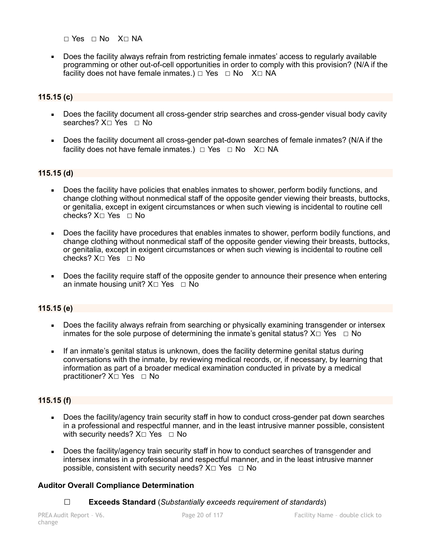☐ Yes ☐ No X☐ NA

■ Does the facility always refrain from restricting female inmates' access to regularly available programming or other out-of-cell opportunities in order to comply with this provision? (N/A if the facility does not have female inmates.) □ Yes □ No X□ NA

# **115.15 (c)**

- Does the facility document all cross-gender strip searches and cross-gender visual body cavity searches? X□ Yes □ No
- Does the facility document all cross-gender pat-down searches of female inmates? (N/A if the facility does not have female inmates.)  $\Box$  Yes  $\Box$  No X $\Box$  NA

# **115.15 (d)**

- Does the facility have policies that enables inmates to shower, perform bodily functions, and change clothing without nonmedical staff of the opposite gender viewing their breasts, buttocks, or genitalia, except in exigent circumstances or when such viewing is incidental to routine cell checks? X☐ Yes ☐ No
- Does the facility have procedures that enables inmates to shower, perform bodily functions, and change clothing without nonmedical staff of the opposite gender viewing their breasts, buttocks, or genitalia, except in exigent circumstances or when such viewing is incidental to routine cell checks? X☐ Yes ☐ No
- Does the facility require staff of the opposite gender to announce their presence when entering an inmate housing unit?  $X \Box Y$ es  $\Box$  No

# **115.15 (e)**

- Does the facility always refrain from searching or physically examining transgender or intersex inmates for the sole purpose of determining the inmate's genital status?  $X \Box Y$ es  $\Box$  No
- If an inmate's genital status is unknown, does the facility determine genital status during conversations with the inmate, by reviewing medical records, or, if necessary, by learning that information as part of a broader medical examination conducted in private by a medical practitioner?  $X□$  Yes  $□$  No

# **115.15 (f)**

- Does the facility/agency train security staff in how to conduct cross-gender pat down searches in a professional and respectful manner, and in the least intrusive manner possible, consistent with security needs?  $X□$  Yes □ No
- **Does the facility/agency train security staff in how to conduct searches of transgender and** intersex inmates in a professional and respectful manner, and in the least intrusive manner possible, consistent with security needs?  $X \Box Y$ es  $\Box$  No

# **Auditor Overall Compliance Determination**

☐ **Exceeds Standard** (*Substantially exceeds requirement of standards*)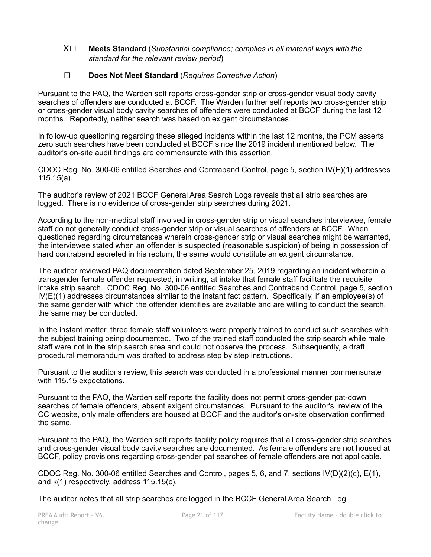X☐ **Meets Standard** (*Substantial compliance; complies in all material ways with the standard for the relevant review period*)

# ☐ **Does Not Meet Standard** (*Requires Corrective Action*)

Pursuant to the PAQ, the Warden self reports cross-gender strip or cross-gender visual body cavity searches of offenders are conducted at BCCF. The Warden further self reports two cross-gender strip or cross-gender visual body cavity searches of offenders were conducted at BCCF during the last 12 months. Reportedly, neither search was based on exigent circumstances.

In follow-up questioning regarding these alleged incidents within the last 12 months, the PCM asserts zero such searches have been conducted at BCCF since the 2019 incident mentioned below. The auditor's on-site audit findings are commensurate with this assertion.

CDOC Reg. No. 300-06 entitled Searches and Contraband Control, page 5, section IV(E)(1) addresses 115.15(a).

The auditor's review of 2021 BCCF General Area Search Logs reveals that all strip searches are logged. There is no evidence of cross-gender strip searches during 2021.

According to the non-medical staff involved in cross-gender strip or visual searches interviewee, female staff do not generally conduct cross-gender strip or visual searches of offenders at BCCF. When questioned regarding circumstances wherein cross-gender strip or visual searches might be warranted, the interviewee stated when an offender is suspected (reasonable suspicion) of being in possession of hard contraband secreted in his rectum, the same would constitute an exigent circumstance.

The auditor reviewed PAQ documentation dated September 25, 2019 regarding an incident wherein a transgender female offender requested, in writing, at intake that female staff facilitate the requisite intake strip search. CDOC Reg. No. 300-06 entitled Searches and Contraband Control, page 5, section IV(E)(1) addresses circumstances similar to the instant fact pattern. Specifically, if an employee(s) of the same gender with which the offender identifies are available and are willing to conduct the search, the same may be conducted.

In the instant matter, three female staff volunteers were properly trained to conduct such searches with the subject training being documented. Two of the trained staff conducted the strip search while male staff were not in the strip search area and could not observe the process. Subsequently, a draft procedural memorandum was drafted to address step by step instructions.

Pursuant to the auditor's review, this search was conducted in a professional manner commensurate with 115.15 expectations.

Pursuant to the PAQ, the Warden self reports the facility does not permit cross-gender pat-down searches of female offenders, absent exigent circumstances. Pursuant to the auditor's review of the CC website, only male offenders are housed at BCCF and the auditor's on-site observation confirmed the same.

Pursuant to the PAQ, the Warden self reports facility policy requires that all cross-gender strip searches and cross-gender visual body cavity searches are documented. As female offenders are not housed at BCCF, policy provisions regarding cross-gender pat searches of female offenders are not applicable.

CDOC Reg. No. 300-06 entitled Searches and Control, pages 5, 6, and 7, sections IV(D)(2)(c), E(1), and k(1) respectively, address 115.15(c).

The auditor notes that all strip searches are logged in the BCCF General Area Search Log.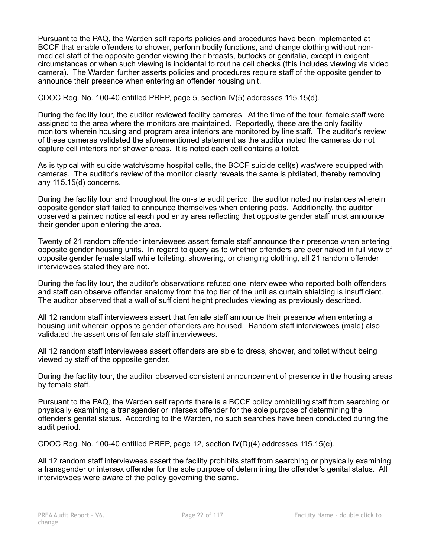Pursuant to the PAQ, the Warden self reports policies and procedures have been implemented at BCCF that enable offenders to shower, perform bodily functions, and change clothing without nonmedical staff of the opposite gender viewing their breasts, buttocks or genitalia, except in exigent circumstances or when such viewing is incidental to routine cell checks (this includes viewing via video camera). The Warden further asserts policies and procedures require staff of the opposite gender to announce their presence when entering an offender housing unit.

CDOC Reg. No. 100-40 entitled PREP, page 5, section IV(5) addresses 115.15(d).

During the facility tour, the auditor reviewed facility cameras. At the time of the tour, female staff were assigned to the area where the monitors are maintained. Reportedly, these are the only facility monitors wherein housing and program area interiors are monitored by line staff. The auditor's review of these cameras validated the aforementioned statement as the auditor noted the cameras do not capture cell interiors nor shower areas. It is noted each cell contains a toilet.

As is typical with suicide watch/some hospital cells, the BCCF suicide cell(s) was/were equipped with cameras. The auditor's review of the monitor clearly reveals the same is pixilated, thereby removing any 115.15(d) concerns.

During the facility tour and throughout the on-site audit period, the auditor noted no instances wherein opposite gender staff failed to announce themselves when entering pods. Additionally, the auditor observed a painted notice at each pod entry area reflecting that opposite gender staff must announce their gender upon entering the area.

Twenty of 21 random offender interviewees assert female staff announce their presence when entering opposite gender housing units. In regard to query as to whether offenders are ever naked in full view of opposite gender female staff while toileting, showering, or changing clothing, all 21 random offender interviewees stated they are not.

During the facility tour, the auditor's observations refuted one interviewee who reported both offenders and staff can observe offender anatomy from the top tier of the unit as curtain shielding is insufficient. The auditor observed that a wall of sufficient height precludes viewing as previously described.

All 12 random staff interviewees assert that female staff announce their presence when entering a housing unit wherein opposite gender offenders are housed. Random staff interviewees (male) also validated the assertions of female staff interviewees.

All 12 random staff interviewees assert offenders are able to dress, shower, and toilet without being viewed by staff of the opposite gender.

During the facility tour, the auditor observed consistent announcement of presence in the housing areas by female staff.

Pursuant to the PAQ, the Warden self reports there is a BCCF policy prohibiting staff from searching or physically examining a transgender or intersex offender for the sole purpose of determining the offender's genital status. According to the Warden, no such searches have been conducted during the audit period.

CDOC Reg. No. 100-40 entitled PREP, page 12, section IV(D)(4) addresses 115.15(e).

All 12 random staff interviewees assert the facility prohibits staff from searching or physically examining a transgender or intersex offender for the sole purpose of determining the offender's genital status. All interviewees were aware of the policy governing the same.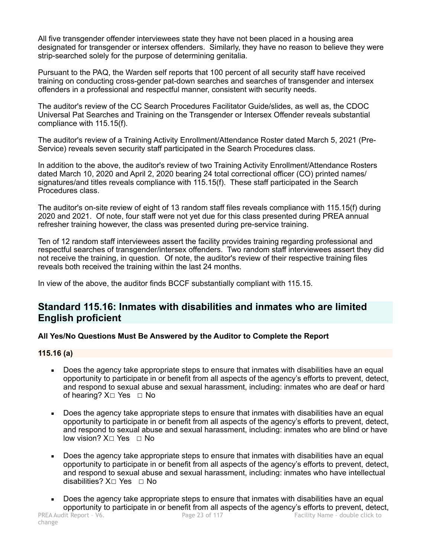All five transgender offender interviewees state they have not been placed in a housing area designated for transgender or intersex offenders. Similarly, they have no reason to believe they were strip-searched solely for the purpose of determining genitalia.

Pursuant to the PAQ, the Warden self reports that 100 percent of all security staff have received training on conducting cross-gender pat-down searches and searches of transgender and intersex offenders in a professional and respectful manner, consistent with security needs.

The auditor's review of the CC Search Procedures Facilitator Guide/slides, as well as, the CDOC Universal Pat Searches and Training on the Transgender or Intersex Offender reveals substantial compliance with 115.15(f).

The auditor's review of a Training Activity Enrollment/Attendance Roster dated March 5, 2021 (Pre-Service) reveals seven security staff participated in the Search Procedures class.

In addition to the above, the auditor's review of two Training Activity Enrollment/Attendance Rosters dated March 10, 2020 and April 2, 2020 bearing 24 total correctional officer (CO) printed names/ signatures/and titles reveals compliance with 115.15(f). These staff participated in the Search Procedures class.

The auditor's on-site review of eight of 13 random staff files reveals compliance with 115.15(f) during 2020 and 2021. Of note, four staff were not yet due for this class presented during PREA annual refresher training however, the class was presented during pre-service training.

Ten of 12 random staff interviewees assert the facility provides training regarding professional and respectful searches of transgender/intersex offenders. Two random staff interviewees assert they did not receive the training, in question. Of note, the auditor's review of their respective training files reveals both received the training within the last 24 months.

In view of the above, the auditor finds BCCF substantially compliant with 115.15.

# **Standard 115.16: Inmates with disabilities and inmates who are limited English proficient**

# **All Yes/No Questions Must Be Answered by the Auditor to Complete the Report**

# **115.16 (a)**

- Does the agency take appropriate steps to ensure that inmates with disabilities have an equal opportunity to participate in or benefit from all aspects of the agency's efforts to prevent, detect, and respond to sexual abuse and sexual harassment, including: inmates who are deaf or hard of hearing?  $X□$  Yes □ No
- Does the agency take appropriate steps to ensure that inmates with disabilities have an equal opportunity to participate in or benefit from all aspects of the agency's efforts to prevent, detect, and respond to sexual abuse and sexual harassment, including: inmates who are blind or have low vision? X□ Yes □ No
- Does the agency take appropriate steps to ensure that inmates with disabilities have an equal opportunity to participate in or benefit from all aspects of the agency's efforts to prevent, detect, and respond to sexual abuse and sexual harassment, including: inmates who have intellectual disabilities? X☐ Yes ☐ No
- Does the agency take appropriate steps to ensure that inmates with disabilities have an equal opportunity to participate in or benefit from all aspects of the agency's efforts to prevent, detect,<br>PREA Audit Report - V6. Page 23 of 117<br>Facility Name - double click to Facility Name - double click to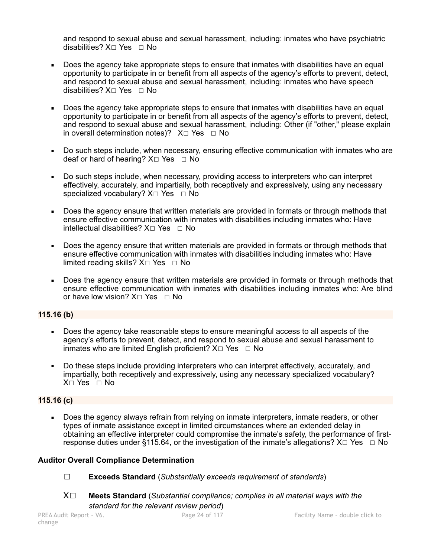and respond to sexual abuse and sexual harassment, including: inmates who have psychiatric disabilities? X☐ Yes ☐ No

- Does the agency take appropriate steps to ensure that inmates with disabilities have an equal opportunity to participate in or benefit from all aspects of the agency's efforts to prevent, detect, and respond to sexual abuse and sexual harassment, including: inmates who have speech disabilities? X☐ Yes ☐ No
- Does the agency take appropriate steps to ensure that inmates with disabilities have an equal opportunity to participate in or benefit from all aspects of the agency's efforts to prevent, detect, and respond to sexual abuse and sexual harassment, including: Other (if "other," please explain in overall determination notes)?  $X \Box Y$ es  $\Box$  No
- Do such steps include, when necessary, ensuring effective communication with inmates who are deaf or hard of hearing?  $X \square$  Yes  $\square$  No
- Do such steps include, when necessary, providing access to interpreters who can interpret effectively, accurately, and impartially, both receptively and expressively, using any necessary specialized vocabulary? X□ Yes □ No
- Does the agency ensure that written materials are provided in formats or through methods that ensure effective communication with inmates with disabilities including inmates who: Have intellectual disabilities?  $X□$  Yes □ No
- Does the agency ensure that written materials are provided in formats or through methods that ensure effective communication with inmates with disabilities including inmates who: Have limited reading skills?  $X \square$  Yes  $\square$  No
- Does the agency ensure that written materials are provided in formats or through methods that ensure effective communication with inmates with disabilities including inmates who: Are blind or have low vision? X□ Yes □ No

# **115.16 (b)**

- Does the agency take reasonable steps to ensure meaningful access to all aspects of the agency's efforts to prevent, detect, and respond to sexual abuse and sexual harassment to inmates who are limited English proficient?  $X \Box Y$ es  $\Box$  No
- Do these steps include providing interpreters who can interpret effectively, accurately, and impartially, both receptively and expressively, using any necessary specialized vocabulary? X☐ Yes ☐ No

#### **115.16 (c)**

• Does the agency always refrain from relying on inmate interpreters, inmate readers, or other types of inmate assistance except in limited circumstances where an extended delay in obtaining an effective interpreter could compromise the inmate's safety, the performance of firstresponse duties under §115.64, or the investigation of the inmate's allegations?  $X \Box Y$ es  $\Box$  No

#### **Auditor Overall Compliance Determination**

- ☐ **Exceeds Standard** (*Substantially exceeds requirement of standards*)
- X☐ **Meets Standard** (*Substantial compliance; complies in all material ways with the standard for the relevant review period*)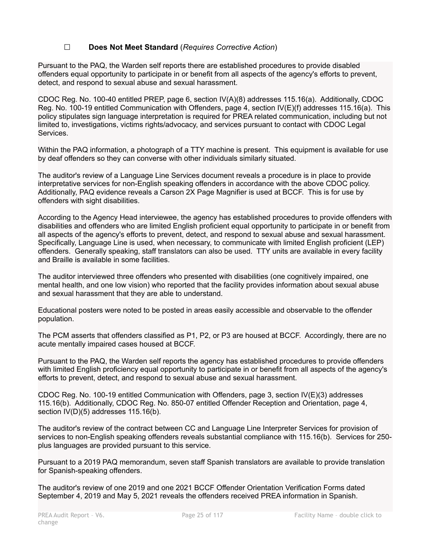# ☐ **Does Not Meet Standard** (*Requires Corrective Action*)

Pursuant to the PAQ, the Warden self reports there are established procedures to provide disabled offenders equal opportunity to participate in or benefit from all aspects of the agency's efforts to prevent, detect, and respond to sexual abuse and sexual harassment.

CDOC Reg. No. 100-40 entitled PREP, page 6, section IV(A)(8) addresses 115.16(a). Additionally, CDOC Reg. No. 100-19 entitled Communication with Offenders, page 4, section IV(E)(f) addresses 115.16(a). This policy stipulates sign language interpretation is required for PREA related communication, including but not limited to, investigations, victims rights/advocacy, and services pursuant to contact with CDOC Legal Services.

Within the PAQ information, a photograph of a TTY machine is present. This equipment is available for use by deaf offenders so they can converse with other individuals similarly situated.

The auditor's review of a Language Line Services document reveals a procedure is in place to provide interpretative services for non-English speaking offenders in accordance with the above CDOC policy. Additionally, PAQ evidence reveals a Carson 2X Page Magnifier is used at BCCF. This is for use by offenders with sight disabilities.

According to the Agency Head interviewee, the agency has established procedures to provide offenders with disabilities and offenders who are limited English proficient equal opportunity to participate in or benefit from all aspects of the agency's efforts to prevent, detect, and respond to sexual abuse and sexual harassment. Specifically, Language Line is used, when necessary, to communicate with limited English proficient (LEP) offenders. Generally speaking, staff translators can also be used. TTY units are available in every facility and Braille is available in some facilities.

The auditor interviewed three offenders who presented with disabilities (one cognitively impaired, one mental health, and one low vision) who reported that the facility provides information about sexual abuse and sexual harassment that they are able to understand.

Educational posters were noted to be posted in areas easily accessible and observable to the offender population.

The PCM asserts that offenders classified as P1, P2, or P3 are housed at BCCF. Accordingly, there are no acute mentally impaired cases housed at BCCF.

Pursuant to the PAQ, the Warden self reports the agency has established procedures to provide offenders with limited English proficiency equal opportunity to participate in or benefit from all aspects of the agency's efforts to prevent, detect, and respond to sexual abuse and sexual harassment.

CDOC Reg. No. 100-19 entitled Communication with Offenders, page 3, section IV(E)(3) addresses 115.16(b). Additionally, CDOC Reg. No. 850-07 entitled Offender Reception and Orientation, page 4, section IV(D)(5) addresses 115.16(b).

The auditor's review of the contract between CC and Language Line Interpreter Services for provision of services to non-English speaking offenders reveals substantial compliance with 115.16(b). Services for 250 plus languages are provided pursuant to this service.

Pursuant to a 2019 PAQ memorandum, seven staff Spanish translators are available to provide translation for Spanish-speaking offenders.

The auditor's review of one 2019 and one 2021 BCCF Offender Orientation Verification Forms dated September 4, 2019 and May 5, 2021 reveals the offenders received PREA information in Spanish.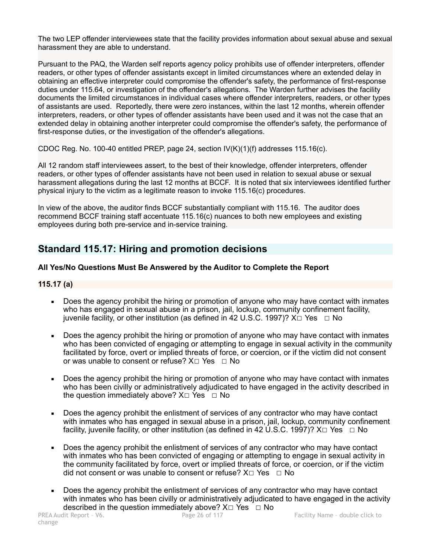The two LEP offender interviewees state that the facility provides information about sexual abuse and sexual harassment they are able to understand.

Pursuant to the PAQ, the Warden self reports agency policy prohibits use of offender interpreters, offender readers, or other types of offender assistants except in limited circumstances where an extended delay in obtaining an effective interpreter could compromise the offender's safety, the performance of first-response duties under 115.64, or investigation of the offender's allegations. The Warden further advises the facility documents the limited circumstances in individual cases where offender interpreters, readers, or other types of assistants are used. Reportedly, there were zero instances, within the last 12 months, wherein offender interpreters, readers, or other types of offender assistants have been used and it was not the case that an extended delay in obtaining another interpreter could compromise the offender's safety, the performance of first-response duties, or the investigation of the offender's allegations.

CDOC Reg. No. 100-40 entitled PREP, page 24, section  $IV(K)(1)(f)$  addresses 115.16(c).

All 12 random staff interviewees assert, to the best of their knowledge, offender interpreters, offender readers, or other types of offender assistants have not been used in relation to sexual abuse or sexual harassment allegations during the last 12 months at BCCF. It is noted that six interviewees identified further physical injury to the victim as a legitimate reason to invoke 115.16(c) procedures.

In view of the above, the auditor finds BCCF substantially compliant with 115.16. The auditor does recommend BCCF training staff accentuate 115.16(c) nuances to both new employees and existing employees during both pre-service and in-service training.

# **Standard 115.17: Hiring and promotion decisions**

# **All Yes/No Questions Must Be Answered by the Auditor to Complete the Report**

# **115.17 (a)**

- **Does the agency prohibit the hiring or promotion of anyone who may have contact with inmates** who has engaged in sexual abuse in a prison, jail, lockup, community confinement facility, juvenile facility, or other institution (as defined in 42 U.S.C. 1997)?  $X \Box Y$ es  $\Box$  No
- Does the agency prohibit the hiring or promotion of anyone who may have contact with inmates who has been convicted of engaging or attempting to engage in sexual activity in the community facilitated by force, overt or implied threats of force, or coercion, or if the victim did not consent or was unable to consent or refuse?  $X \Box Y$ es  $\Box$  No
- Does the agency prohibit the hiring or promotion of anyone who may have contact with inmates who has been civilly or administratively adjudicated to have engaged in the activity described in the question immediately above?  $X \square Y$ es  $\square N$ o
- Does the agency prohibit the enlistment of services of any contractor who may have contact with inmates who has engaged in sexual abuse in a prison, jail, lockup, community confinement facility, juvenile facility, or other institution (as defined in 42 U.S.C. 1997)?  $X \Box Y$ es  $\Box$  No
- Does the agency prohibit the enlistment of services of any contractor who may have contact with inmates who has been convicted of engaging or attempting to engage in sexual activity in the community facilitated by force, overt or implied threats of force, or coercion, or if the victim did not consent or was unable to consent or refuse?  $X \Box Y$ es  $\Box$  No
- Does the agency prohibit the enlistment of services of any contractor who may have contact with inmates who has been civilly or administratively adjudicated to have engaged in the activity described in the question immediately above?  $X□$  Yes  $□$  No<br>PREA Audit Report - V6. Page 26 of 117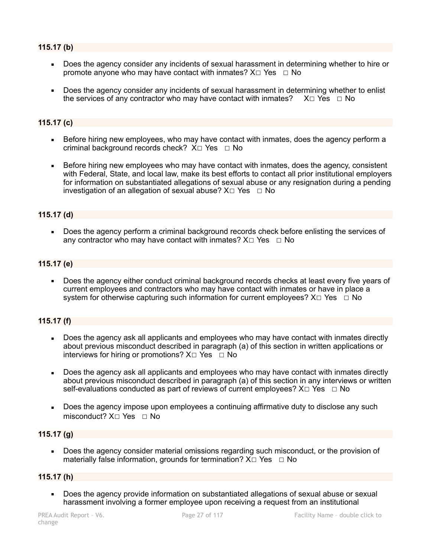# **115.17 (b)**

- Does the agency consider any incidents of sexual harassment in determining whether to hire or promote anyone who may have contact with inmates?  $X \Box Y$ es  $\Box$  No
- Does the agency consider any incidents of sexual harassment in determining whether to enlist the services of any contractor who may have contact with inmates?  $X\square$  Yes  $\square$  No

### **115.17 (c)**

- Before hiring new employees, who may have contact with inmates, does the agency perform a criminal background records check?  $X \Box Y$ es  $\Box$  No
- Before hiring new employees who may have contact with inmates, does the agency, consistent with Federal, State, and local law, make its best efforts to contact all prior institutional employers for information on substantiated allegations of sexual abuse or any resignation during a pending investigation of an allegation of sexual abuse?  $X \Box Y$ es  $\Box$  No

### **115.17 (d)**

Does the agency perform a criminal background records check before enlisting the services of any contractor who may have contact with inmates?  $X \Box Y$ es  $\Box$  No

#### **115.17 (e)**

Does the agency either conduct criminal background records checks at least every five years of current employees and contractors who may have contact with inmates or have in place a system for otherwise capturing such information for current employees?  $X \Box Y$ es  $\Box$  No

### **115.17 (f)**

- Does the agency ask all applicants and employees who may have contact with inmates directly about previous misconduct described in paragraph (a) of this section in written applications or interviews for hiring or promotions?  $X \Box Y$ es  $\Box$  No
- Does the agency ask all applicants and employees who may have contact with inmates directly about previous misconduct described in paragraph (a) of this section in any interviews or written self-evaluations conducted as part of reviews of current employees?  $X \Box Y$ es  $\Box$  No
- Does the agency impose upon employees a continuing affirmative duty to disclose any such misconduct? X□ Yes □ No

### **115.17 (g)**

Does the agency consider material omissions regarding such misconduct, or the provision of materially false information, grounds for termination?  $X \square YeS \square No$ 

#### **115.17 (h)**

Does the agency provide information on substantiated allegations of sexual abuse or sexual harassment involving a former employee upon receiving a request from an institutional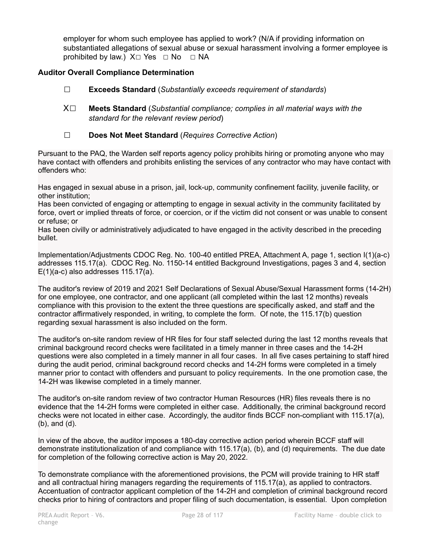employer for whom such employee has applied to work? (N/A if providing information on substantiated allegations of sexual abuse or sexual harassment involving a former employee is prohibited by law.)  $X \square Y$ es  $\square$  No  $\square$  NA

# **Auditor Overall Compliance Determination**

- ☐ **Exceeds Standard** (*Substantially exceeds requirement of standards*)
- X☐ **Meets Standard** (*Substantial compliance; complies in all material ways with the standard for the relevant review period*)
- ☐ **Does Not Meet Standard** (*Requires Corrective Action*)

Pursuant to the PAQ, the Warden self reports agency policy prohibits hiring or promoting anyone who may have contact with offenders and prohibits enlisting the services of any contractor who may have contact with offenders who:

Has engaged in sexual abuse in a prison, jail, lock-up, community confinement facility, juvenile facility, or other institution;

Has been convicted of engaging or attempting to engage in sexual activity in the community facilitated by force, overt or implied threats of force, or coercion, or if the victim did not consent or was unable to consent or refuse; or

Has been civilly or administratively adjudicated to have engaged in the activity described in the preceding bullet.

Implementation/Adjustments CDOC Reg. No. 100-40 entitled PREA, Attachment A, page 1, section I(1)(a-c) addresses 115.17(a). CDOC Reg. No. 1150-14 entitled Background Investigations, pages 3 and 4, section  $E(1)(a-c)$  also addresses 115.17(a).

The auditor's review of 2019 and 2021 Self Declarations of Sexual Abuse/Sexual Harassment forms (14-2H) for one employee, one contractor, and one applicant (all completed within the last 12 months) reveals compliance with this provision to the extent the three questions are specifically asked, and staff and the contractor affirmatively responded, in writing, to complete the form. Of note, the 115.17(b) question regarding sexual harassment is also included on the form.

The auditor's on-site random review of HR files for four staff selected during the last 12 months reveals that criminal background record checks were facilitated in a timely manner in three cases and the 14-2H questions were also completed in a timely manner in all four cases. In all five cases pertaining to staff hired during the audit period, criminal background record checks and 14-2H forms were completed in a timely manner prior to contact with offenders and pursuant to policy requirements. In the one promotion case, the 14-2H was likewise completed in a timely manner.

The auditor's on-site random review of two contractor Human Resources (HR) files reveals there is no evidence that the 14-2H forms were completed in either case. Additionally, the criminal background record checks were not located in either case. Accordingly, the auditor finds BCCF non-compliant with 115.17(a), (b), and (d).

In view of the above, the auditor imposes a 180-day corrective action period wherein BCCF staff will demonstrate institutionalization of and compliance with 115.17(a), (b), and (d) requirements. The due date for completion of the following corrective action is May 20, 2022.

To demonstrate compliance with the aforementioned provisions, the PCM will provide training to HR staff and all contractual hiring managers regarding the requirements of 115.17(a), as applied to contractors. Accentuation of contractor applicant completion of the 14-2H and completion of criminal background record checks prior to hiring of contractors and proper filing of such documentation, is essential. Upon completion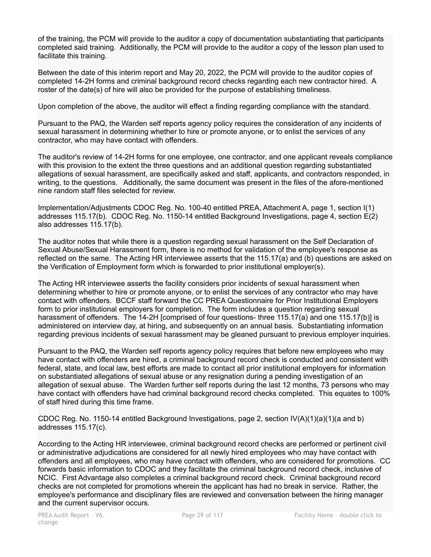of the training, the PCM will provide to the auditor a copy of documentation substantiating that participants completed said training. Additionally, the PCM will provide to the auditor a copy of the lesson plan used to facilitate this training.

Between the date of this interim report and May 20, 2022, the PCM will provide to the auditor copies of completed 14-2H forms and criminal background record checks regarding each new contractor hired. A roster of the date(s) of hire will also be provided for the purpose of establishing timeliness.

Upon completion of the above, the auditor will effect a finding regarding compliance with the standard.

Pursuant to the PAQ, the Warden self reports agency policy requires the consideration of any incidents of sexual harassment in determining whether to hire or promote anyone, or to enlist the services of any contractor, who may have contact with offenders.

The auditor's review of 14-2H forms for one employee, one contractor, and one applicant reveals compliance with this provision to the extent the three questions and an additional question regarding substantiated allegations of sexual harassment, are specifically asked and staff, applicants, and contractors responded, in writing, to the questions. Additionally, the same document was present in the files of the afore-mentioned nine random staff files selected for review.

Implementation/Adjustments CDOC Reg. No. 100-40 entitled PREA, Attachment A, page 1, section I(1) addresses 115.17(b). CDOC Reg. No. 1150-14 entitled Background Investigations, page 4, section E(2) also addresses 115.17(b).

The auditor notes that while there is a question regarding sexual harassment on the Self Declaration of Sexual Abuse/Sexual Harassment form, there is no method for validation of the employee's response as reflected on the same. The Acting HR interviewee asserts that the 115.17(a) and (b) questions are asked on the Verification of Employment form which is forwarded to prior institutional employer(s).

The Acting HR interviewee asserts the facility considers prior incidents of sexual harassment when determining whether to hire or promote anyone, or to enlist the services of any contractor who may have contact with offenders. BCCF staff forward the CC PREA Questionnaire for Prior Institutional Employers form to prior institutional employers for completion. The form includes a question regarding sexual harassment of offenders. The 14-2H [comprised of four questions- three 115.17(a) and one 115.17(b)] is administered on interview day, at hiring, and subsequently on an annual basis. Substantiating information regarding previous incidents of sexual harassment may be gleaned pursuant to previous employer inquiries.

Pursuant to the PAQ, the Warden self reports agency policy requires that before new employees who may have contact with offenders are hired, a criminal background record check is conducted and consistent with federal, state, and local law, best efforts are made to contact all prior institutional employers for information on substantiated allegations of sexual abuse or any resignation during a pending investigation of an allegation of sexual abuse. The Warden further self reports during the last 12 months, 73 persons who may have contact with offenders have had criminal background record checks completed. This equates to 100% of staff hired during this time frame.

CDOC Reg. No. 1150-14 entitled Background Investigations, page 2, section IV(A)(1)(a)(1)(a and b) addresses 115.17(c).

According to the Acting HR interviewee, criminal background record checks are performed or pertinent civil or administrative adjudications are considered for all newly hired employees who may have contact with offenders and all employees, who may have contact with offenders, who are considered for promotions. CC forwards basic information to CDOC and they facilitate the criminal background record check, inclusive of NCIC. First Advantage also completes a criminal background record check. Criminal background record checks are not completed for promotions wherein the applicant has had no break in service. Rather, the employee's performance and disciplinary files are reviewed and conversation between the hiring manager and the current supervisor occurs.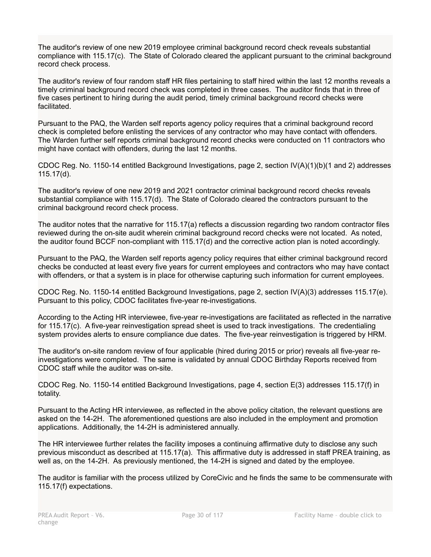The auditor's review of one new 2019 employee criminal background record check reveals substantial compliance with 115.17(c). The State of Colorado cleared the applicant pursuant to the criminal background record check process.

The auditor's review of four random staff HR files pertaining to staff hired within the last 12 months reveals a timely criminal background record check was completed in three cases. The auditor finds that in three of five cases pertinent to hiring during the audit period, timely criminal background record checks were facilitated.

Pursuant to the PAQ, the Warden self reports agency policy requires that a criminal background record check is completed before enlisting the services of any contractor who may have contact with offenders. The Warden further self reports criminal background record checks were conducted on 11 contractors who might have contact with offenders, during the last 12 months.

CDOC Reg. No. 1150-14 entitled Background Investigations, page 2, section IV(A)(1)(b)(1 and 2) addresses 115.17(d).

The auditor's review of one new 2019 and 2021 contractor criminal background record checks reveals substantial compliance with 115.17(d). The State of Colorado cleared the contractors pursuant to the criminal background record check process.

The auditor notes that the narrative for 115.17(a) reflects a discussion regarding two random contractor files reviewed during the on-site audit wherein criminal background record checks were not located. As noted, the auditor found BCCF non-compliant with 115.17(d) and the corrective action plan is noted accordingly.

Pursuant to the PAQ, the Warden self reports agency policy requires that either criminal background record checks be conducted at least every five years for current employees and contractors who may have contact with offenders, or that a system is in place for otherwise capturing such information for current employees.

CDOC Reg. No. 1150-14 entitled Background Investigations, page 2, section IV(A)(3) addresses 115.17(e). Pursuant to this policy, CDOC facilitates five-year re-investigations.

According to the Acting HR interviewee, five-year re-investigations are facilitated as reflected in the narrative for 115.17(c). A five-year reinvestigation spread sheet is used to track investigations. The credentialing system provides alerts to ensure compliance due dates. The five-year reinvestigation is triggered by HRM.

The auditor's on-site random review of four applicable (hired during 2015 or prior) reveals all five-year reinvestigations were completed. The same is validated by annual CDOC Birthday Reports received from CDOC staff while the auditor was on-site.

CDOC Reg. No. 1150-14 entitled Background Investigations, page 4, section E(3) addresses 115.17(f) in totality.

Pursuant to the Acting HR interviewee, as reflected in the above policy citation, the relevant questions are asked on the 14-2H. The aforementioned questions are also included in the employment and promotion applications. Additionally, the 14-2H is administered annually.

The HR interviewee further relates the facility imposes a continuing affirmative duty to disclose any such previous misconduct as described at 115.17(a). This affirmative duty is addressed in staff PREA training, as well as, on the 14-2H. As previously mentioned, the 14-2H is signed and dated by the employee.

The auditor is familiar with the process utilized by CoreCivic and he finds the same to be commensurate with 115.17(f) expectations.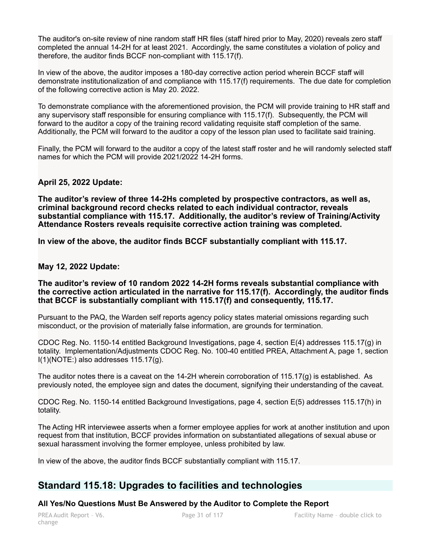The auditor's on-site review of nine random staff HR files (staff hired prior to May, 2020) reveals zero staff completed the annual 14-2H for at least 2021. Accordingly, the same constitutes a violation of policy and therefore, the auditor finds BCCF non-compliant with 115.17(f).

In view of the above, the auditor imposes a 180-day corrective action period wherein BCCF staff will demonstrate institutionalization of and compliance with 115.17(f) requirements. The due date for completion of the following corrective action is May 20. 2022.

To demonstrate compliance with the aforementioned provision, the PCM will provide training to HR staff and any supervisory staff responsible for ensuring compliance with 115.17(f). Subsequently, the PCM will forward to the auditor a copy of the training record validating requisite staff completion of the same. Additionally, the PCM will forward to the auditor a copy of the lesson plan used to facilitate said training.

Finally, the PCM will forward to the auditor a copy of the latest staff roster and he will randomly selected staff names for which the PCM will provide 2021/2022 14-2H forms.

# **April 25, 2022 Update:**

**The auditor's review of three 14-2Hs completed by prospective contractors, as well as, criminal background record checks related to each individual contractor, reveals substantial compliance with 115.17. Additionally, the auditor's review of Training/Activity Attendance Rosters reveals requisite corrective action training was completed.** 

**In view of the above, the auditor finds BCCF substantially compliant with 115.17.** 

#### **May 12, 2022 Update:**

#### **The auditor's review of 10 random 2022 14-2H forms reveals substantial compliance with the corrective action articulated in the narrative for 115.17(f). Accordingly, the auditor finds that BCCF is substantially compliant with 115.17(f) and consequently, 115.17.**

Pursuant to the PAQ, the Warden self reports agency policy states material omissions regarding such misconduct, or the provision of materially false information, are grounds for termination.

CDOC Reg. No. 1150-14 entitled Background Investigations, page 4, section E(4) addresses 115.17(g) in totality. Implementation/Adjustments CDOC Reg. No. 100-40 entitled PREA, Attachment A, page 1, section I(1)(NOTE:) also addresses 115.17(g).

The auditor notes there is a caveat on the 14-2H wherein corroboration of 115.17(g) is established. As previously noted, the employee sign and dates the document, signifying their understanding of the caveat.

CDOC Reg. No. 1150-14 entitled Background Investigations, page 4, section E(5) addresses 115.17(h) in totality.

The Acting HR interviewee asserts when a former employee applies for work at another institution and upon request from that institution, BCCF provides information on substantiated allegations of sexual abuse or sexual harassment involving the former employee, unless prohibited by law.

In view of the above, the auditor finds BCCF substantially compliant with 115.17.

# **Standard 115.18: Upgrades to facilities and technologies**

#### **All Yes/No Questions Must Be Answered by the Auditor to Complete the Report**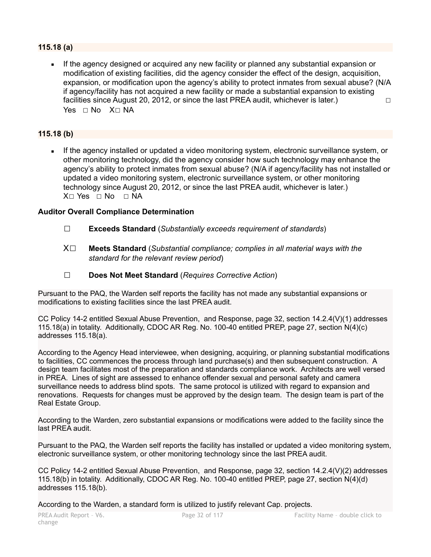# **115.18 (a)**

If the agency designed or acquired any new facility or planned any substantial expansion or modification of existing facilities, did the agency consider the effect of the design, acquisition, expansion, or modification upon the agency's ability to protect inmates from sexual abuse? (N/A if agency/facility has not acquired a new facility or made a substantial expansion to existing facilities since August 20, 2012, or since the last PREA audit, whichever is later.)  $\Box$ Yes ⊓ No X⊓ NA

# **115.18 (b)**

**EXED 15 If the agency installed or updated a video monitoring system, electronic surveillance system, or** other monitoring technology, did the agency consider how such technology may enhance the agency's ability to protect inmates from sexual abuse? (N/A if agency/facility has not installed or updated a video monitoring system, electronic surveillance system, or other monitoring technology since August 20, 2012, or since the last PREA audit, whichever is later.) X□ Yes □ No □ NA

# **Auditor Overall Compliance Determination**

- ☐ **Exceeds Standard** (*Substantially exceeds requirement of standards*)
- X☐ **Meets Standard** (*Substantial compliance; complies in all material ways with the standard for the relevant review period*)
- ☐ **Does Not Meet Standard** (*Requires Corrective Action*)

Pursuant to the PAQ, the Warden self reports the facility has not made any substantial expansions or modifications to existing facilities since the last PREA audit.

CC Policy 14-2 entitled Sexual Abuse Prevention, and Response, page 32, section 14.2.4(V)(1) addresses 115.18(a) in totality. Additionally, CDOC AR Reg. No. 100-40 entitled PREP, page 27, section N(4)(c) addresses 115.18(a).

According to the Agency Head interviewee, when designing, acquiring, or planning substantial modifications to facilities, CC commences the process through land purchase(s) and then subsequent construction. A design team facilitates most of the preparation and standards compliance work. Architects are well versed in PREA. Lines of sight are assessed to enhance offender sexual and personal safety and camera surveillance needs to address blind spots. The same protocol is utilized with regard to expansion and renovations. Requests for changes must be approved by the design team. The design team is part of the Real Estate Group.

According to the Warden, zero substantial expansions or modifications were added to the facility since the last PREA audit.

Pursuant to the PAQ, the Warden self reports the facility has installed or updated a video monitoring system, electronic surveillance system, or other monitoring technology since the last PREA audit.

CC Policy 14-2 entitled Sexual Abuse Prevention, and Response, page 32, section 14.2.4(V)(2) addresses 115.18(b) in totality. Additionally, CDOC AR Reg. No. 100-40 entitled PREP, page 27, section N(4)(d) addresses 115.18(b).

According to the Warden, a standard form is utilized to justify relevant Cap. projects.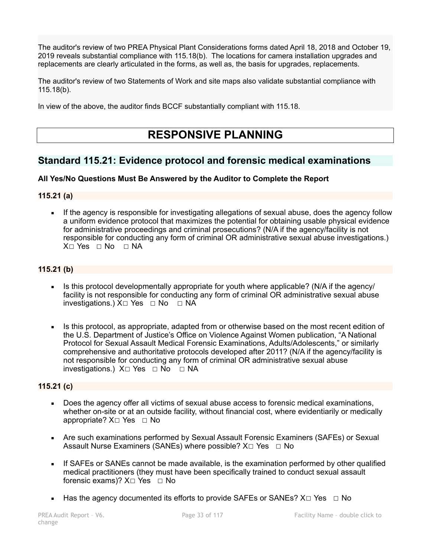The auditor's review of two PREA Physical Plant Considerations forms dated April 18, 2018 and October 19, 2019 reveals substantial compliance with 115.18(b). The locations for camera installation upgrades and replacements are clearly articulated in the forms, as well as, the basis for upgrades, replacements.

The auditor's review of two Statements of Work and site maps also validate substantial compliance with 115.18(b).

In view of the above, the auditor finds BCCF substantially compliant with 115.18.

# **RESPONSIVE PLANNING**

# **Standard 115.21: Evidence protocol and forensic medical examinations**

# **All Yes/No Questions Must Be Answered by the Auditor to Complete the Report**

# **115.21 (a)**

**EXECT If the agency is responsible for investigating allegations of sexual abuse, does the agency follow** a uniform evidence protocol that maximizes the potential for obtaining usable physical evidence for administrative proceedings and criminal prosecutions? (N/A if the agency/facility is not responsible for conducting any form of criminal OR administrative sexual abuse investigations.) X□ Yes □ No □ NA

# **115.21 (b)**

- Is this protocol developmentally appropriate for youth where applicable? (N/A if the agency/ facility is not responsible for conducting any form of criminal OR administrative sexual abuse investigations.) X□ Yes □ No □ NA
- Is this protocol, as appropriate, adapted from or otherwise based on the most recent edition of the U.S. Department of Justice's Office on Violence Against Women publication, "A National Protocol for Sexual Assault Medical Forensic Examinations, Adults/Adolescents," or similarly comprehensive and authoritative protocols developed after 2011? (N/A if the agency/facility is not responsible for conducting any form of criminal OR administrative sexual abuse investigations.) X☐ Yes ☐ No ☐ NA

# **115.21 (c)**

- Does the agency offer all victims of sexual abuse access to forensic medical examinations, whether on-site or at an outside facility, without financial cost, where evidentiarily or medically appropriate? X□ Yes □ No
- **EXAGE 25 Are such examinations performed by Sexual Assault Forensic Examiners (SAFEs) or Sexual** Assault Nurse Examiners (SANEs) where possible?  $X \Box Y$ es  $\Box$  No
- If SAFEs or SANEs cannot be made available, is the examination performed by other qualified medical practitioners (they must have been specifically trained to conduct sexual assault forensic exams)?  $X□$  Yes  $□$  No
- **■** Has the agency documented its efforts to provide SAFEs or SANEs?  $X \Box Y$ es  $\Box$  No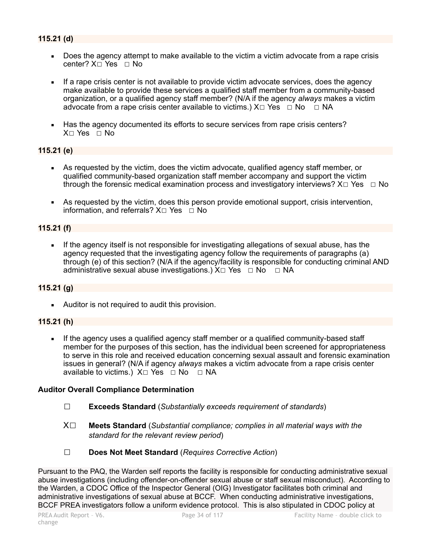- Does the agency attempt to make available to the victim a victim advocate from a rape crisis center? X□ Yes □ No
- If a rape crisis center is not available to provide victim advocate services, does the agency make available to provide these services a qualified staff member from a community-based organization, or a qualified agency staff member? (N/A if the agency *always* makes a victim advocate from a rape crisis center available to victims.)  $X \Box Y$ es  $\Box$  No  $\Box$  NA
- Has the agency documented its efforts to secure services from rape crisis centers?  $X \cap Yes \cap No$

# **115.21 (e)**

- As requested by the victim, does the victim advocate, qualified agency staff member, or qualified community-based organization staff member accompany and support the victim through the forensic medical examination process and investigatory interviews?  $X \Box Y$ es  $\Box$  No
- As requested by the victim, does this person provide emotional support, crisis intervention, information, and referrals? X□ Yes □ No

### **115.21 (f)**

If the agency itself is not responsible for investigating allegations of sexual abuse, has the agency requested that the investigating agency follow the requirements of paragraphs (a) through (e) of this section? (N/A if the agency/facility is responsible for conducting criminal AND administrative sexual abuse investigations.)  $X \Box Y$ es  $\Box$  No  $\Box$  NA

# **115.21 (g)**

**EXECUTE:** Auditor is not required to audit this provision.

#### **115.21 (h)**

**•** If the agency uses a qualified agency staff member or a qualified community-based staff member for the purposes of this section, has the individual been screened for appropriateness to serve in this role and received education concerning sexual assault and forensic examination issues in general? (N/A if agency *always* makes a victim advocate from a rape crisis center available to victims.) X□ Yes □ No □ NA

#### **Auditor Overall Compliance Determination**

- ☐ **Exceeds Standard** (*Substantially exceeds requirement of standards*)
- X☐ **Meets Standard** (*Substantial compliance; complies in all material ways with the standard for the relevant review period*)
- ☐ **Does Not Meet Standard** (*Requires Corrective Action*)

Pursuant to the PAQ, the Warden self reports the facility is responsible for conducting administrative sexual abuse investigations (including offender-on-offender sexual abuse or staff sexual misconduct). According to the Warden, a CDOC Office of the Inspector General (OIG) Investigator facilitates both criminal and administrative investigations of sexual abuse at BCCF. When conducting administrative investigations, BCCF PREA investigators follow a uniform evidence protocol. This is also stipulated in CDOC policy at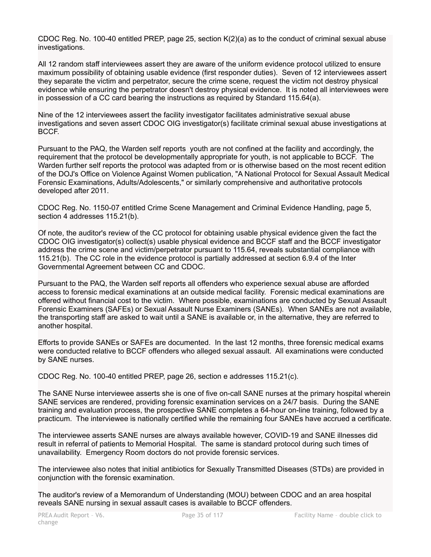CDOC Reg. No. 100-40 entitled PREP, page 25, section K(2)(a) as to the conduct of criminal sexual abuse investigations.

All 12 random staff interviewees assert they are aware of the uniform evidence protocol utilized to ensure maximum possibility of obtaining usable evidence (first responder duties). Seven of 12 interviewees assert they separate the victim and perpetrator, secure the crime scene, request the victim not destroy physical evidence while ensuring the perpetrator doesn't destroy physical evidence. It is noted all interviewees were in possession of a CC card bearing the instructions as required by Standard 115.64(a).

Nine of the 12 interviewees assert the facility investigator facilitates administrative sexual abuse investigations and seven assert CDOC OIG investigator(s) facilitate criminal sexual abuse investigations at BCCF.

Pursuant to the PAQ, the Warden self reports youth are not confined at the facility and accordingly, the requirement that the protocol be developmentally appropriate for youth, is not applicable to BCCF. The Warden further self reports the protocol was adapted from or is otherwise based on the most recent edition of the DOJ's Office on Violence Against Women publication, "A National Protocol for Sexual Assault Medical Forensic Examinations, Adults/Adolescents," or similarly comprehensive and authoritative protocols developed after 2011.

CDOC Reg. No. 1150-07 entitled Crime Scene Management and Criminal Evidence Handling, page 5, section 4 addresses 115.21(b).

Of note, the auditor's review of the CC protocol for obtaining usable physical evidence given the fact the CDOC OIG investigator(s) collect(s) usable physical evidence and BCCF staff and the BCCF investigator address the crime scene and victim/perpetrator pursuant to 115.64, reveals substantial compliance with 115.21(b). The CC role in the evidence protocol is partially addressed at section 6.9.4 of the Inter Governmental Agreement between CC and CDOC.

Pursuant to the PAQ, the Warden self reports all offenders who experience sexual abuse are afforded access to forensic medical examinations at an outside medical facility. Forensic medical examinations are offered without financial cost to the victim. Where possible, examinations are conducted by Sexual Assault Forensic Examiners (SAFEs) or Sexual Assault Nurse Examiners (SANEs). When SANEs are not available, the transporting staff are asked to wait until a SANE is available or, in the alternative, they are referred to another hospital.

Efforts to provide SANEs or SAFEs are documented. In the last 12 months, three forensic medical exams were conducted relative to BCCF offenders who alleged sexual assault. All examinations were conducted by SANE nurses.

CDOC Reg. No. 100-40 entitled PREP, page 26, section e addresses 115.21(c).

The SANE Nurse interviewee asserts she is one of five on-call SANE nurses at the primary hospital wherein SANE services are rendered, providing forensic examination services on a 24/7 basis. During the SANE training and evaluation process, the prospective SANE completes a 64-hour on-line training, followed by a practicum. The interviewee is nationally certified while the remaining four SANEs have accrued a certificate.

The interviewee asserts SANE nurses are always available however, COVID-19 and SANE illnesses did result in referral of patients to Memorial Hospital. The same is standard protocol during such times of unavailability. Emergency Room doctors do not provide forensic services.

The interviewee also notes that initial antibiotics for Sexually Transmitted Diseases (STDs) are provided in conjunction with the forensic examination.

The auditor's review of a Memorandum of Understanding (MOU) between CDOC and an area hospital reveals SANE nursing in sexual assault cases is available to BCCF offenders.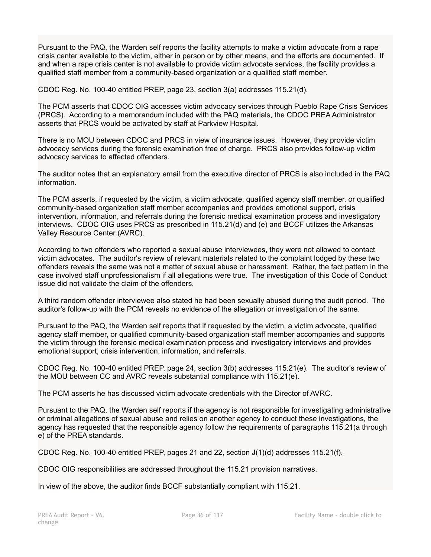Pursuant to the PAQ, the Warden self reports the facility attempts to make a victim advocate from a rape crisis center available to the victim, either in person or by other means, and the efforts are documented. If and when a rape crisis center is not available to provide victim advocate services, the facility provides a qualified staff member from a community-based organization or a qualified staff member.

CDOC Reg. No. 100-40 entitled PREP, page 23, section 3(a) addresses 115.21(d).

The PCM asserts that CDOC OIG accesses victim advocacy services through Pueblo Rape Crisis Services (PRCS). According to a memorandum included with the PAQ materials, the CDOC PREA Administrator asserts that PRCS would be activated by staff at Parkview Hospital.

There is no MOU between CDOC and PRCS in view of insurance issues. However, they provide victim advocacy services during the forensic examination free of charge. PRCS also provides follow-up victim advocacy services to affected offenders.

The auditor notes that an explanatory email from the executive director of PRCS is also included in the PAQ information.

The PCM asserts, if requested by the victim, a victim advocate, qualified agency staff member, or qualified community-based organization staff member accompanies and provides emotional support, crisis intervention, information, and referrals during the forensic medical examination process and investigatory interviews. CDOC OIG uses PRCS as prescribed in 115.21(d) and (e) and BCCF utilizes the Arkansas Valley Resource Center (AVRC).

According to two offenders who reported a sexual abuse interviewees, they were not allowed to contact victim advocates. The auditor's review of relevant materials related to the complaint lodged by these two offenders reveals the same was not a matter of sexual abuse or harassment. Rather, the fact pattern in the case involved staff unprofessionalism if all allegations were true. The investigation of this Code of Conduct issue did not validate the claim of the offenders.

A third random offender interviewee also stated he had been sexually abused during the audit period. The auditor's follow-up with the PCM reveals no evidence of the allegation or investigation of the same.

Pursuant to the PAQ, the Warden self reports that if requested by the victim, a victim advocate, qualified agency staff member, or qualified community-based organization staff member accompanies and supports the victim through the forensic medical examination process and investigatory interviews and provides emotional support, crisis intervention, information, and referrals.

CDOC Reg. No. 100-40 entitled PREP, page 24, section 3(b) addresses 115.21(e). The auditor's review of the MOU between CC and AVRC reveals substantial compliance with 115.21(e).

The PCM asserts he has discussed victim advocate credentials with the Director of AVRC.

Pursuant to the PAQ, the Warden self reports if the agency is not responsible for investigating administrative or criminal allegations of sexual abuse and relies on another agency to conduct these investigations, the agency has requested that the responsible agency follow the requirements of paragraphs 115.21(a through e) of the PREA standards.

CDOC Reg. No. 100-40 entitled PREP, pages 21 and 22, section J(1)(d) addresses 115.21(f).

CDOC OIG responsibilities are addressed throughout the 115.21 provision narratives.

In view of the above, the auditor finds BCCF substantially compliant with 115.21.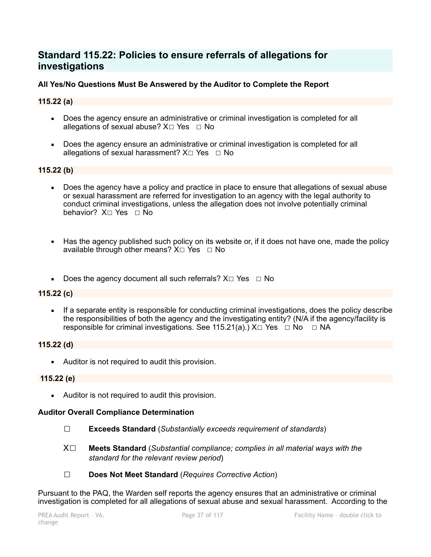# **Standard 115.22: Policies to ensure referrals of allegations for investigations**

## **All Yes/No Questions Must Be Answered by the Auditor to Complete the Report**

#### **115.22 (a)**

- Does the agency ensure an administrative or criminal investigation is completed for all allegations of sexual abuse?  $X \Box Y$ es  $\Box$  No
- Does the agency ensure an administrative or criminal investigation is completed for all allegations of sexual harassment?  $X \square Y$ es  $\square N$ o

#### **115.22 (b)**

- Does the agency have a policy and practice in place to ensure that allegations of sexual abuse or sexual harassment are referred for investigation to an agency with the legal authority to conduct criminal investigations, unless the allegation does not involve potentially criminal behavior? X□ Yes □ No
- Has the agency published such policy on its website or, if it does not have one, made the policy available through other means?  $X \square Y$ es  $\square N$ o
- Does the agency document all such referrals? X $□$  Yes  $□$  No

#### **115.22 (c)**

**EXECT** If a separate entity is responsible for conducting criminal investigations, does the policy describe the responsibilities of both the agency and the investigating entity? (N/A if the agency/facility is responsible for criminal investigations. See 115.21(a).)  $X\square Y$ es  $\square$  No  $\square$  NA

#### **115.22 (d)**

■ Auditor is not required to audit this provision.

#### **115.22 (e)**

**EXECUTE:** Auditor is not required to audit this provision.

#### **Auditor Overall Compliance Determination**

- ☐ **Exceeds Standard** (*Substantially exceeds requirement of standards*)
- X☐ **Meets Standard** (*Substantial compliance; complies in all material ways with the standard for the relevant review period*)
- ☐ **Does Not Meet Standard** (*Requires Corrective Action*)

Pursuant to the PAQ, the Warden self reports the agency ensures that an administrative or criminal investigation is completed for all allegations of sexual abuse and sexual harassment. According to the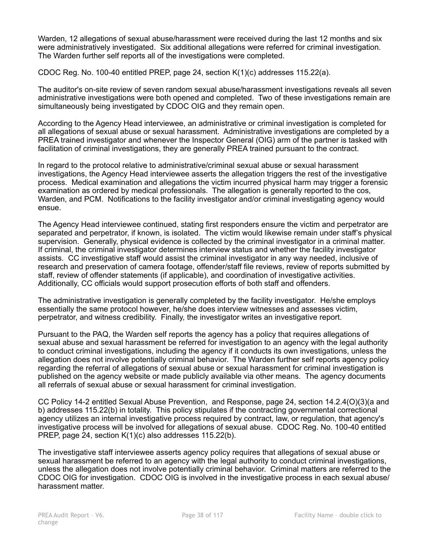Warden, 12 allegations of sexual abuse/harassment were received during the last 12 months and six were administratively investigated. Six additional allegations were referred for criminal investigation. The Warden further self reports all of the investigations were completed.

CDOC Reg. No. 100-40 entitled PREP, page 24, section K(1)(c) addresses 115.22(a).

The auditor's on-site review of seven random sexual abuse/harassment investigations reveals all seven administrative investigations were both opened and completed. Two of these investigations remain are simultaneously being investigated by CDOC OIG and they remain open.

According to the Agency Head interviewee, an administrative or criminal investigation is completed for all allegations of sexual abuse or sexual harassment. Administrative investigations are completed by a PREA trained investigator and whenever the Inspector General (OIG) arm of the partner is tasked with facilitation of criminal investigations, they are generally PREA trained pursuant to the contract.

In regard to the protocol relative to administrative/criminal sexual abuse or sexual harassment investigations, the Agency Head interviewee asserts the allegation triggers the rest of the investigative process. Medical examination and allegations the victim incurred physical harm may trigger a forensic examination as ordered by medical professionals. The allegation is generally reported to the cos, Warden, and PCM. Notifications to the facility investigator and/or criminal investigating agency would ensue.

The Agency Head interviewee continued, stating first responders ensure the victim and perpetrator are separated and perpetrator, if known, is isolated. The victim would likewise remain under staff's physical supervision. Generally, physical evidence is collected by the criminal investigator in a criminal matter. If criminal, the criminal investigator determines interview status and whether the facility investigator assists. CC investigative staff would assist the criminal investigator in any way needed, inclusive of research and preservation of camera footage, offender/staff file reviews, review of reports submitted by staff, review of offender statements (if applicable), and coordination of investigative activities. Additionally, CC officials would support prosecution efforts of both staff and offenders.

The administrative investigation is generally completed by the facility investigator. He/she employs essentially the same protocol however, he/she does interview witnesses and assesses victim, perpetrator, and witness credibility. Finally, the investigator writes an investigative report.

Pursuant to the PAQ, the Warden self reports the agency has a policy that requires allegations of sexual abuse and sexual harassment be referred for investigation to an agency with the legal authority to conduct criminal investigations, including the agency if it conducts its own investigations, unless the allegation does not involve potentially criminal behavior. The Warden further self reports agency policy regarding the referral of allegations of sexual abuse or sexual harassment for criminal investigation is published on the agency website or made publicly available via other means. The agency documents all referrals of sexual abuse or sexual harassment for criminal investigation.

CC Policy 14-2 entitled Sexual Abuse Prevention, and Response, page 24, section 14.2.4(O)(3)(a and b) addresses 115.22(b) in totality. This policy stipulates if the contracting governmental correctional agency utilizes an internal investigative process required by contract, law, or regulation, that agency's investigative process will be involved for allegations of sexual abuse. CDOC Reg. No. 100-40 entitled PREP, page 24, section K(1)(c) also addresses 115.22(b).

The investigative staff interviewee asserts agency policy requires that allegations of sexual abuse or sexual harassment be referred to an agency with the legal authority to conduct criminal investigations, unless the allegation does not involve potentially criminal behavior. Criminal matters are referred to the CDOC OIG for investigation. CDOC OIG is involved in the investigative process in each sexual abuse/ harassment matter.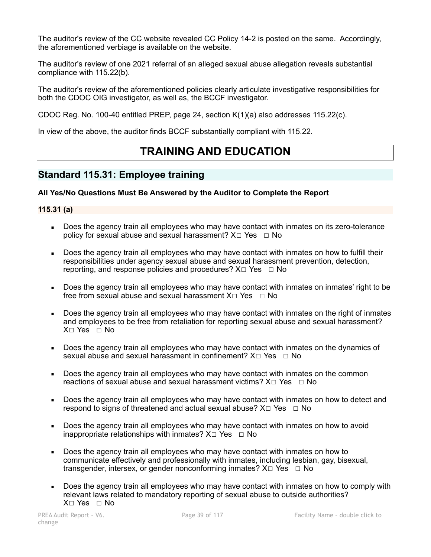The auditor's review of the CC website revealed CC Policy 14-2 is posted on the same. Accordingly, the aforementioned verbiage is available on the website.

The auditor's review of one 2021 referral of an alleged sexual abuse allegation reveals substantial compliance with 115.22(b).

The auditor's review of the aforementioned policies clearly articulate investigative responsibilities for both the CDOC OIG investigator, as well as, the BCCF investigator.

CDOC Reg. No. 100-40 entitled PREP, page 24, section  $K(1)(a)$  also addresses 115.22(c).

In view of the above, the auditor finds BCCF substantially compliant with 115.22.

# **TRAINING AND EDUCATION**

# **Standard 115.31: Employee training**

## **All Yes/No Questions Must Be Answered by the Auditor to Complete the Report**

#### **115.31 (a)**

- Does the agency train all employees who may have contact with inmates on its zero-tolerance policy for sexual abuse and sexual harassment?  $X \Box Y$ es  $\Box$  No
- Does the agency train all employees who may have contact with inmates on how to fulfill their responsibilities under agency sexual abuse and sexual harassment prevention, detection, reporting, and response policies and procedures?  $X \square Y$ es  $\square$  No
- Does the agency train all employees who may have contact with inmates on inmates' right to be free from sexual abuse and sexual harassment  $X \cap Yes \cap No$
- Does the agency train all employees who may have contact with inmates on the right of inmates and employees to be free from retaliation for reporting sexual abuse and sexual harassment? X☐ Yes ☐ No
- Does the agency train all employees who may have contact with inmates on the dynamics of sexual abuse and sexual harassment in confinement?  $X \Box Y$ es  $\Box$  No
- Does the agency train all employees who may have contact with inmates on the common reactions of sexual abuse and sexual harassment victims?  $X \Box Y$ es  $\Box$  No
- Does the agency train all employees who may have contact with inmates on how to detect and respond to signs of threatened and actual sexual abuse?  $X \Box Y$ es  $\Box$  No
- Does the agency train all employees who may have contact with inmates on how to avoid inappropriate relationships with inmates?  $X \Box Y$ es  $\Box$  No
- Does the agency train all employees who may have contact with inmates on how to communicate effectively and professionally with inmates, including lesbian, gay, bisexual, transgender, intersex, or gender nonconforming inmates?  $X \Box Y$ es  $\Box$  No
- Does the agency train all employees who may have contact with inmates on how to comply with relevant laws related to mandatory reporting of sexual abuse to outside authorities? X☐ Yes ☐ No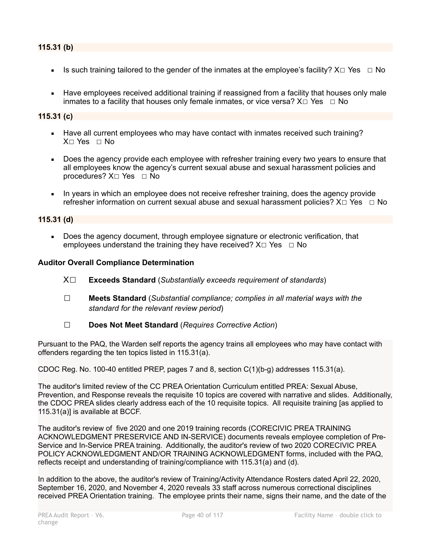- Is such training tailored to the gender of the inmates at the employee's facility?  $X \Box Y$ es  $\Box$  No
- Have employees received additional training if reassigned from a facility that houses only male inmates to a facility that houses only female inmates, or vice versa?  $X \Box Y$ es  $\Box$  No

#### **115.31 (c)**

- Have all current employees who may have contact with inmates received such training?  $X \cap Yes \cap No$
- Does the agency provide each employee with refresher training every two years to ensure that all employees know the agency's current sexual abuse and sexual harassment policies and procedures?  $X□$  Yes  $□$  No
- In years in which an employee does not receive refresher training, does the agency provide refresher information on current sexual abuse and sexual harassment policies? X□ Yes □ No

#### **115.31 (d)**

▪ Does the agency document, through employee signature or electronic verification, that employees understand the training they have received?  $X \Box Y$ es  $\Box$  No

#### **Auditor Overall Compliance Determination**

- X☐ **Exceeds Standard** (*Substantially exceeds requirement of standards*)
- ☐ **Meets Standard** (*Substantial compliance; complies in all material ways with the standard for the relevant review period*)
- ☐ **Does Not Meet Standard** (*Requires Corrective Action*)

Pursuant to the PAQ, the Warden self reports the agency trains all employees who may have contact with offenders regarding the ten topics listed in 115.31(a).

CDOC Reg. No. 100-40 entitled PREP, pages 7 and 8, section C(1)(b-g) addresses 115.31(a).

The auditor's limited review of the CC PREA Orientation Curriculum entitled PREA: Sexual Abuse, Prevention, and Response reveals the requisite 10 topics are covered with narrative and slides. Additionally, the CDOC PREA slides clearly address each of the 10 requisite topics. All requisite training [as applied to 115.31(a)] is available at BCCF.

The auditor's review of five 2020 and one 2019 training records (CORECIVIC PREA TRAINING ACKNOWLEDGMENT PRESERVICE AND IN-SERVICE) documents reveals employee completion of Pre-Service and In-Service PREA training. Additionally, the auditor's review of two 2020 CORECIVIC PREA POLICY ACKNOWLEDGMENT AND/OR TRAINING ACKNOWLEDGMENT forms, included with the PAQ, reflects receipt and understanding of training/compliance with 115.31(a) and (d).

In addition to the above, the auditor's review of Training/Activity Attendance Rosters dated April 22, 2020, September 16, 2020, and November 4, 2020 reveals 33 staff across numerous correctional disciplines received PREA Orientation training. The employee prints their name, signs their name, and the date of the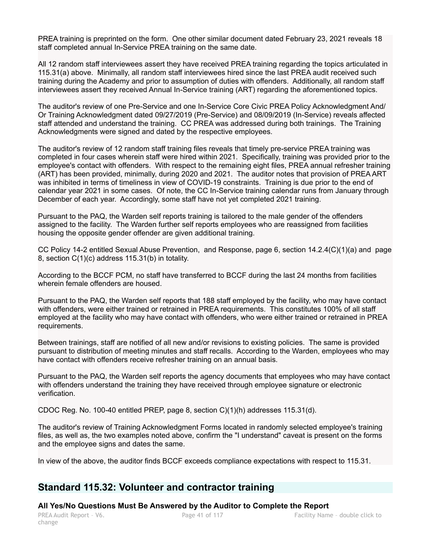PREA training is preprinted on the form. One other similar document dated February 23, 2021 reveals 18 staff completed annual In-Service PREA training on the same date.

All 12 random staff interviewees assert they have received PREA training regarding the topics articulated in 115.31(a) above. Minimally, all random staff interviewees hired since the last PREA audit received such training during the Academy and prior to assumption of duties with offenders. Additionally, all random staff interviewees assert they received Annual In-Service training (ART) regarding the aforementioned topics.

The auditor's review of one Pre-Service and one In-Service Core Civic PREA Policy Acknowledgment And/ Or Training Acknowledgment dated 09/27/2019 (Pre-Service) and 08/09/2019 (In-Service) reveals affected staff attended and understand the training. CC PREA was addressed during both trainings. The Training Acknowledgments were signed and dated by the respective employees.

The auditor's review of 12 random staff training files reveals that timely pre-service PREA training was completed in four cases wherein staff were hired within 2021. Specifically, training was provided prior to the employee's contact with offenders. With respect to the remaining eight files, PREA annual refresher training (ART) has been provided, minimally, during 2020 and 2021. The auditor notes that provision of PREA ART was inhibited in terms of timeliness in view of COVID-19 constraints. Training is due prior to the end of calendar year 2021 in some cases. Of note, the CC In-Service training calendar runs from January through December of each year. Accordingly, some staff have not yet completed 2021 training.

Pursuant to the PAQ, the Warden self reports training is tailored to the male gender of the offenders assigned to the facility. The Warden further self reports employees who are reassigned from facilities housing the opposite gender offender are given additional training.

CC Policy 14-2 entitled Sexual Abuse Prevention, and Response, page 6, section 14.2.4(C)(1)(a) and page 8, section C(1)(c) address 115.31(b) in totality.

According to the BCCF PCM, no staff have transferred to BCCF during the last 24 months from facilities wherein female offenders are housed.

Pursuant to the PAQ, the Warden self reports that 188 staff employed by the facility, who may have contact with offenders, were either trained or retrained in PREA requirements. This constitutes 100% of all staff employed at the facility who may have contact with offenders, who were either trained or retrained in PREA requirements.

Between trainings, staff are notified of all new and/or revisions to existing policies. The same is provided pursuant to distribution of meeting minutes and staff recalls. According to the Warden, employees who may have contact with offenders receive refresher training on an annual basis.

Pursuant to the PAQ, the Warden self reports the agency documents that employees who may have contact with offenders understand the training they have received through employee signature or electronic verification.

CDOC Reg. No. 100-40 entitled PREP, page 8, section C)(1)(h) addresses 115.31(d).

The auditor's review of Training Acknowledgment Forms located in randomly selected employee's training files, as well as, the two examples noted above, confirm the "I understand" caveat is present on the forms and the employee signs and dates the same.

In view of the above, the auditor finds BCCF exceeds compliance expectations with respect to 115.31.

# **Standard 115.32: Volunteer and contractor training**

#### **All Yes/No Questions Must Be Answered by the Auditor to Complete the Report**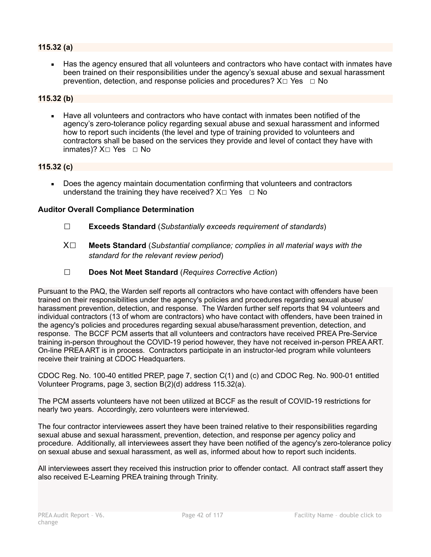## **115.32 (a)**

■ Has the agency ensured that all volunteers and contractors who have contact with inmates have been trained on their responsibilities under the agency's sexual abuse and sexual harassment prevention, detection, and response policies and procedures?  $X \Box Y$ es  $\Box$  No

## **115.32 (b)**

**EXECT** Have all volunteers and contractors who have contact with inmates been notified of the agency's zero-tolerance policy regarding sexual abuse and sexual harassment and informed how to report such incidents (the level and type of training provided to volunteers and contractors shall be based on the services they provide and level of contact they have with inmates)? X□ Yes □ No

## **115.32 (c)**

Does the agency maintain documentation confirming that volunteers and contractors understand the training they have received?  $X \Box Y$ es  $\Box$  No

#### **Auditor Overall Compliance Determination**

- ☐ **Exceeds Standard** (*Substantially exceeds requirement of standards*)
- X☐ **Meets Standard** (*Substantial compliance; complies in all material ways with the standard for the relevant review period*)
- ☐ **Does Not Meet Standard** (*Requires Corrective Action*)

Pursuant to the PAQ, the Warden self reports all contractors who have contact with offenders have been trained on their responsibilities under the agency's policies and procedures regarding sexual abuse/ harassment prevention, detection, and response. The Warden further self reports that 94 volunteers and individual contractors (13 of whom are contractors) who have contact with offenders, have been trained in the agency's policies and procedures regarding sexual abuse/harassment prevention, detection, and response. The BCCF PCM asserts that all volunteers and contractors have received PREA Pre-Service training in-person throughout the COVID-19 period however, they have not received in-person PREA ART. On-line PREA ART is in process. Contractors participate in an instructor-led program while volunteers receive their training at CDOC Headquarters.

CDOC Reg. No. 100-40 entitled PREP, page 7, section C(1) and (c) and CDOC Reg. No. 900-01 entitled Volunteer Programs, page 3, section B(2)(d) address 115.32(a).

The PCM asserts volunteers have not been utilized at BCCF as the result of COVID-19 restrictions for nearly two years. Accordingly, zero volunteers were interviewed.

The four contractor interviewees assert they have been trained relative to their responsibilities regarding sexual abuse and sexual harassment, prevention, detection, and response per agency policy and procedure. Additionally, all interviewees assert they have been notified of the agency's zero-tolerance policy on sexual abuse and sexual harassment, as well as, informed about how to report such incidents.

All interviewees assert they received this instruction prior to offender contact. All contract staff assert they also received E-Learning PREA training through Trinity.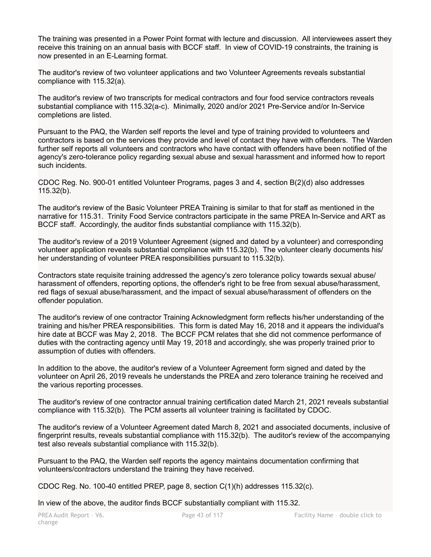The training was presented in a Power Point format with lecture and discussion. All interviewees assert they receive this training on an annual basis with BCCF staff. In view of COVID-19 constraints, the training is now presented in an E-Learning format.

The auditor's review of two volunteer applications and two Volunteer Agreements reveals substantial compliance with 115.32(a).

The auditor's review of two transcripts for medical contractors and four food service contractors reveals substantial compliance with 115.32(a-c). Minimally, 2020 and/or 2021 Pre-Service and/or In-Service completions are listed.

Pursuant to the PAQ, the Warden self reports the level and type of training provided to volunteers and contractors is based on the services they provide and level of contact they have with offenders. The Warden further self reports all volunteers and contractors who have contact with offenders have been notified of the agency's zero-tolerance policy regarding sexual abuse and sexual harassment and informed how to report such incidents.

CDOC Reg. No. 900-01 entitled Volunteer Programs, pages 3 and 4, section B(2)(d) also addresses 115.32(b).

The auditor's review of the Basic Volunteer PREA Training is similar to that for staff as mentioned in the narrative for 115.31. Trinity Food Service contractors participate in the same PREA In-Service and ART as BCCF staff. Accordingly, the auditor finds substantial compliance with 115.32(b).

The auditor's review of a 2019 Volunteer Agreement (signed and dated by a volunteer) and corresponding volunteer application reveals substantial compliance with 115.32(b). The volunteer clearly documents his/ her understanding of volunteer PREA responsibilities pursuant to 115.32(b).

Contractors state requisite training addressed the agency's zero tolerance policy towards sexual abuse/ harassment of offenders, reporting options, the offender's right to be free from sexual abuse/harassment, red flags of sexual abuse/harassment, and the impact of sexual abuse/harassment of offenders on the offender population.

The auditor's review of one contractor Training Acknowledgment form reflects his/her understanding of the training and his/her PREA responsibilities. This form is dated May 16, 2018 and it appears the individual's hire date at BCCF was May 2, 2018. The BCCF PCM relates that she did not commence performance of duties with the contracting agency until May 19, 2018 and accordingly, she was properly trained prior to assumption of duties with offenders.

In addition to the above, the auditor's review of a Volunteer Agreement form signed and dated by the volunteer on April 26, 2019 reveals he understands the PREA and zero tolerance training he received and the various reporting processes.

The auditor's review of one contractor annual training certification dated March 21, 2021 reveals substantial compliance with 115.32(b). The PCM asserts all volunteer training is facilitated by CDOC.

The auditor's review of a Volunteer Agreement dated March 8, 2021 and associated documents, inclusive of fingerprint results, reveals substantial compliance with 115.32(b). The auditor's review of the accompanying test also reveals substantial compliance with 115.32(b).

Pursuant to the PAQ, the Warden self reports the agency maintains documentation confirming that volunteers/contractors understand the training they have received.

CDOC Reg. No. 100-40 entitled PREP, page 8, section C(1)(h) addresses 115.32(c).

In view of the above, the auditor finds BCCF substantially compliant with 115.32.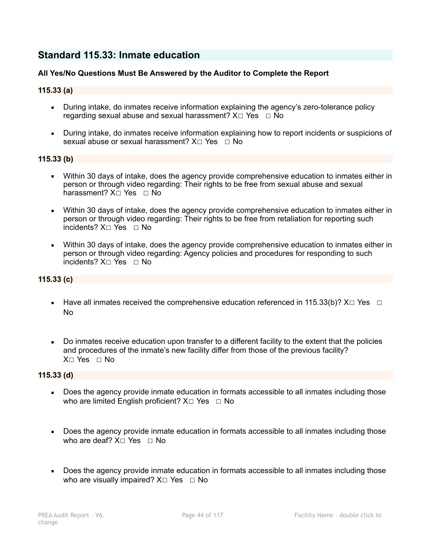# **Standard 115.33: Inmate education**

## **All Yes/No Questions Must Be Answered by the Auditor to Complete the Report**

## **115.33 (a)**

- During intake, do inmates receive information explaining the agency's zero-tolerance policy regarding sexual abuse and sexual harassment?  $X \Box Y$ es  $\Box$  No
- During intake, do inmates receive information explaining how to report incidents or suspicions of sexual abuse or sexual harassment?  $X \cap Yes \cap No$

#### **115.33 (b)**

- Within 30 days of intake, does the agency provide comprehensive education to inmates either in person or through video regarding: Their rights to be free from sexual abuse and sexual harassment? X□ Yes □ No
- Within 30 days of intake, does the agency provide comprehensive education to inmates either in person or through video regarding: Their rights to be free from retaliation for reporting such incidents? X☐ Yes ☐ No
- Within 30 days of intake, does the agency provide comprehensive education to inmates either in person or through video regarding: Agency policies and procedures for responding to such incidents? X☐ Yes ☐ No

## **115.33 (c)**

- Have all inmates received the comprehensive education referenced in 115.33(b)?  $X \Box Y$ es  $\Box$ No
- Do inmates receive education upon transfer to a different facility to the extent that the policies and procedures of the inmate's new facility differ from those of the previous facility? X☐ Yes ☐ No

## **115.33 (d)**

- Does the agency provide inmate education in formats accessible to all inmates including those who are limited English proficient?  $X \square Y$ es  $\square N$ o
- Does the agency provide inmate education in formats accessible to all inmates including those who are deaf?  $X \cap Yes \cap No$
- Does the agency provide inmate education in formats accessible to all inmates including those who are visually impaired?  $X \square Y$ es  $\square$  No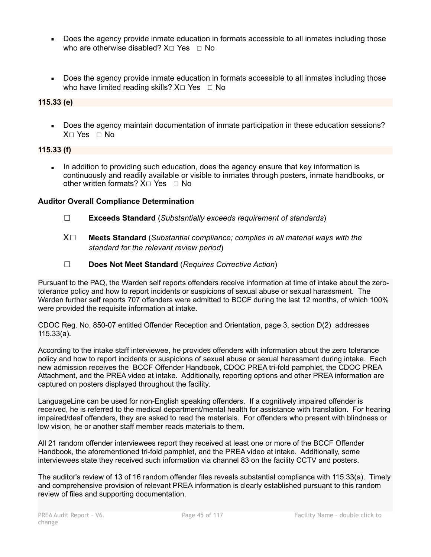- Does the agency provide inmate education in formats accessible to all inmates including those who are otherwise disabled?  $X \cap Yes \cap No$
- Does the agency provide inmate education in formats accessible to all inmates including those who have limited reading skills?  $X \Box Y$ es  $\Box$  No

## **115.33 (e)**

■ Does the agency maintain documentation of inmate participation in these education sessions? X☐ Yes ☐ No

## **115.33 (f)**

**EXECT** In addition to providing such education, does the agency ensure that key information is continuously and readily available or visible to inmates through posters, inmate handbooks, or other written formats? X□ Yes □ No

## **Auditor Overall Compliance Determination**

- ☐ **Exceeds Standard** (*Substantially exceeds requirement of standards*)
- X☐ **Meets Standard** (*Substantial compliance; complies in all material ways with the standard for the relevant review period*)
- ☐ **Does Not Meet Standard** (*Requires Corrective Action*)

Pursuant to the PAQ, the Warden self reports offenders receive information at time of intake about the zerotolerance policy and how to report incidents or suspicions of sexual abuse or sexual harassment. The Warden further self reports 707 offenders were admitted to BCCF during the last 12 months, of which 100% were provided the requisite information at intake.

CDOC Reg. No. 850-07 entitled Offender Reception and Orientation, page 3, section D(2) addresses 115.33(a).

According to the intake staff interviewee, he provides offenders with information about the zero tolerance policy and how to report incidents or suspicions of sexual abuse or sexual harassment during intake. Each new admission receives the BCCF Offender Handbook, CDOC PREA tri-fold pamphlet, the CDOC PREA Attachment, and the PREA video at intake. Additionally, reporting options and other PREA information are captured on posters displayed throughout the facility.

LanguageLine can be used for non-English speaking offenders. If a cognitively impaired offender is received, he is referred to the medical department/mental health for assistance with translation. For hearing impaired/deaf offenders, they are asked to read the materials. For offenders who present with blindness or low vision, he or another staff member reads materials to them.

All 21 random offender interviewees report they received at least one or more of the BCCF Offender Handbook, the aforementioned tri-fold pamphlet, and the PREA video at intake. Additionally, some interviewees state they received such information via channel 83 on the facility CCTV and posters.

The auditor's review of 13 of 16 random offender files reveals substantial compliance with 115.33(a). Timely and comprehensive provision of relevant PREA information is clearly established pursuant to this random review of files and supporting documentation.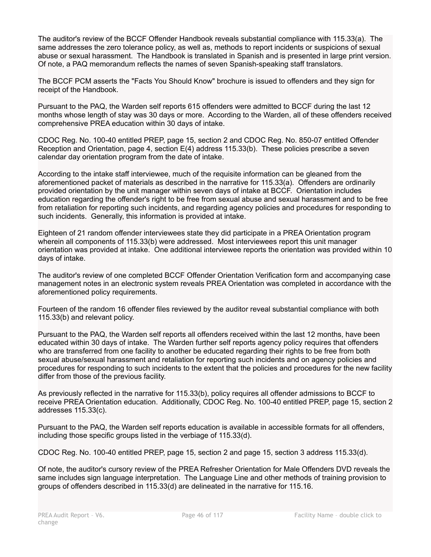The auditor's review of the BCCF Offender Handbook reveals substantial compliance with 115.33(a). The same addresses the zero tolerance policy, as well as, methods to report incidents or suspicions of sexual abuse or sexual harassment. The Handbook is translated in Spanish and is presented in large print version. Of note, a PAQ memorandum reflects the names of seven Spanish-speaking staff translators.

The BCCF PCM asserts the "Facts You Should Know" brochure is issued to offenders and they sign for receipt of the Handbook.

Pursuant to the PAQ, the Warden self reports 615 offenders were admitted to BCCF during the last 12 months whose length of stay was 30 days or more. According to the Warden, all of these offenders received comprehensive PREA education within 30 days of intake.

CDOC Reg. No. 100-40 entitled PREP, page 15, section 2 and CDOC Reg. No. 850-07 entitled Offender Reception and Orientation, page 4, section E(4) address 115.33(b). These policies prescribe a seven calendar day orientation program from the date of intake.

According to the intake staff interviewee, much of the requisite information can be gleaned from the aforementioned packet of materials as described in the narrative for 115.33(a). Offenders are ordinarily provided orientation by the unit manager within seven days of intake at BCCF. Orientation includes education regarding the offender's right to be free from sexual abuse and sexual harassment and to be free from retaliation for reporting such incidents, and regarding agency policies and procedures for responding to such incidents. Generally, this information is provided at intake.

Eighteen of 21 random offender interviewees state they did participate in a PREA Orientation program wherein all components of 115.33(b) were addressed. Most interviewees report this unit manager orientation was provided at intake. One additional interviewee reports the orientation was provided within 10 days of intake.

The auditor's review of one completed BCCF Offender Orientation Verification form and accompanying case management notes in an electronic system reveals PREA Orientation was completed in accordance with the aforementioned policy requirements.

Fourteen of the random 16 offender files reviewed by the auditor reveal substantial compliance with both 115.33(b) and relevant policy.

Pursuant to the PAQ, the Warden self reports all offenders received within the last 12 months, have been educated within 30 days of intake. The Warden further self reports agency policy requires that offenders who are transferred from one facility to another be educated regarding their rights to be free from both sexual abuse/sexual harassment and retaliation for reporting such incidents and on agency policies and procedures for responding to such incidents to the extent that the policies and procedures for the new facility differ from those of the previous facility.

As previously reflected in the narrative for 115.33(b), policy requires all offender admissions to BCCF to receive PREA Orientation education. Additionally, CDOC Reg. No. 100-40 entitled PREP, page 15, section 2 addresses 115.33(c).

Pursuant to the PAQ, the Warden self reports education is available in accessible formats for all offenders, including those specific groups listed in the verbiage of 115.33(d).

CDOC Reg. No. 100-40 entitled PREP, page 15, section 2 and page 15, section 3 address 115.33(d).

Of note, the auditor's cursory review of the PREA Refresher Orientation for Male Offenders DVD reveals the same includes sign language interpretation. The Language Line and other methods of training provision to groups of offenders described in 115.33(d) are delineated in the narrative for 115.16.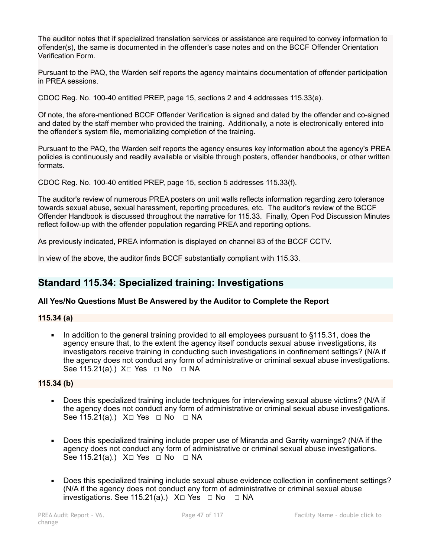The auditor notes that if specialized translation services or assistance are required to convey information to offender(s), the same is documented in the offender's case notes and on the BCCF Offender Orientation Verification Form.

Pursuant to the PAQ, the Warden self reports the agency maintains documentation of offender participation in PREA sessions.

CDOC Reg. No. 100-40 entitled PREP, page 15, sections 2 and 4 addresses 115.33(e).

Of note, the afore-mentioned BCCF Offender Verification is signed and dated by the offender and co-signed and dated by the staff member who provided the training. Additionally, a note is electronically entered into the offender's system file, memorializing completion of the training.

Pursuant to the PAQ, the Warden self reports the agency ensures key information about the agency's PREA policies is continuously and readily available or visible through posters, offender handbooks, or other written formats.

CDOC Reg. No. 100-40 entitled PREP, page 15, section 5 addresses 115.33(f).

The auditor's review of numerous PREA posters on unit walls reflects information regarding zero tolerance towards sexual abuse, sexual harassment, reporting procedures, etc. The auditor's review of the BCCF Offender Handbook is discussed throughout the narrative for 115.33. Finally, Open Pod Discussion Minutes reflect follow-up with the offender population regarding PREA and reporting options.

As previously indicated, PREA information is displayed on channel 83 of the BCCF CCTV.

In view of the above, the auditor finds BCCF substantially compliant with 115.33.

# **Standard 115.34: Specialized training: Investigations**

## **All Yes/No Questions Must Be Answered by the Auditor to Complete the Report**

## **115.34 (a)**

■ In addition to the general training provided to all employees pursuant to §115.31, does the agency ensure that, to the extent the agency itself conducts sexual abuse investigations, its investigators receive training in conducting such investigations in confinement settings? (N/A if the agency does not conduct any form of administrative or criminal sexual abuse investigations. See 115.21(a).) X□ Yes □ No □ NA

#### **115.34 (b)**

- Does this specialized training include techniques for interviewing sexual abuse victims? (N/A if the agency does not conduct any form of administrative or criminal sexual abuse investigations. See 115.21(a).) X□ Yes □ No □ NA
- Does this specialized training include proper use of Miranda and Garrity warnings? (N/A if the agency does not conduct any form of administrative or criminal sexual abuse investigations. See 115.21(a).)  $X \square Y$ es  $\square$  No  $\square$  NA
- Does this specialized training include sexual abuse evidence collection in confinement settings? (N/A if the agency does not conduct any form of administrative or criminal sexual abuse investigations. See 115.21(a).)  $X \Box Y$ es  $\Box$  No  $\Box$  NA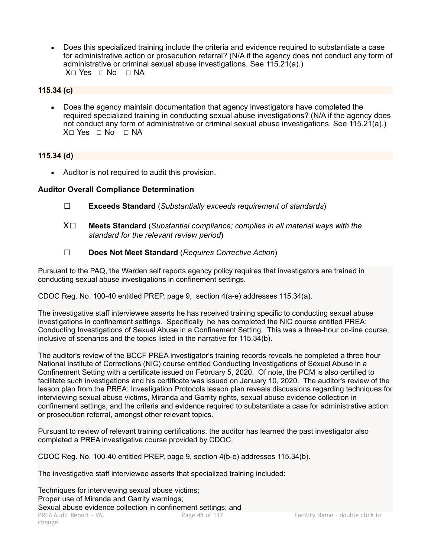Does this specialized training include the criteria and evidence required to substantiate a case for administrative action or prosecution referral? (N/A if the agency does not conduct any form of administrative or criminal sexual abuse investigations. See 115.21(a).)  $X \square Y$ es  $\square$  No  $\square$  NA

## **115.34 (c)**

**• Does the agency maintain documentation that agency investigators have completed the** required specialized training in conducting sexual abuse investigations? (N/A if the agency does not conduct any form of administrative or criminal sexual abuse investigations. See 115.21(a).)  $X \cap Yes \cap No \cap NA$ 

## **115.34 (d)**

■ Auditor is not required to audit this provision.

## **Auditor Overall Compliance Determination**

- ☐ **Exceeds Standard** (*Substantially exceeds requirement of standards*)
- X☐ **Meets Standard** (*Substantial compliance; complies in all material ways with the standard for the relevant review period*)
- ☐ **Does Not Meet Standard** (*Requires Corrective Action*)

Pursuant to the PAQ, the Warden self reports agency policy requires that investigators are trained in conducting sexual abuse investigations in confinement settings.

CDOC Reg. No. 100-40 entitled PREP, page 9, section 4(a-e) addresses 115.34(a).

The investigative staff interviewee asserts he has received training specific to conducting sexual abuse investigations in confinement settings. Specifically, he has completed the NIC course entitled PREA: Conducting Investigations of Sexual Abuse in a Confinement Setting. This was a three-hour on-line course, inclusive of scenarios and the topics listed in the narrative for 115.34(b).

The auditor's review of the BCCF PREA investigator's training records reveals he completed a three hour National Institute of Corrections (NIC) course entitled Conducting Investigations of Sexual Abuse in a Confinement Setting with a certificate issued on February 5, 2020. Of note, the PCM is also certified to facilitate such investigations and his certificate was issued on January 10, 2020. The auditor's review of the lesson plan from the PREA: Investigation Protocols lesson plan reveals discussions regarding techniques for interviewing sexual abuse victims, Miranda and Garrity rights, sexual abuse evidence collection in confinement settings, and the criteria and evidence required to substantiate a case for administrative action or prosecution referral, amongst other relevant topics.

Pursuant to review of relevant training certifications, the auditor has learned the past investigator also completed a PREA investigative course provided by CDOC.

CDOC Reg. No. 100-40 entitled PREP, page 9, section 4(b-e) addresses 115.34(b).

The investigative staff interviewee asserts that specialized training included:

Techniques for interviewing sexual abuse victims; Proper use of Miranda and Garrity warnings; Sexual abuse evidence collection in confinement settings; and<br>PREA Audit Report - V6.<br>Page 48 of 117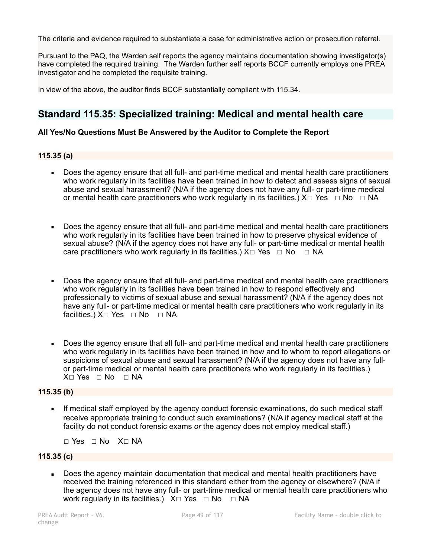The criteria and evidence required to substantiate a case for administrative action or prosecution referral.

Pursuant to the PAQ, the Warden self reports the agency maintains documentation showing investigator(s) have completed the required training. The Warden further self reports BCCF currently employs one PREA investigator and he completed the requisite training.

In view of the above, the auditor finds BCCF substantially compliant with 115.34.

# **Standard 115.35: Specialized training: Medical and mental health care**

#### **All Yes/No Questions Must Be Answered by the Auditor to Complete the Report**

#### **115.35 (a)**

- Does the agency ensure that all full- and part-time medical and mental health care practitioners who work regularly in its facilities have been trained in how to detect and assess signs of sexual abuse and sexual harassment? (N/A if the agency does not have any full- or part-time medical or mental health care practitioners who work regularly in its facilities.)  $X \Box Y$ es  $\Box$  No  $\Box$  NA
- Does the agency ensure that all full- and part-time medical and mental health care practitioners who work regularly in its facilities have been trained in how to preserve physical evidence of sexual abuse? (N/A if the agency does not have any full- or part-time medical or mental health care practitioners who work regularly in its facilities.)  $X \Box Y$ es  $\Box$  No  $\Box$  NA
- Does the agency ensure that all full- and part-time medical and mental health care practitioners who work regularly in its facilities have been trained in how to respond effectively and professionally to victims of sexual abuse and sexual harassment? (N/A if the agency does not have any full- or part-time medical or mental health care practitioners who work regularly in its facilities.) X□ Yes □ No □ NA
- Does the agency ensure that all full- and part-time medical and mental health care practitioners who work regularly in its facilities have been trained in how and to whom to report allegations or suspicions of sexual abuse and sexual harassment? (N/A if the agency does not have any fullor part-time medical or mental health care practitioners who work regularly in its facilities.) X□ Yes □ No □ NA

#### **115.35 (b)**

If medical staff employed by the agency conduct forensic examinations, do such medical staff receive appropriate training to conduct such examinations? (N/A if agency medical staff at the facility do not conduct forensic exams *or* the agency does not employ medical staff.)

☐ Yes ☐ No X☐ NA

## **115.35 (c)**

• Does the agency maintain documentation that medical and mental health practitioners have received the training referenced in this standard either from the agency or elsewhere? (N/A if the agency does not have any full- or part-time medical or mental health care practitioners who work regularly in its facilities.)  $X \square Y$ es  $\square$  No  $\square$  NA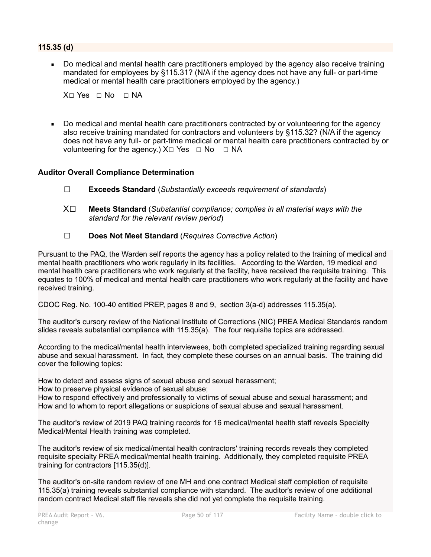## **115.35 (d)**

Do medical and mental health care practitioners employed by the agency also receive training mandated for employees by §115.31? (N/A if the agency does not have any full- or part-time medical or mental health care practitioners employed by the agency.)

 $X \cap Yes \cap No \cap NA$ 

Do medical and mental health care practitioners contracted by or volunteering for the agency also receive training mandated for contractors and volunteers by §115.32? (N/A if the agency does not have any full- or part-time medical or mental health care practitioners contracted by or volunteering for the agency.)  $X \square Y$ es  $\square$  No  $\square$  NA

## **Auditor Overall Compliance Determination**

- ☐ **Exceeds Standard** (*Substantially exceeds requirement of standards*)
- X☐ **Meets Standard** (*Substantial compliance; complies in all material ways with the standard for the relevant review period*)
- ☐ **Does Not Meet Standard** (*Requires Corrective Action*)

Pursuant to the PAQ, the Warden self reports the agency has a policy related to the training of medical and mental health practitioners who work regularly in its facilities. According to the Warden, 19 medical and mental health care practitioners who work regularly at the facility, have received the requisite training. This equates to 100% of medical and mental health care practitioners who work regularly at the facility and have received training.

CDOC Reg. No. 100-40 entitled PREP, pages 8 and 9, section 3(a-d) addresses 115.35(a).

The auditor's cursory review of the National Institute of Corrections (NIC) PREA Medical Standards random slides reveals substantial compliance with 115.35(a). The four requisite topics are addressed.

According to the medical/mental health interviewees, both completed specialized training regarding sexual abuse and sexual harassment. In fact, they complete these courses on an annual basis. The training did cover the following topics:

How to detect and assess signs of sexual abuse and sexual harassment;

How to preserve physical evidence of sexual abuse;

How to respond effectively and professionally to victims of sexual abuse and sexual harassment; and How and to whom to report allegations or suspicions of sexual abuse and sexual harassment.

The auditor's review of 2019 PAQ training records for 16 medical/mental health staff reveals Specialty Medical/Mental Health training was completed.

The auditor's review of six medical/mental health contractors' training records reveals they completed requisite specialty PREA medical/mental health training. Additionally, they completed requisite PREA training for contractors [115.35(d)].

The auditor's on-site random review of one MH and one contract Medical staff completion of requisite 115.35(a) training reveals substantial compliance with standard. The auditor's review of one additional random contract Medical staff file reveals she did not yet complete the requisite training.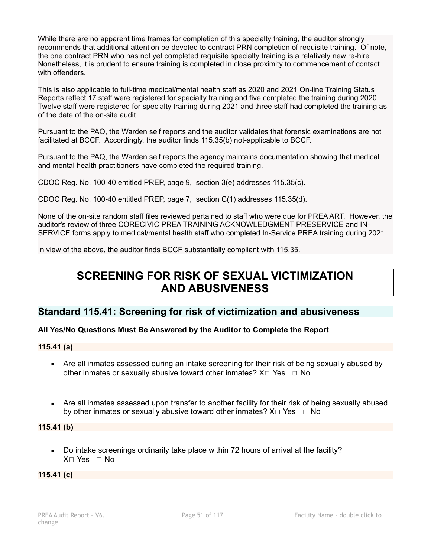While there are no apparent time frames for completion of this specialty training, the auditor strongly recommends that additional attention be devoted to contract PRN completion of requisite training. Of note, the one contract PRN who has not yet completed requisite specialty training is a relatively new re-hire. Nonetheless, it is prudent to ensure training is completed in close proximity to commencement of contact with offenders.

This is also applicable to full-time medical/mental health staff as 2020 and 2021 On-line Training Status Reports reflect 17 staff were registered for specialty training and five completed the training during 2020. Twelve staff were registered for specialty training during 2021 and three staff had completed the training as of the date of the on-site audit.

Pursuant to the PAQ, the Warden self reports and the auditor validates that forensic examinations are not facilitated at BCCF. Accordingly, the auditor finds 115.35(b) not-applicable to BCCF.

Pursuant to the PAQ, the Warden self reports the agency maintains documentation showing that medical and mental health practitioners have completed the required training.

CDOC Reg. No. 100-40 entitled PREP, page 9, section 3(e) addresses 115.35(c).

CDOC Reg. No. 100-40 entitled PREP, page 7, section C(1) addresses 115.35(d).

None of the on-site random staff files reviewed pertained to staff who were due for PREA ART. However, the auditor's review of three CORECIVIC PREA TRAINING ACKNOWLEDGMENT PRESERVICE and IN-SERVICE forms apply to medical/mental health staff who completed In-Service PREA training during 2021.

In view of the above, the auditor finds BCCF substantially compliant with 115.35.

# **SCREENING FOR RISK OF SEXUAL VICTIMIZATION AND ABUSIVENESS**

# **Standard 115.41: Screening for risk of victimization and abusiveness**

## **All Yes/No Questions Must Be Answered by the Auditor to Complete the Report**

**115.41 (a)** 

- Are all inmates assessed during an intake screening for their risk of being sexually abused by other inmates or sexually abusive toward other inmates?  $X \Box Y$ es  $\Box$  No
- Are all inmates assessed upon transfer to another facility for their risk of being sexually abused by other inmates or sexually abusive toward other inmates?  $X \Box Y$ es  $\Box$  No

**115.41 (b)** 

■ Do intake screenings ordinarily take place within 72 hours of arrival at the facility? X□ Yes □ No

**115.41 (c)**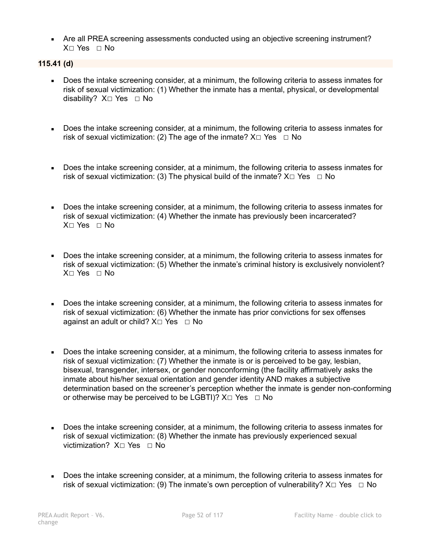■ Are all PREA screening assessments conducted using an objective screening instrument? X□ Yes □ No

**115.41 (d)** 

- Does the intake screening consider, at a minimum, the following criteria to assess inmates for risk of sexual victimization: (1) Whether the inmate has a mental, physical, or developmental disability? X□ Yes □ No
- Does the intake screening consider, at a minimum, the following criteria to assess inmates for risk of sexual victimization: (2) The age of the inmate?  $X \Box Y$ es  $\Box$  No
- Does the intake screening consider, at a minimum, the following criteria to assess inmates for risk of sexual victimization: (3) The physical build of the inmate?  $X \Box Y$ es  $\Box$  No
- Does the intake screening consider, at a minimum, the following criteria to assess inmates for risk of sexual victimization: (4) Whether the inmate has previously been incarcerated? X□ Yes □ No
- Does the intake screening consider, at a minimum, the following criteria to assess inmates for risk of sexual victimization: (5) Whether the inmate's criminal history is exclusively nonviolent? X☐ Yes ☐ No
- Does the intake screening consider, at a minimum, the following criteria to assess inmates for risk of sexual victimization: (6) Whether the inmate has prior convictions for sex offenses against an adult or child?  $X \square Y$ es  $\square$  No
- Does the intake screening consider, at a minimum, the following criteria to assess inmates for risk of sexual victimization: (7) Whether the inmate is or is perceived to be gay, lesbian, bisexual, transgender, intersex, or gender nonconforming (the facility affirmatively asks the inmate about his/her sexual orientation and gender identity AND makes a subjective determination based on the screener's perception whether the inmate is gender non-conforming or otherwise may be perceived to be LGBTI)?  $X \square Y$ es  $\square$  No
- Does the intake screening consider, at a minimum, the following criteria to assess inmates for risk of sexual victimization: (8) Whether the inmate has previously experienced sexual victimization? X□ Yes □ No
- Does the intake screening consider, at a minimum, the following criteria to assess inmates for risk of sexual victimization: (9) The inmate's own perception of vulnerability?  $X \Box Y$ es  $\Box$  No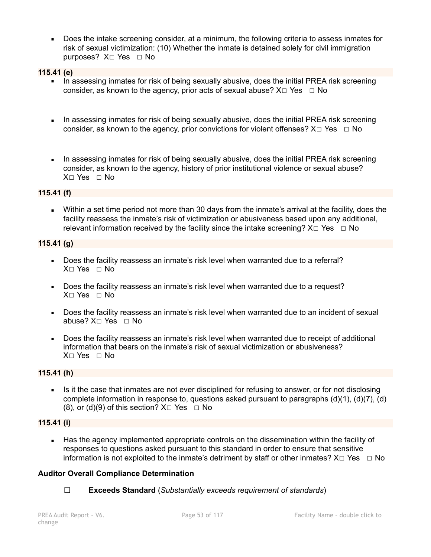■ Does the intake screening consider, at a minimum, the following criteria to assess inmates for risk of sexual victimization: (10) Whether the inmate is detained solely for civil immigration purposes?  $X□$  Yes □ No

#### **115.41 (e)**

- **•** In assessing inmates for risk of being sexually abusive, does the initial PREA risk screening consider, as known to the agency, prior acts of sexual abuse?  $X \Box Y$ es  $\Box$  No
- In assessing inmates for risk of being sexually abusive, does the initial PREA risk screening consider, as known to the agency, prior convictions for violent offenses?  $X \Box Y$ es  $\Box$  No
- **I.** In assessing inmates for risk of being sexually abusive, does the initial PREA risk screening consider, as known to the agency, history of prior institutional violence or sexual abuse? X☐ Yes ☐ No

## **115.41 (f)**

• Within a set time period not more than 30 days from the inmate's arrival at the facility, does the facility reassess the inmate's risk of victimization or abusiveness based upon any additional, relevant information received by the facility since the intake screening?  $X \Box Y$ es  $\Box$  No

#### **115.41 (g)**

- Does the facility reassess an inmate's risk level when warranted due to a referral? X☐ Yes ☐ No
- Does the facility reassess an inmate's risk level when warranted due to a request? X☐ Yes ☐ No
- Does the facility reassess an inmate's risk level when warranted due to an incident of sexual abuse? X☐ Yes ☐ No
- Does the facility reassess an inmate's risk level when warranted due to receipt of additional information that bears on the inmate's risk of sexual victimization or abusiveness? X☐ Yes ☐ No

#### **115.41 (h)**

• Is it the case that inmates are not ever disciplined for refusing to answer, or for not disclosing complete information in response to, questions asked pursuant to paragraphs (d)(1), (d)(7), (d) (8), or (d)(9) of this section?  $X \square Y$ es  $\square$  No

#### **115.41 (i)**

**EXECT** Has the agency implemented appropriate controls on the dissemination within the facility of responses to questions asked pursuant to this standard in order to ensure that sensitive information is not exploited to the inmate's detriment by staff or other inmates?  $X \Box Y$ es  $\Box$  No

#### **Auditor Overall Compliance Determination**

☐ **Exceeds Standard** (*Substantially exceeds requirement of standards*)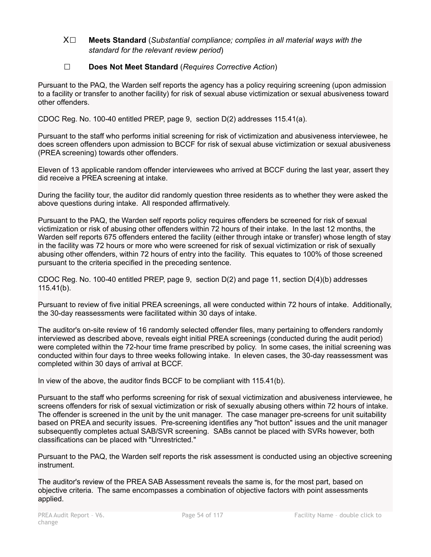## X☐ **Meets Standard** (*Substantial compliance; complies in all material ways with the standard for the relevant review period*)

## ☐ **Does Not Meet Standard** (*Requires Corrective Action*)

Pursuant to the PAQ, the Warden self reports the agency has a policy requiring screening (upon admission to a facility or transfer to another facility) for risk of sexual abuse victimization or sexual abusiveness toward other offenders.

CDOC Reg. No. 100-40 entitled PREP, page 9, section D(2) addresses 115.41(a).

Pursuant to the staff who performs initial screening for risk of victimization and abusiveness interviewee, he does screen offenders upon admission to BCCF for risk of sexual abuse victimization or sexual abusiveness (PREA screening) towards other offenders.

Eleven of 13 applicable random offender interviewees who arrived at BCCF during the last year, assert they did receive a PREA screening at intake.

During the facility tour, the auditor did randomly question three residents as to whether they were asked the above questions during intake. All responded affirmatively.

Pursuant to the PAQ, the Warden self reports policy requires offenders be screened for risk of sexual victimization or risk of abusing other offenders within 72 hours of their intake. In the last 12 months, the Warden self reports 675 offenders entered the facility (either through intake or transfer) whose length of stay in the facility was 72 hours or more who were screened for risk of sexual victimization or risk of sexually abusing other offenders, within 72 hours of entry into the facility. This equates to 100% of those screened pursuant to the criteria specified in the preceding sentence.

CDOC Reg. No. 100-40 entitled PREP, page 9, section D(2) and page 11, section D(4)(b) addresses 115.41(b).

Pursuant to review of five initial PREA screenings, all were conducted within 72 hours of intake. Additionally, the 30-day reassessments were facilitated within 30 days of intake.

The auditor's on-site review of 16 randomly selected offender files, many pertaining to offenders randomly interviewed as described above, reveals eight initial PREA screenings (conducted during the audit period) were completed within the 72-hour time frame prescribed by policy. In some cases, the initial screening was conducted within four days to three weeks following intake. In eleven cases, the 30-day reassessment was completed within 30 days of arrival at BCCF.

In view of the above, the auditor finds BCCF to be compliant with 115.41(b).

Pursuant to the staff who performs screening for risk of sexual victimization and abusiveness interviewee, he screens offenders for risk of sexual victimization or risk of sexually abusing others within 72 hours of intake. The offender is screened in the unit by the unit manager. The case manager pre-screens for unit suitability based on PREA and security issues. Pre-screening identifies any "hot button" issues and the unit manager subsequently completes actual SAB/SVR screening. SABs cannot be placed with SVRs however, both classifications can be placed with "Unrestricted."

Pursuant to the PAQ, the Warden self reports the risk assessment is conducted using an objective screening instrument.

The auditor's review of the PREA SAB Assessment reveals the same is, for the most part, based on objective criteria. The same encompasses a combination of objective factors with point assessments applied.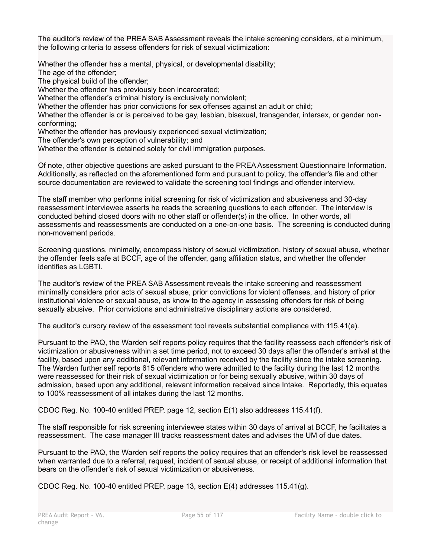The auditor's review of the PREA SAB Assessment reveals the intake screening considers, at a minimum, the following criteria to assess offenders for risk of sexual victimization:

Whether the offender has a mental, physical, or developmental disability;

The age of the offender;

The physical build of the offender;

Whether the offender has previously been incarcerated;

Whether the offender's criminal history is exclusively nonviolent;

Whether the offender has prior convictions for sex offenses against an adult or child;

Whether the offender is or is perceived to be gay, lesbian, bisexual, transgender, intersex, or gender nonconforming;

Whether the offender has previously experienced sexual victimization;

The offender's own perception of vulnerability; and

Whether the offender is detained solely for civil immigration purposes.

Of note, other objective questions are asked pursuant to the PREA Assessment Questionnaire Information. Additionally, as reflected on the aforementioned form and pursuant to policy, the offender's file and other source documentation are reviewed to validate the screening tool findings and offender interview.

The staff member who performs initial screening for risk of victimization and abusiveness and 30-day reassessment interviewee asserts he reads the screening questions to each offender. The interview is conducted behind closed doors with no other staff or offender(s) in the office. In other words, all assessments and reassessments are conducted on a one-on-one basis. The screening is conducted during non-movement periods.

Screening questions, minimally, encompass history of sexual victimization, history of sexual abuse, whether the offender feels safe at BCCF, age of the offender, gang affiliation status, and whether the offender identifies as LGBTI.

The auditor's review of the PREA SAB Assessment reveals the intake screening and reassessment minimally considers prior acts of sexual abuse, prior convictions for violent offenses, and history of prior institutional violence or sexual abuse, as know to the agency in assessing offenders for risk of being sexually abusive. Prior convictions and administrative disciplinary actions are considered.

The auditor's cursory review of the assessment tool reveals substantial compliance with 115.41(e).

Pursuant to the PAQ, the Warden self reports policy requires that the facility reassess each offender's risk of victimization or abusiveness within a set time period, not to exceed 30 days after the offender's arrival at the facility, based upon any additional, relevant information received by the facility since the intake screening. The Warden further self reports 615 offenders who were admitted to the facility during the last 12 months were reassessed for their risk of sexual victimization or for being sexually abusive, within 30 days of admission, based upon any additional, relevant information received since Intake. Reportedly, this equates to 100% reassessment of all intakes during the last 12 months.

CDOC Reg. No. 100-40 entitled PREP, page 12, section E(1) also addresses 115.41(f).

The staff responsible for risk screening interviewee states within 30 days of arrival at BCCF, he facilitates a reassessment. The case manager III tracks reassessment dates and advises the UM of due dates.

Pursuant to the PAQ, the Warden self reports the policy requires that an offender's risk level be reassessed when warranted due to a referral, request, incident of sexual abuse, or receipt of additional information that bears on the offender's risk of sexual victimization or abusiveness.

CDOC Reg. No. 100-40 entitled PREP, page 13, section E(4) addresses 115.41(g).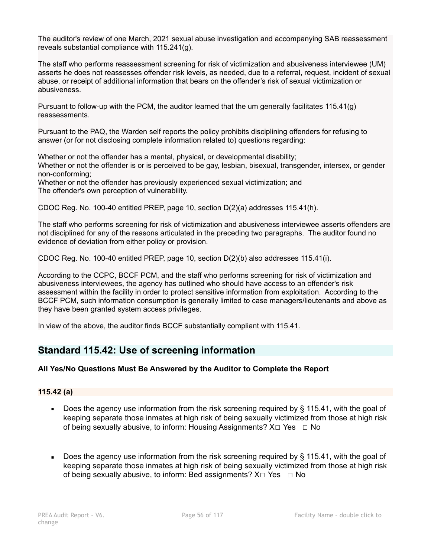The auditor's review of one March, 2021 sexual abuse investigation and accompanying SAB reassessment reveals substantial compliance with 115.241(g).

The staff who performs reassessment screening for risk of victimization and abusiveness interviewee (UM) asserts he does not reassesses offender risk levels, as needed, due to a referral, request, incident of sexual abuse, or receipt of additional information that bears on the offender's risk of sexual victimization or abusiveness.

Pursuant to follow-up with the PCM, the auditor learned that the um generally facilitates 115.41(g) reassessments.

Pursuant to the PAQ, the Warden self reports the policy prohibits disciplining offenders for refusing to answer (or for not disclosing complete information related to) questions regarding:

Whether or not the offender has a mental, physical, or developmental disability; Whether or not the offender is or is perceived to be gay, lesbian, bisexual, transgender, intersex, or gender non-conforming;

Whether or not the offender has previously experienced sexual victimization; and The offender's own perception of vulnerability.

CDOC Reg. No. 100-40 entitled PREP, page 10, section D(2)(a) addresses 115.41(h).

The staff who performs screening for risk of victimization and abusiveness interviewee asserts offenders are not disciplined for any of the reasons articulated in the preceding two paragraphs. The auditor found no evidence of deviation from either policy or provision.

CDOC Reg. No. 100-40 entitled PREP, page 10, section D(2)(b) also addresses 115.41(i).

According to the CCPC, BCCF PCM, and the staff who performs screening for risk of victimization and abusiveness interviewees, the agency has outlined who should have access to an offender's risk assessment within the facility in order to protect sensitive information from exploitation. According to the BCCF PCM, such information consumption is generally limited to case managers/lieutenants and above as they have been granted system access privileges.

In view of the above, the auditor finds BCCF substantially compliant with 115.41.

# **Standard 115.42: Use of screening information**

## **All Yes/No Questions Must Be Answered by the Auditor to Complete the Report**

## **115.42 (a)**

- Does the agency use information from the risk screening required by  $\S$  115.41, with the goal of keeping separate those inmates at high risk of being sexually victimized from those at high risk of being sexually abusive, to inform: Housing Assignments?  $X \Box Y$ es  $\Box$  No
- **Does the agency use information from the risk screening required by**  $\S$  **115.41, with the goal of** keeping separate those inmates at high risk of being sexually victimized from those at high risk of being sexually abusive, to inform: Bed assignments?  $X \Box Y$ es  $\Box$  No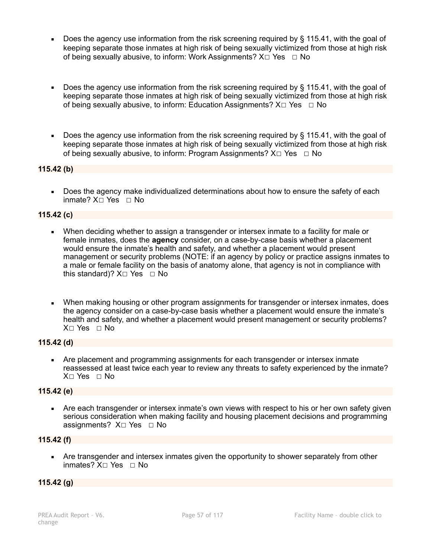- Does the agency use information from the risk screening required by § 115.41, with the goal of keeping separate those inmates at high risk of being sexually victimized from those at high risk of being sexually abusive, to inform: Work Assignments?  $X \Box Y$ es  $\Box$  No
- Does the agency use information from the risk screening required by § 115.41, with the goal of keeping separate those inmates at high risk of being sexually victimized from those at high risk of being sexually abusive, to inform: Education Assignments? X□ Yes □ No
- Does the agency use information from the risk screening required by § 115.41, with the goal of keeping separate those inmates at high risk of being sexually victimized from those at high risk of being sexually abusive, to inform: Program Assignments?  $X \Box Y$ es  $\Box$  No

## **115.42 (b)**

Does the agency make individualized determinations about how to ensure the safety of each inmate? X☐ Yes ☐ No

#### **115.42 (c)**

- When deciding whether to assign a transgender or intersex inmate to a facility for male or female inmates, does the **agency** consider, on a case-by-case basis whether a placement would ensure the inmate's health and safety, and whether a placement would present management or security problems (NOTE: if an agency by policy or practice assigns inmates to a male or female facility on the basis of anatomy alone, that agency is not in compliance with this standard)?  $X \square$  Yes  $\square$  No
- When making housing or other program assignments for transgender or intersex inmates, does the agency consider on a case-by-case basis whether a placement would ensure the inmate's health and safety, and whether a placement would present management or security problems? X☐ Yes ☐ No

#### **115.42 (d)**

**• Are placement and programming assignments for each transgender or intersex inmate** reassessed at least twice each year to review any threats to safety experienced by the inmate? X☐ Yes ☐ No

#### **115.42 (e)**

• Are each transgender or intersex inmate's own views with respect to his or her own safety given serious consideration when making facility and housing placement decisions and programming assignments? X□ Yes □ No

#### **115.42 (f)**

Are transgender and intersex inmates given the opportunity to shower separately from other inmates? X☐ Yes ☐ No

#### **115.42 (g)**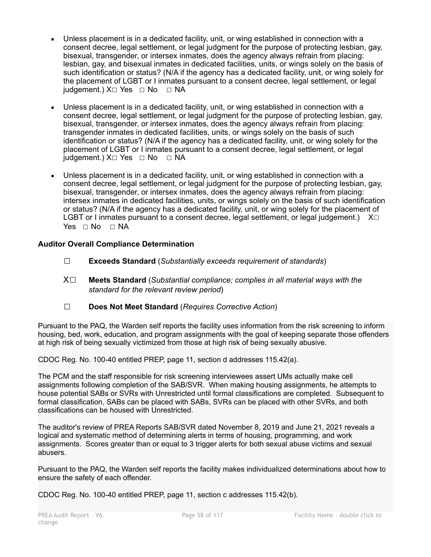- Unless placement is in a dedicated facility, unit, or wing established in connection with a consent decree, legal settlement, or legal judgment for the purpose of protecting lesbian, gay, bisexual, transgender, or intersex inmates, does the agency always refrain from placing: lesbian, gay, and bisexual inmates in dedicated facilities, units, or wings solely on the basis of such identification or status? (N/A if the agency has a dedicated facility, unit, or wing solely for the placement of LGBT or I inmates pursuant to a consent decree, legal settlement, or legal judgement.) X□ Yes □ No □ NA
- Unless placement is in a dedicated facility, unit, or wing established in connection with a consent decree, legal settlement, or legal judgment for the purpose of protecting lesbian, gay, bisexual, transgender, or intersex inmates, does the agency always refrain from placing: transgender inmates in dedicated facilities, units, or wings solely on the basis of such identification or status? (N/A if the agency has a dedicated facility, unit, or wing solely for the placement of LGBT or I inmates pursuant to a consent decree, legal settlement, or legal  $judgement.$ )  $X\square$  Yes  $\square$  No  $\square$  NA
- Unless placement is in a dedicated facility, unit, or wing established in connection with a consent decree, legal settlement, or legal judgment for the purpose of protecting lesbian, gay, bisexual, transgender, or intersex inmates, does the agency always refrain from placing: intersex inmates in dedicated facilities, units, or wings solely on the basis of such identification or status? (N/A if the agency has a dedicated facility, unit, or wing solely for the placement of LGBT or I inmates pursuant to a consent decree, legal settlement, or legal judgement.)  $X\square$  $Yes \square No \square NA$

## **Auditor Overall Compliance Determination**

- ☐ **Exceeds Standard** (*Substantially exceeds requirement of standards*)
- X☐ **Meets Standard** (*Substantial compliance; complies in all material ways with the standard for the relevant review period*)
- ☐ **Does Not Meet Standard** (*Requires Corrective Action*)

Pursuant to the PAQ, the Warden self reports the facility uses information from the risk screening to inform housing, bed, work, education, and program assignments with the goal of keeping separate those offenders at high risk of being sexually victimized from those at high risk of being sexually abusive.

CDOC Reg. No. 100-40 entitled PREP, page 11, section d addresses 115.42(a).

The PCM and the staff responsible for risk screening interviewees assert UMs actually make cell assignments following completion of the SAB/SVR. When making housing assignments, he attempts to house potential SABs or SVRs with Unrestricted until formal classifications are completed. Subsequent to formal classification, SABs can be placed with SABs, SVRs can be placed with other SVRs, and both classifications can be housed with Unrestricted.

The auditor's review of PREA Reports SAB/SVR dated November 8, 2019 and June 21, 2021 reveals a logical and systematic method of determining alerts in terms of housing, programming, and work assignments. Scores greater than or equal to 3 trigger alerts for both sexual abuse victims and sexual abusers.

Pursuant to the PAQ, the Warden self reports the facility makes individualized determinations about how to ensure the safety of each offender.

CDOC Reg. No. 100-40 entitled PREP, page 11, section c addresses 115.42(b).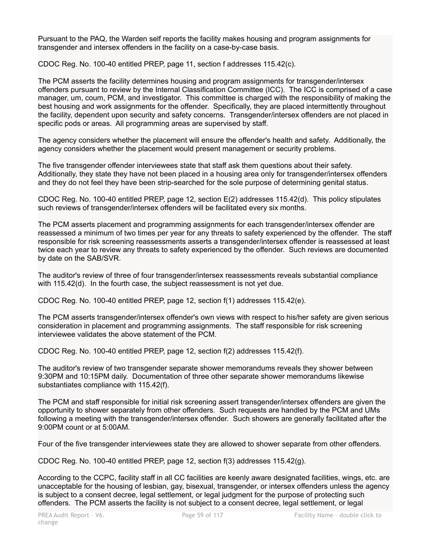Pursuant to the PAQ, the Warden self reports the facility makes housing and program assignments for transgender and intersex offenders in the facility on a case-by-case basis.

CDOC Reg. No. 100-40 entitled PREP, page 11, section f addresses 115.42(c).

The PCM asserts the facility determines housing and program assignments for transgender/intersex offenders pursuant to review by the Internal Classification Committee (ICC). The ICC is comprised of a case manager, um, coum, PCM, and investigator. This committee is charged with the responsibility of making the best housing and work assignments for the offender. Specifically, they are placed intermittently throughout the facility, dependent upon security and safety concerns. Transgender/intersex offenders are not placed in specific pods or areas. All programming areas are supervised by staff.

The agency considers whether the placement will ensure the offender's health and safety. Additionally, the agency considers whether the placement would present management or security problems.

The five transgender offender interviewees state that staff ask them questions about their safety. Additionally, they state they have not been placed in a housing area only for transgender/intersex offenders and they do not feel they have been strip-searched for the sole purpose of determining genital status.

CDOC Reg. No. 100-40 entitled PREP, page 12, section E(2) addresses 115.42(d). This policy stipulates such reviews of transgender/intersex offenders will be facilitated every six months.

The PCM asserts placement and programming assignments for each transgender/intersex offender are reassessed a minimum of two times per year for any threats to safety experienced by the offender. The staff responsible for risk screening reassessments asserts a transgender/intersex offender is reassessed at least twice each year to review any threats to safety experienced by the offender. Such reviews are documented by date on the SAB/SVR.

The auditor's review of three of four transgender/intersex reassessments reveals substantial compliance with 115.42(d). In the fourth case, the subject reassessment is not yet due.

CDOC Reg. No. 100-40 entitled PREP, page 12, section f(1) addresses 115.42(e).

The PCM asserts transgender/intersex offender's own views with respect to his/her safety are given serious consideration in placement and programming assignments. The staff responsible for risk screening interviewee validates the above statement of the PCM.

CDOC Reg. No. 100-40 entitled PREP, page 12, section f(2) addresses 115.42(f).

The auditor's review of two transgender separate shower memorandums reveals they shower between 9:30PM and 10:15PM daily. Documentation of three other separate shower memorandums likewise substantiates compliance with 115.42(f).

The PCM and staff responsible for initial risk screening assert transgender/intersex offenders are given the opportunity to shower separately from other offenders. Such requests are handled by the PCM and UMs following a meeting with the transgender/intersex offender. Such showers are generally facilitated after the 9:00PM count or at 5:00AM.

Four of the five transgender interviewees state they are allowed to shower separate from other offenders.

CDOC Reg. No. 100-40 entitled PREP, page 12, section f(3) addresses 115.42(g).

According to the CCPC, facility staff in all CC facilities are keenly aware designated facilities, wings, etc. are unacceptable for the housing of lesbian, gay, bisexual, transgender, or intersex offenders unless the agency is subject to a consent decree, legal settlement, or legal judgment for the purpose of protecting such offenders. The PCM asserts the facility is not subject to a consent decree, legal settlement, or legal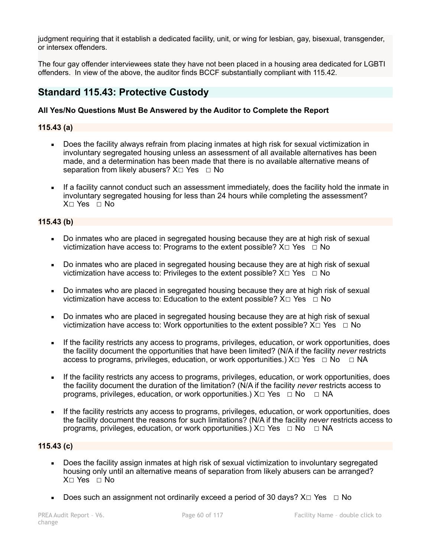judgment requiring that it establish a dedicated facility, unit, or wing for lesbian, gay, bisexual, transgender, or intersex offenders.

The four gay offender interviewees state they have not been placed in a housing area dedicated for LGBTI offenders. In view of the above, the auditor finds BCCF substantially compliant with 115.42.

# **Standard 115.43: Protective Custody**

#### **All Yes/No Questions Must Be Answered by the Auditor to Complete the Report**

#### **115.43 (a)**

- Does the facility always refrain from placing inmates at high risk for sexual victimization in involuntary segregated housing unless an assessment of all available alternatives has been made, and a determination has been made that there is no available alternative means of separation from likely abusers?  $X \square Y$ es  $\square N$ o
- If a facility cannot conduct such an assessment immediately, does the facility hold the inmate in involuntary segregated housing for less than 24 hours while completing the assessment?  $X \cap Yes \cap No$

#### **115.43 (b)**

- Do inmates who are placed in segregated housing because they are at high risk of sexual victimization have access to: Programs to the extent possible?  $X \Box Y$ es  $\Box$  No
- Do inmates who are placed in segregated housing because they are at high risk of sexual victimization have access to: Privileges to the extent possible?  $X \Box Y$ es  $\Box$  No
- Do inmates who are placed in segregated housing because they are at high risk of sexual victimization have access to: Education to the extent possible?  $X \Box Y$ es  $\Box$  No
- Do inmates who are placed in segregated housing because they are at high risk of sexual victimization have access to: Work opportunities to the extent possible?  $X \Box Y$ es  $\Box N$ o
- **EXECT** If the facility restricts any access to programs, privileges, education, or work opportunities, does the facility document the opportunities that have been limited? (N/A if the facility *never* restricts access to programs, privileges, education, or work opportunities.)  $X \Box Y$ es  $\Box \text{No } \Box \text{NA}$
- If the facility restricts any access to programs, privileges, education, or work opportunities, does the facility document the duration of the limitation? (N/A if the facility *never* restricts access to programs, privileges, education, or work opportunities.)  $X \Box Y$ es  $\Box$  No  $\Box$  NA
- If the facility restricts any access to programs, privileges, education, or work opportunities, does the facility document the reasons for such limitations? (N/A if the facility *never* restricts access to programs, privileges, education, or work opportunities.)  $X \Box Y$ es  $\Box$  No  $\Box$  NA

#### **115.43 (c)**

- Does the facility assign inmates at high risk of sexual victimization to involuntary segregated housing only until an alternative means of separation from likely abusers can be arranged? X☐ Yes ☐ No
- **•** Does such an assignment not ordinarily exceed a period of 30 days?  $X \square Y$ es  $\Box$  No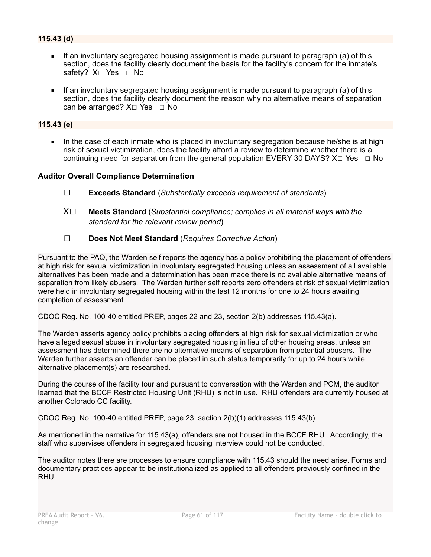- **.** If an involuntary segregated housing assignment is made pursuant to paragraph (a) of this section, does the facility clearly document the basis for the facility's concern for the inmate's safety? X□ Yes □ No
- If an involuntary segregated housing assignment is made pursuant to paragraph (a) of this section, does the facility clearly document the reason why no alternative means of separation can be arranged?  $X \square$  Yes  $\square$  No

#### **115.43 (e)**

In the case of each inmate who is placed in involuntary segregation because he/she is at high risk of sexual victimization, does the facility afford a review to determine whether there is a continuing need for separation from the general population EVERY 30 DAYS?  $X \Box Y$ es  $\Box$  No

#### **Auditor Overall Compliance Determination**

- ☐ **Exceeds Standard** (*Substantially exceeds requirement of standards*)
- X☐ **Meets Standard** (*Substantial compliance; complies in all material ways with the standard for the relevant review period*)
- ☐ **Does Not Meet Standard** (*Requires Corrective Action*)

Pursuant to the PAQ, the Warden self reports the agency has a policy prohibiting the placement of offenders at high risk for sexual victimization in involuntary segregated housing unless an assessment of all available alternatives has been made and a determination has been made there is no available alternative means of separation from likely abusers. The Warden further self reports zero offenders at risk of sexual victimization were held in involuntary segregated housing within the last 12 months for one to 24 hours awaiting completion of assessment.

CDOC Reg. No. 100-40 entitled PREP, pages 22 and 23, section 2(b) addresses 115.43(a).

The Warden asserts agency policy prohibits placing offenders at high risk for sexual victimization or who have alleged sexual abuse in involuntary segregated housing in lieu of other housing areas, unless an assessment has determined there are no alternative means of separation from potential abusers. The Warden further asserts an offender can be placed in such status temporarily for up to 24 hours while alternative placement(s) are researched.

During the course of the facility tour and pursuant to conversation with the Warden and PCM, the auditor learned that the BCCF Restricted Housing Unit (RHU) is not in use. RHU offenders are currently housed at another Colorado CC facility.

CDOC Reg. No. 100-40 entitled PREP, page 23, section 2(b)(1) addresses 115.43(b).

As mentioned in the narrative for 115.43(a), offenders are not housed in the BCCF RHU. Accordingly, the staff who supervises offenders in segregated housing interview could not be conducted.

The auditor notes there are processes to ensure compliance with 115.43 should the need arise. Forms and documentary practices appear to be institutionalized as applied to all offenders previously confined in the RHU.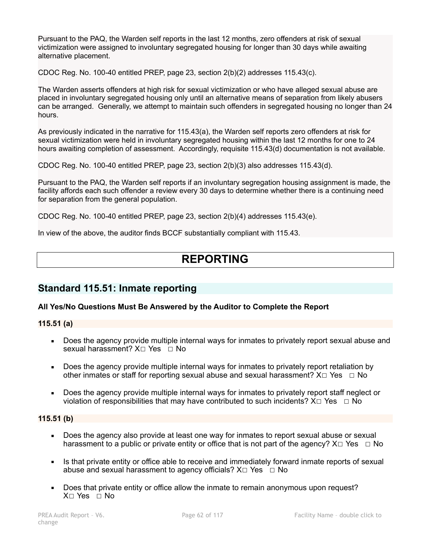Pursuant to the PAQ, the Warden self reports in the last 12 months, zero offenders at risk of sexual victimization were assigned to involuntary segregated housing for longer than 30 days while awaiting alternative placement.

CDOC Reg. No. 100-40 entitled PREP, page 23, section 2(b)(2) addresses 115.43(c).

The Warden asserts offenders at high risk for sexual victimization or who have alleged sexual abuse are placed in involuntary segregated housing only until an alternative means of separation from likely abusers can be arranged. Generally, we attempt to maintain such offenders in segregated housing no longer than 24 hours.

As previously indicated in the narrative for 115.43(a), the Warden self reports zero offenders at risk for sexual victimization were held in involuntary segregated housing within the last 12 months for one to 24 hours awaiting completion of assessment. Accordingly, requisite 115.43(d) documentation is not available.

CDOC Reg. No. 100-40 entitled PREP, page 23, section 2(b)(3) also addresses 115.43(d).

Pursuant to the PAQ, the Warden self reports if an involuntary segregation housing assignment is made, the facility affords each such offender a review every 30 days to determine whether there is a continuing need for separation from the general population.

CDOC Reg. No. 100-40 entitled PREP, page 23, section 2(b)(4) addresses 115.43(e).

In view of the above, the auditor finds BCCF substantially compliant with 115.43.

# **REPORTING**

# **Standard 115.51: Inmate reporting**

## **All Yes/No Questions Must Be Answered by the Auditor to Complete the Report**

**115.51 (a)** 

- Does the agency provide multiple internal ways for inmates to privately report sexual abuse and sexual harassment? X□ Yes □ No
- Does the agency provide multiple internal ways for inmates to privately report retaliation by other inmates or staff for reporting sexual abuse and sexual harassment?  $X \Box Y$ es  $\Box$  No
- Does the agency provide multiple internal ways for inmates to privately report staff neglect or violation of responsibilities that may have contributed to such incidents?  $X \Box Y$ es  $\Box$  No

## **115.51 (b)**

- Does the agency also provide at least one way for inmates to report sexual abuse or sexual harassment to a public or private entity or office that is not part of the agency?  $X \Box Y$ es  $\Box N$ o
- **.** Is that private entity or office able to receive and immediately forward inmate reports of sexual abuse and sexual harassment to agency officials?  $X \square Y$ es  $\square N$ o
- Does that private entity or office allow the inmate to remain anonymous upon request? X☐ Yes ☐ No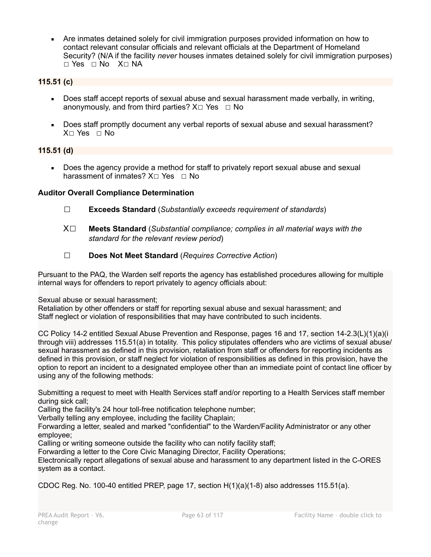▪ Are inmates detained solely for civil immigration purposes provided information on how to contact relevant consular officials and relevant officials at the Department of Homeland Security? (N/A if the facility *never* houses inmates detained solely for civil immigration purposes) ☐ Yes ☐ No X☐ NA

## **115.51 (c)**

- Does staff accept reports of sexual abuse and sexual harassment made verbally, in writing, anonymously, and from third parties?  $X \Box Y$ es  $\Box$  No
- Does staff promptly document any verbal reports of sexual abuse and sexual harassment?  $X \cap Yes \cap No$

## **115.51 (d)**

■ Does the agency provide a method for staff to privately report sexual abuse and sexual harassment of inmates?  $X \square$  Yes  $\square$  No

#### **Auditor Overall Compliance Determination**

- ☐ **Exceeds Standard** (*Substantially exceeds requirement of standards*)
- X☐ **Meets Standard** (*Substantial compliance; complies in all material ways with the standard for the relevant review period*)
- ☐ **Does Not Meet Standard** (*Requires Corrective Action*)

Pursuant to the PAQ, the Warden self reports the agency has established procedures allowing for multiple internal ways for offenders to report privately to agency officials about:

Sexual abuse or sexual harassment;

Retaliation by other offenders or staff for reporting sexual abuse and sexual harassment; and Staff neglect or violation of responsibilities that may have contributed to such incidents.

CC Policy 14-2 entitled Sexual Abuse Prevention and Response, pages 16 and 17, section 14-2.3(L)(1)(a)(i through viii) addresses 115.51(a) in totality. This policy stipulates offenders who are victims of sexual abuse/ sexual harassment as defined in this provision, retaliation from staff or offenders for reporting incidents as defined in this provision, or staff neglect for violation of responsibilities as defined in this provision, have the option to report an incident to a designated employee other than an immediate point of contact line officer by using any of the following methods:

Submitting a request to meet with Health Services staff and/or reporting to a Health Services staff member during sick call;

Calling the facility's 24 hour toll-free notification telephone number;

Verbally telling any employee, including the facility Chaplain;

Forwarding a letter, sealed and marked "confidential" to the Warden/Facility Administrator or any other employee;

Calling or writing someone outside the facility who can notify facility staff;

Forwarding a letter to the Core Civic Managing Director, Facility Operations;

Electronically report allegations of sexual abuse and harassment to any department listed in the C-ORES system as a contact.

CDOC Reg. No. 100-40 entitled PREP, page 17, section H(1)(a)(1-8) also addresses 115.51(a).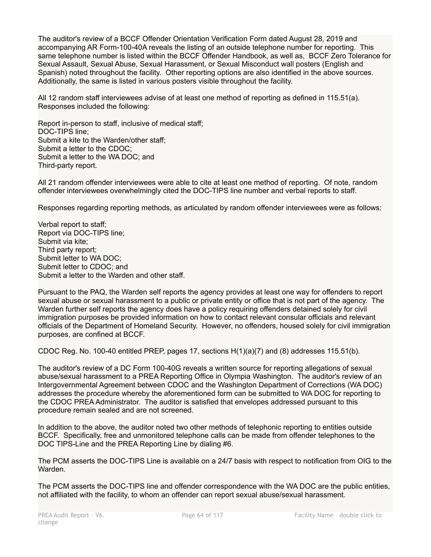The auditor's review of a BCCF Offender Orientation Verification Form dated August 28, 2019 and accompanying AR Form-100-40A reveals the listing of an outside telephone number for reporting. This same telephone number is listed within the BCCF Offender Handbook, as well as, BCCF Zero Tolerance for Sexual Assault, Sexual Abuse, Sexual Harassment, or Sexual Misconduct wall posters (English and Spanish) noted throughout the facility. Other reporting options are also identified in the above sources. Additionally, the same is listed in various posters visible throughout the facility.

All 12 random staff interviewees advise of at least one method of reporting as defined in 115.51(a). Responses included the following:

Report in-person to staff, inclusive of medical staff; DOC-TIPS line; Submit a kite to the Warden/other staff; Submit a letter to the CDOC; Submit a letter to the WA DOC; and Third-party report.

All 21 random offender interviewees were able to cite at least one method of reporting. Of note, random offender interviewees overwhelmingly cited the DOC-TIPS line number and verbal reports to staff.

Responses regarding reporting methods, as articulated by random offender interviewees were as follows:

Verbal report to staff; Report via DOC-TIPS line; Submit via kite; Third party report; Submit letter to WA DOC; Submit letter to CDOC; and Submit a letter to the Warden and other staff.

Pursuant to the PAQ, the Warden self reports the agency provides at least one way for offenders to report sexual abuse or sexual harassment to a public or private entity or office that is not part of the agency. The Warden further self reports the agency does have a policy requiring offenders detained solely for civil immigration purposes be provided information on how to contact relevant consular officials and relevant officials of the Department of Homeland Security. However, no offenders, housed solely for civil immigration purposes, are confined at BCCF.

CDOC Reg. No. 100-40 entitled PREP, pages 17, sections H(1)(a)(7) and (8) addresses 115.51(b).

The auditor's review of a DC Form 100-40G reveals a written source for reporting allegations of sexual abuse/sexual harassment to a PREA Reporting Office in Olympia Washington. The auditor's review of an Intergovernmental Agreement between CDOC and the Washington Department of Corrections (WA DOC) addresses the procedure whereby the aforementioned form can be submitted to WA DOC for reporting to the CDOC PREA Administrator. The auditor is satisfied that envelopes addressed pursuant to this procedure remain sealed and are not screened.

In addition to the above, the auditor noted two other methods of telephonic reporting to entities outside BCCF. Specifically, free and unmonitored telephone calls can be made from offender telephones to the DOC TIPS-Line and the PREA Reporting Line by dialing #6.

The PCM asserts the DOC-TIPS Line is available on a 24/7 basis with respect to notification from OIG to the Warden.

The PCM asserts the DOC-TIPS line and offender correspondence with the WA DOC are the public entities, not affiliated with the facility, to whom an offender can report sexual abuse/sexual harassment.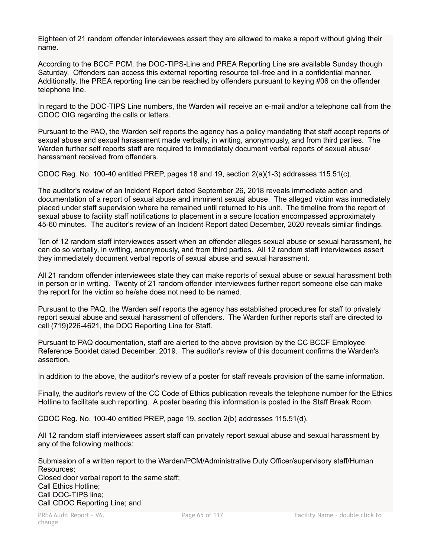Eighteen of 21 random offender interviewees assert they are allowed to make a report without giving their name.

According to the BCCF PCM, the DOC-TIPS-Line and PREA Reporting Line are available Sunday though Saturday. Offenders can access this external reporting resource toll-free and in a confidential manner. Additionally, the PREA reporting line can be reached by offenders pursuant to keying #06 on the offender telephone line.

In regard to the DOC-TIPS Line numbers, the Warden will receive an e-mail and/or a telephone call from the CDOC OIG regarding the calls or letters.

Pursuant to the PAQ, the Warden self reports the agency has a policy mandating that staff accept reports of sexual abuse and sexual harassment made verbally, in writing, anonymously, and from third parties. The Warden further self reports staff are required to immediately document verbal reports of sexual abuse/ harassment received from offenders.

CDOC Reg. No. 100-40 entitled PREP, pages 18 and 19, section 2(a)(1-3) addresses 115.51(c).

The auditor's review of an Incident Report dated September 26, 2018 reveals immediate action and documentation of a report of sexual abuse and imminent sexual abuse. The alleged victim was immediately placed under staff supervision where he remained until returned to his unit. The timeline from the report of sexual abuse to facility staff notifications to placement in a secure location encompassed approximately 45-60 minutes. The auditor's review of an Incident Report dated December, 2020 reveals similar findings.

Ten of 12 random staff interviewees assert when an offender alleges sexual abuse or sexual harassment, he can do so verbally, in writing, anonymously, and from third parties. All 12 random staff interviewees assert they immediately document verbal reports of sexual abuse and sexual harassment.

All 21 random offender interviewees state they can make reports of sexual abuse or sexual harassment both in person or in writing. Twenty of 21 random offender interviewees further report someone else can make the report for the victim so he/she does not need to be named.

Pursuant to the PAQ, the Warden self reports the agency has established procedures for staff to privately report sexual abuse and sexual harassment of offenders. The Warden further reports staff are directed to call (719)226-4621, the DOC Reporting Line for Staff.

Pursuant to PAQ documentation, staff are alerted to the above provision by the CC BCCF Employee Reference Booklet dated December, 2019. The auditor's review of this document confirms the Warden's assertion.

In addition to the above, the auditor's review of a poster for staff reveals provision of the same information.

Finally, the auditor's review of the CC Code of Ethics publication reveals the telephone number for the Ethics Hotline to facilitate such reporting. A poster bearing this information is posted in the Staff Break Room.

CDOC Reg. No. 100-40 entitled PREP, page 19, section 2(b) addresses 115.51(d).

All 12 random staff interviewees assert staff can privately report sexual abuse and sexual harassment by any of the following methods:

Submission of a written report to the Warden/PCM/Administrative Duty Officer/supervisory staff/Human Resources;

Closed door verbal report to the same staff; Call Ethics Hotline; Call DOC-TIPS line; Call CDOC Reporting Line; and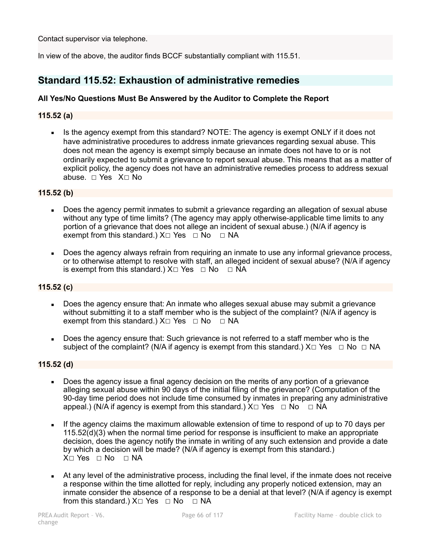Contact supervisor via telephone.

In view of the above, the auditor finds BCCF substantially compliant with 115.51.

# **Standard 115.52: Exhaustion of administrative remedies**

## **All Yes/No Questions Must Be Answered by the Auditor to Complete the Report**

#### **115.52 (a)**

• Is the agency exempt from this standard? NOTE: The agency is exempt ONLY if it does not have administrative procedures to address inmate grievances regarding sexual abuse. This does not mean the agency is exempt simply because an inmate does not have to or is not ordinarily expected to submit a grievance to report sexual abuse. This means that as a matter of explicit policy, the agency does not have an administrative remedies process to address sexual abuse. ☐ Yes X☐ No

#### **115.52 (b)**

- Does the agency permit inmates to submit a grievance regarding an allegation of sexual abuse without any type of time limits? (The agency may apply otherwise-applicable time limits to any portion of a grievance that does not allege an incident of sexual abuse.) (N/A if agency is exempt from this standard.)  $X \square Y$ es  $\square$  No  $\square$  NA
- Does the agency always refrain from requiring an inmate to use any informal grievance process. or to otherwise attempt to resolve with staff, an alleged incident of sexual abuse? (N/A if agency is exempt from this standard.)  $X \square Y$ es  $\square$  No  $\square$  NA

#### **115.52 (c)**

- Does the agency ensure that: An inmate who alleges sexual abuse may submit a grievance without submitting it to a staff member who is the subject of the complaint? (N/A if agency is exempt from this standard.)  $X \Box Y$ es  $\Box$  No  $\Box$  NA
- Does the agency ensure that: Such grievance is not referred to a staff member who is the subject of the complaint? (N/A if agency is exempt from this standard.)  $X \Box Y$ es  $\Box$  No  $\Box$  NA

#### **115.52 (d)**

- Does the agency issue a final agency decision on the merits of any portion of a grievance alleging sexual abuse within 90 days of the initial filing of the grievance? (Computation of the 90-day time period does not include time consumed by inmates in preparing any administrative appeal.) (N/A if agency is exempt from this standard.)  $X \Box Y$ es  $\Box$  No  $\Box$  NA
- If the agency claims the maximum allowable extension of time to respond of up to 70 days per 115.52(d)(3) when the normal time period for response is insufficient to make an appropriate decision, does the agency notify the inmate in writing of any such extension and provide a date by which a decision will be made? (N/A if agency is exempt from this standard.)  $X \square Y$ es  $\square$  No  $\square$  NA
- **EXECT At any level of the administrative process, including the final level, if the inmate does not receive** a response within the time allotted for reply, including any properly noticed extension, may an inmate consider the absence of a response to be a denial at that level? (N/A if agency is exempt from this standard.)  $X \square$  Yes  $\square$  No  $\square$  NA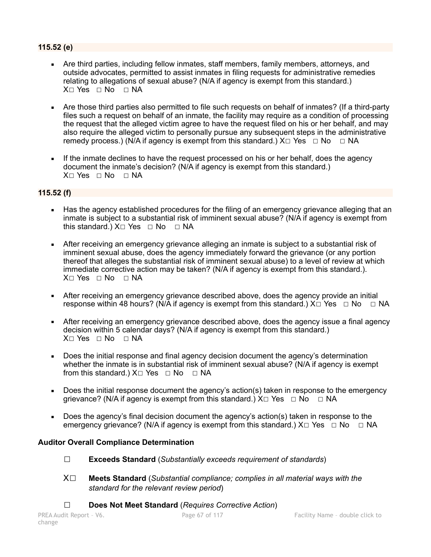## **115.52 (e)**

- Are third parties, including fellow inmates, staff members, family members, attorneys, and outside advocates, permitted to assist inmates in filing requests for administrative remedies relating to allegations of sexual abuse? (N/A if agency is exempt from this standard.) X□ Yes □ No □ NA
- Are those third parties also permitted to file such requests on behalf of inmates? (If a third-party files such a request on behalf of an inmate, the facility may require as a condition of processing the request that the alleged victim agree to have the request filed on his or her behalf, and may also require the alleged victim to personally pursue any subsequent steps in the administrative remedy process.) (N/A if agency is exempt from this standard.)  $X \Box Y$ es  $\Box \text{No } \Box \text{NA}$
- If the inmate declines to have the request processed on his or her behalf, does the agency document the inmate's decision? (N/A if agency is exempt from this standard.) X□ Yes □ No □ NA

## **115.52 (f)**

- Has the agency established procedures for the filing of an emergency grievance alleging that an inmate is subject to a substantial risk of imminent sexual abuse? (N/A if agency is exempt from this standard.)  $X \square Y$ es  $\square N$ o  $\square N$ A
- **EXECT** After receiving an emergency grievance alleging an inmate is subject to a substantial risk of imminent sexual abuse, does the agency immediately forward the grievance (or any portion thereof that alleges the substantial risk of imminent sexual abuse) to a level of review at which immediate corrective action may be taken? (N/A if agency is exempt from this standard.). X□ Yes □ No □ NA
- After receiving an emergency grievance described above, does the agency provide an initial response within 48 hours? (N/A if agency is exempt from this standard.)  $X\square Y$ es  $\square$  No  $\square$  NA
- **EXECT** After receiving an emergency grievance described above, does the agency issue a final agency decision within 5 calendar days? (N/A if agency is exempt from this standard.) X□ Yes □ No □ NA
- Does the initial response and final agency decision document the agency's determination whether the inmate is in substantial risk of imminent sexual abuse? (N/A if agency is exempt from this standard.)  $X□$  Yes  $□$  No  $□$  NA
- Does the initial response document the agency's action(s) taken in response to the emergency grievance? (N/A if agency is exempt from this standard.)  $X \Box Y$ es  $\Box$  No  $\Box$  NA
- Does the agency's final decision document the agency's action(s) taken in response to the emergency grievance? (N/A if agency is exempt from this standard.)  $X \Box Y$ es  $\Box \text{No } \Box \text{NA}$

## **Auditor Overall Compliance Determination**

- ☐ **Exceeds Standard** (*Substantially exceeds requirement of standards*)
- X☐ **Meets Standard** (*Substantial compliance; complies in all material ways with the standard for the relevant review period*)
- ☐ **Does Not Meet Standard** (*Requires Corrective Action*)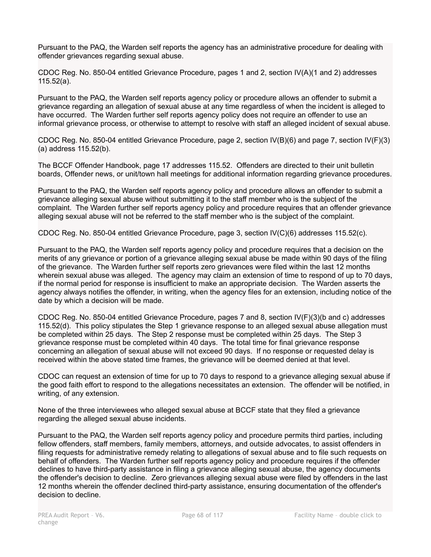Pursuant to the PAQ, the Warden self reports the agency has an administrative procedure for dealing with offender grievances regarding sexual abuse.

CDOC Reg. No. 850-04 entitled Grievance Procedure, pages 1 and 2, section IV(A)(1 and 2) addresses 115.52(a).

Pursuant to the PAQ, the Warden self reports agency policy or procedure allows an offender to submit a grievance regarding an allegation of sexual abuse at any time regardless of when the incident is alleged to have occurred. The Warden further self reports agency policy does not require an offender to use an informal grievance process, or otherwise to attempt to resolve with staff an alleged incident of sexual abuse.

CDOC Reg. No. 850-04 entitled Grievance Procedure, page 2, section IV(B)(6) and page 7, section IV(F)(3) (a) address 115.52(b).

The BCCF Offender Handbook, page 17 addresses 115.52. Offenders are directed to their unit bulletin boards, Offender news, or unit/town hall meetings for additional information regarding grievance procedures.

Pursuant to the PAQ, the Warden self reports agency policy and procedure allows an offender to submit a grievance alleging sexual abuse without submitting it to the staff member who is the subject of the complaint. The Warden further self reports agency policy and procedure requires that an offender grievance alleging sexual abuse will not be referred to the staff member who is the subject of the complaint.

CDOC Reg. No. 850-04 entitled Grievance Procedure, page 3, section IV(C)(6) addresses 115.52(c).

Pursuant to the PAQ, the Warden self reports agency policy and procedure requires that a decision on the merits of any grievance or portion of a grievance alleging sexual abuse be made within 90 days of the filing of the grievance. The Warden further self reports zero grievances were filed within the last 12 months wherein sexual abuse was alleged. The agency may claim an extension of time to respond of up to 70 days, if the normal period for response is insufficient to make an appropriate decision. The Warden asserts the agency always notifies the offender, in writing, when the agency files for an extension, including notice of the date by which a decision will be made.

CDOC Reg. No. 850-04 entitled Grievance Procedure, pages 7 and 8, section IV(F)(3)(b and c) addresses 115.52(d). This policy stipulates the Step 1 grievance response to an alleged sexual abuse allegation must be completed within 25 days. The Step 2 response must be completed within 25 days. The Step 3 grievance response must be completed within 40 days. The total time for final grievance response concerning an allegation of sexual abuse will not exceed 90 days. If no response or requested delay is received within the above stated time frames, the grievance will be deemed denied at that level.

CDOC can request an extension of time for up to 70 days to respond to a grievance alleging sexual abuse if the good faith effort to respond to the allegations necessitates an extension. The offender will be notified, in writing, of any extension.

None of the three interviewees who alleged sexual abuse at BCCF state that they filed a grievance regarding the alleged sexual abuse incidents.

Pursuant to the PAQ, the Warden self reports agency policy and procedure permits third parties, including fellow offenders, staff members, family members, attorneys, and outside advocates, to assist offenders in filing requests for administrative remedy relating to allegations of sexual abuse and to file such requests on behalf of offenders. The Warden further self reports agency policy and procedure requires if the offender declines to have third-party assistance in filing a grievance alleging sexual abuse, the agency documents the offender's decision to decline. Zero grievances alleging sexual abuse were filed by offenders in the last 12 months wherein the offender declined third-party assistance, ensuring documentation of the offender's decision to decline.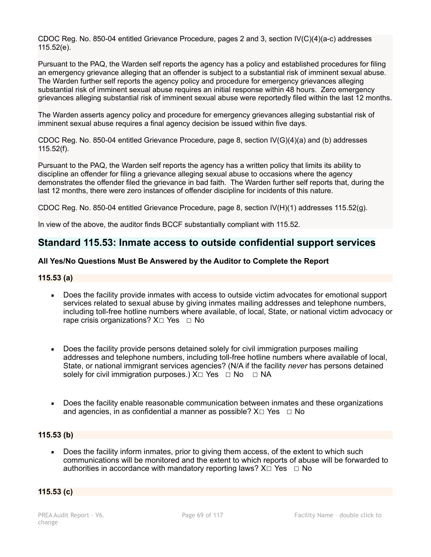CDOC Reg. No. 850-04 entitled Grievance Procedure, pages 2 and 3, section IV(C)(4)(a-c) addresses 115.52(e).

Pursuant to the PAQ, the Warden self reports the agency has a policy and established procedures for filing an emergency grievance alleging that an offender is subject to a substantial risk of imminent sexual abuse. The Warden further self reports the agency policy and procedure for emergency grievances alleging substantial risk of imminent sexual abuse requires an initial response within 48 hours. Zero emergency grievances alleging substantial risk of imminent sexual abuse were reportedly filed within the last 12 months.

The Warden asserts agency policy and procedure for emergency grievances alleging substantial risk of imminent sexual abuse requires a final agency decision be issued within five days.

CDOC Reg. No. 850-04 entitled Grievance Procedure, page 8, section IV(G)(4)(a) and (b) addresses 115.52(f).

Pursuant to the PAQ, the Warden self reports the agency has a written policy that limits its ability to discipline an offender for filing a grievance alleging sexual abuse to occasions where the agency demonstrates the offender filed the grievance in bad faith. The Warden further self reports that, during the last 12 months, there were zero instances of offender discipline for incidents of this nature.

CDOC Reg. No. 850-04 entitled Grievance Procedure, page 8, section IV(H)(1) addresses 115.52(g).

In view of the above, the auditor finds BCCF substantially compliant with 115.52.

# **Standard 115.53: Inmate access to outside confidential support services**

## **All Yes/No Questions Must Be Answered by the Auditor to Complete the Report**

#### **115.53 (a)**

- Does the facility provide inmates with access to outside victim advocates for emotional support services related to sexual abuse by giving inmates mailing addresses and telephone numbers, including toll-free hotline numbers where available, of local, State, or national victim advocacy or rape crisis organizations?  $X□$  Yes  $□$  No
- Does the facility provide persons detained solely for civil immigration purposes mailing addresses and telephone numbers, including toll-free hotline numbers where available of local, State, or national immigrant services agencies? (N/A if the facility *never* has persons detained solely for civil immigration purposes.)  $X \Box Y$ es  $\Box$  No  $\Box$  NA
- Does the facility enable reasonable communication between inmates and these organizations and agencies, in as confidential a manner as possible?  $X \Box Y$ es  $\Box$  No

#### **115.53 (b)**

Does the facility inform inmates, prior to giving them access, of the extent to which such communications will be monitored and the extent to which reports of abuse will be forwarded to authorities in accordance with mandatory reporting laws?  $X \Box Y$ es  $\Box$  No

## **115.53 (c)**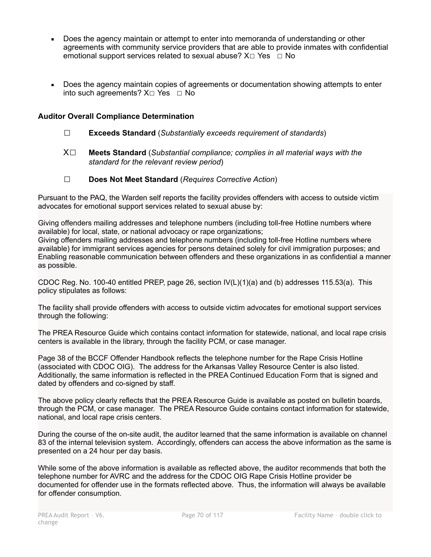- Does the agency maintain or attempt to enter into memoranda of understanding or other agreements with community service providers that are able to provide inmates with confidential emotional support services related to sexual abuse?  $X \Box Y$ es  $\Box$  No
- Does the agency maintain copies of agreements or documentation showing attempts to enter into such agreements?  $X \square Y$ es  $\square$  No

## **Auditor Overall Compliance Determination**

- ☐ **Exceeds Standard** (*Substantially exceeds requirement of standards*)
- X☐ **Meets Standard** (*Substantial compliance; complies in all material ways with the standard for the relevant review period*)
- ☐ **Does Not Meet Standard** (*Requires Corrective Action*)

Pursuant to the PAQ, the Warden self reports the facility provides offenders with access to outside victim advocates for emotional support services related to sexual abuse by:

Giving offenders mailing addresses and telephone numbers (including toll-free Hotline numbers where available) for local, state, or national advocacy or rape organizations; Giving offenders mailing addresses and telephone numbers (including toll-free Hotline numbers where available) for immigrant services agencies for persons detained solely for civil immigration purposes; and Enabling reasonable communication between offenders and these organizations in as confidential a manner as possible.

CDOC Reg. No. 100-40 entitled PREP, page 26, section IV(L)(1)(a) and (b) addresses 115.53(a). This policy stipulates as follows:

The facility shall provide offenders with access to outside victim advocates for emotional support services through the following:

The PREA Resource Guide which contains contact information for statewide, national, and local rape crisis centers is available in the library, through the facility PCM, or case manager.

Page 38 of the BCCF Offender Handbook reflects the telephone number for the Rape Crisis Hotline (associated with CDOC OIG). The address for the Arkansas Valley Resource Center is also listed. Additionally, the same information is reflected in the PREA Continued Education Form that is signed and dated by offenders and co-signed by staff.

The above policy clearly reflects that the PREA Resource Guide is available as posted on bulletin boards, through the PCM, or case manager. The PREA Resource Guide contains contact information for statewide, national, and local rape crisis centers.

During the course of the on-site audit, the auditor learned that the same information is available on channel 83 of the internal television system. Accordingly, offenders can access the above information as the same is presented on a 24 hour per day basis.

While some of the above information is available as reflected above, the auditor recommends that both the telephone number for AVRC and the address for the CDOC OIG Rape Crisis Hotline provider be documented for offender use in the formats reflected above. Thus, the information will always be available for offender consumption.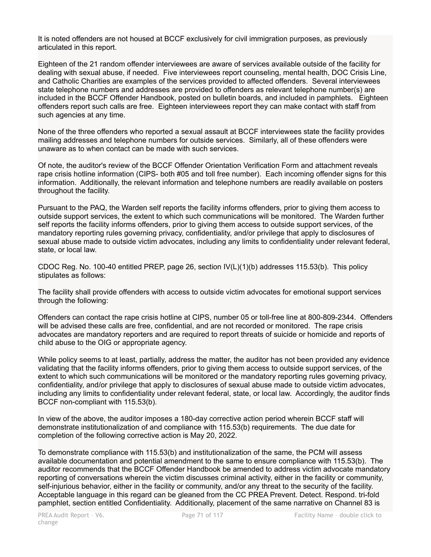It is noted offenders are not housed at BCCF exclusively for civil immigration purposes, as previously articulated in this report.

Eighteen of the 21 random offender interviewees are aware of services available outside of the facility for dealing with sexual abuse, if needed. Five interviewees report counseling, mental health, DOC Crisis Line, and Catholic Charities are examples of the services provided to affected offenders. Several interviewees state telephone numbers and addresses are provided to offenders as relevant telephone number(s) are included in the BCCF Offender Handbook, posted on bulletin boards, and included in pamphlets. Eighteen offenders report such calls are free. Eighteen interviewees report they can make contact with staff from such agencies at any time.

None of the three offenders who reported a sexual assault at BCCF interviewees state the facility provides mailing addresses and telephone numbers for outside services. Similarly, all of these offenders were unaware as to when contact can be made with such services.

Of note, the auditor's review of the BCCF Offender Orientation Verification Form and attachment reveals rape crisis hotline information (CIPS- both #05 and toll free number). Each incoming offender signs for this information. Additionally, the relevant information and telephone numbers are readily available on posters throughout the facility.

Pursuant to the PAQ, the Warden self reports the facility informs offenders, prior to giving them access to outside support services, the extent to which such communications will be monitored. The Warden further self reports the facility informs offenders, prior to giving them access to outside support services, of the mandatory reporting rules governing privacy, confidentiality, and/or privilege that apply to disclosures of sexual abuse made to outside victim advocates, including any limits to confidentiality under relevant federal, state, or local law.

CDOC Reg. No. 100-40 entitled PREP, page 26, section IV(L)(1)(b) addresses 115.53(b). This policy stipulates as follows:

The facility shall provide offenders with access to outside victim advocates for emotional support services through the following:

Offenders can contact the rape crisis hotline at CIPS, number 05 or toll-free line at 800-809-2344. Offenders will be advised these calls are free, confidential, and are not recorded or monitored. The rape crisis advocates are mandatory reporters and are required to report threats of suicide or homicide and reports of child abuse to the OIG or appropriate agency.

While policy seems to at least, partially, address the matter, the auditor has not been provided any evidence validating that the facility informs offenders, prior to giving them access to outside support services, of the extent to which such communications will be monitored or the mandatory reporting rules governing privacy, confidentiality, and/or privilege that apply to disclosures of sexual abuse made to outside victim advocates, including any limits to confidentiality under relevant federal, state, or local law. Accordingly, the auditor finds BCCF non-compliant with 115.53(b).

In view of the above, the auditor imposes a 180-day corrective action period wherein BCCF staff will demonstrate institutionalization of and compliance with 115.53(b) requirements. The due date for completion of the following corrective action is May 20, 2022.

To demonstrate compliance with 115.53(b) and institutionalization of the same, the PCM will assess available documentation and potential amendment to the same to ensure compliance with 115.53(b). The auditor recommends that the BCCF Offender Handbook be amended to address victim advocate mandatory reporting of conversations wherein the victim discusses criminal activity, either in the facility or community, self-injurious behavior, either in the facility or community, and/or any threat to the security of the facility. Acceptable language in this regard can be gleaned from the CC PREA Prevent. Detect. Respond. tri-fold pamphlet, section entitled Confidentiality. Additionally, placement of the same narrative on Channel 83 is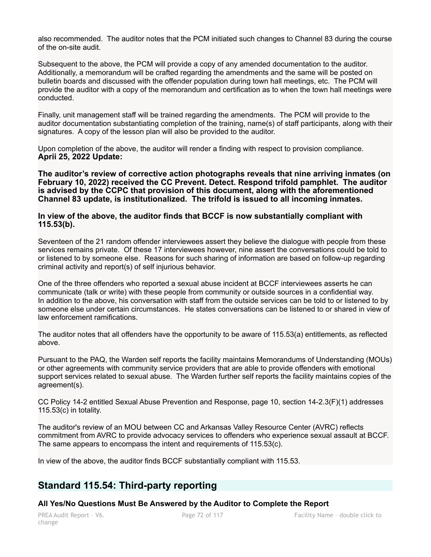also recommended. The auditor notes that the PCM initiated such changes to Channel 83 during the course of the on-site audit.

Subsequent to the above, the PCM will provide a copy of any amended documentation to the auditor. Additionally, a memorandum will be crafted regarding the amendments and the same will be posted on bulletin boards and discussed with the offender population during town hall meetings, etc. The PCM will provide the auditor with a copy of the memorandum and certification as to when the town hall meetings were conducted.

Finally, unit management staff will be trained regarding the amendments. The PCM will provide to the auditor documentation substantiating completion of the training, name(s) of staff participants, along with their signatures. A copy of the lesson plan will also be provided to the auditor.

Upon completion of the above, the auditor will render a finding with respect to provision compliance. **Aprii 25, 2022 Update:** 

**The auditor's review of corrective action photographs reveals that nine arriving inmates (on February 10, 2022) received the CC Prevent. Detect. Respond trifold pamphlet. The auditor is advised by the CCPC that provision of this document, along with the aforementioned Channel 83 update, is institutionalized. The trifold is issued to all incoming inmates.** 

#### **In view of the above, the auditor finds that BCCF is now substantially compliant with 115.53(b).**

Seventeen of the 21 random offender interviewees assert they believe the dialogue with people from these services remains private. Of these 17 interviewees however, nine assert the conversations could be told to or listened to by someone else. Reasons for such sharing of information are based on follow-up regarding criminal activity and report(s) of self injurious behavior.

One of the three offenders who reported a sexual abuse incident at BCCF interviewees asserts he can communicate (talk or write) with these people from community or outside sources in a confidential way. In addition to the above, his conversation with staff from the outside services can be told to or listened to by someone else under certain circumstances. He states conversations can be listened to or shared in view of law enforcement ramifications.

The auditor notes that all offenders have the opportunity to be aware of 115.53(a) entitlements, as reflected above.

Pursuant to the PAQ, the Warden self reports the facility maintains Memorandums of Understanding (MOUs) or other agreements with community service providers that are able to provide offenders with emotional support services related to sexual abuse. The Warden further self reports the facility maintains copies of the agreement(s).

CC Policy 14-2 entitled Sexual Abuse Prevention and Response, page 10, section 14-2.3(F)(1) addresses 115.53(c) in totality.

The auditor's review of an MOU between CC and Arkansas Valley Resource Center (AVRC) reflects commitment from AVRC to provide advocacy services to offenders who experience sexual assault at BCCF. The same appears to encompass the intent and requirements of 115.53(c).

In view of the above, the auditor finds BCCF substantially compliant with 115.53.

# **Standard 115.54: Third-party reporting**

#### **All Yes/No Questions Must Be Answered by the Auditor to Complete the Report**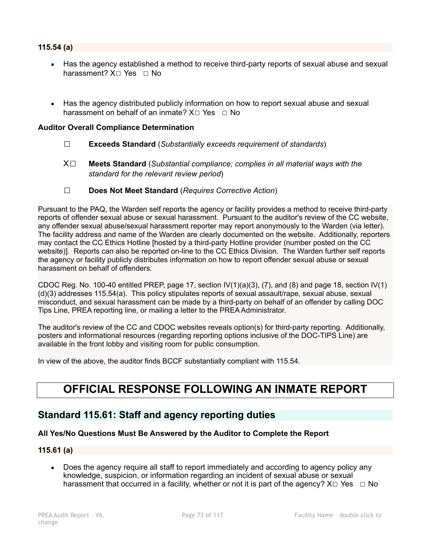- Has the agency established a method to receive third-party reports of sexual abuse and sexual harassment? X□ Yes □ No
- Has the agency distributed publicly information on how to report sexual abuse and sexual harassment on behalf of an inmate?  $X \square Y$ es  $\square$  No

## **Auditor Overall Compliance Determination**

- ☐ **Exceeds Standard** (*Substantially exceeds requirement of standards*)
- X☐ **Meets Standard** (*Substantial compliance; complies in all material ways with the standard for the relevant review period*)
- ☐ **Does Not Meet Standard** (*Requires Corrective Action*)

Pursuant to the PAQ, the Warden self reports the agency or facility provides a method to receive third-party reports of offender sexual abuse or sexual harassment. Pursuant to the auditor's review of the CC website, any offender sexual abuse/sexual harassment reporter may report anonymously to the Warden (via letter). The facility address and name of the Warden are clearly documented on the website. Additionally, reporters may contact the CC Ethics Hotline [hosted by a third-party Hotline provider (number posted on the CC website)]. Reports can also be reported on-line to the CC Ethics Division. The Warden further self reports the agency or facility publicly distributes information on how to report offender sexual abuse or sexual harassment on behalf of offenders.

CDOC Reg. No. 100-40 entitled PREP, page 17, section  $IV(1)(a)(3)$ , (7), and (8) and page 18, section  $IV(1)$ (d)(3) addresses 115.54(a). This policy stipulates reports of sexual assault/rape, sexual abuse, sexual misconduct, and sexual harassment can be made by a third-party on behalf of an offender by calling DOC Tips Line, PREA reporting line, or mailing a letter to the PREA Administrator.

The auditor's review of the CC and CDOC websites reveals option(s) for third-party reporting. Additionally, posters and informational resources (regarding reporting options inclusive of the DOC-TIPS Line) are available in the front lobby and visiting room for public consumption.

In view of the above, the auditor finds BCCF substantially compliant with 115.54.

# **OFFICIAL RESPONSE FOLLOWING AN INMATE REPORT**

# **Standard 115.61: Staff and agency reporting duties**

## **All Yes/No Questions Must Be Answered by the Auditor to Complete the Report**

## **115.61 (a)**

Does the agency require all staff to report immediately and according to agency policy any knowledge, suspicion, or information regarding an incident of sexual abuse or sexual harassment that occurred in a facility, whether or not it is part of the agency?  $X \Box Y$ es  $\Box$  No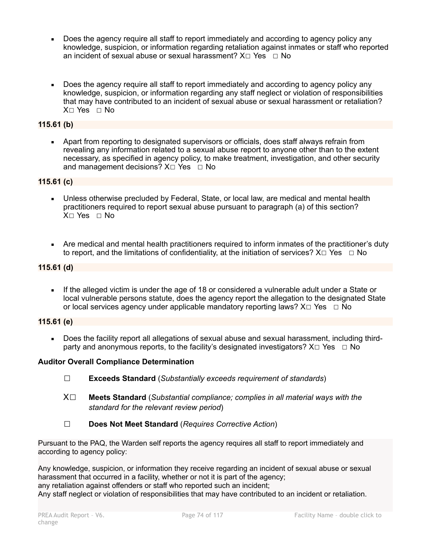- Does the agency require all staff to report immediately and according to agency policy any knowledge, suspicion, or information regarding retaliation against inmates or staff who reported an incident of sexual abuse or sexual harassment?  $X \square YeS \square No$
- Does the agency require all staff to report immediately and according to agency policy any knowledge, suspicion, or information regarding any staff neglect or violation of responsibilities that may have contributed to an incident of sexual abuse or sexual harassment or retaliation? X☐ Yes ☐ No

## **115.61 (b)**

Apart from reporting to designated supervisors or officials, does staff always refrain from revealing any information related to a sexual abuse report to anyone other than to the extent necessary, as specified in agency policy, to make treatment, investigation, and other security and management decisions? X□ Yes □ No

## **115.61 (c)**

- Unless otherwise precluded by Federal, State, or local law, are medical and mental health practitioners required to report sexual abuse pursuant to paragraph (a) of this section? X☐ Yes ☐ No
- Are medical and mental health practitioners required to inform inmates of the practitioner's duty to report, and the limitations of confidentiality, at the initiation of services?  $X \Box Y$ es  $\Box$  No

## **115.61 (d)**

If the alleged victim is under the age of 18 or considered a vulnerable adult under a State or local vulnerable persons statute, does the agency report the allegation to the designated State or local services agency under applicable mandatory reporting laws?  $X \Box Y$ es  $\Box$  No

## **115.61 (e)**

▪ Does the facility report all allegations of sexual abuse and sexual harassment, including thirdparty and anonymous reports, to the facility's designated investigators?  $X \Box Y$ es  $\Box$  No

## **Auditor Overall Compliance Determination**

- ☐ **Exceeds Standard** (*Substantially exceeds requirement of standards*)
- X☐ **Meets Standard** (*Substantial compliance; complies in all material ways with the standard for the relevant review period*)
- ☐ **Does Not Meet Standard** (*Requires Corrective Action*)

Pursuant to the PAQ, the Warden self reports the agency requires all staff to report immediately and according to agency policy:

Any knowledge, suspicion, or information they receive regarding an incident of sexual abuse or sexual harassment that occurred in a facility, whether or not it is part of the agency: any retaliation against offenders or staff who reported such an incident; Any staff neglect or violation of responsibilities that may have contributed to an incident or retaliation.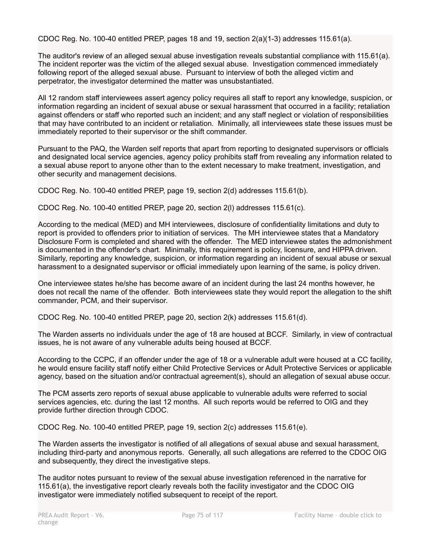CDOC Reg. No. 100-40 entitled PREP, pages 18 and 19, section 2(a)(1-3) addresses 115.61(a).

The auditor's review of an alleged sexual abuse investigation reveals substantial compliance with 115.61(a). The incident reporter was the victim of the alleged sexual abuse. Investigation commenced immediately following report of the alleged sexual abuse. Pursuant to interview of both the alleged victim and perpetrator, the investigator determined the matter was unsubstantiated.

All 12 random staff interviewees assert agency policy requires all staff to report any knowledge, suspicion, or information regarding an incident of sexual abuse or sexual harassment that occurred in a facility; retaliation against offenders or staff who reported such an incident; and any staff neglect or violation of responsibilities that may have contributed to an incident or retaliation. Minimally, all interviewees state these issues must be immediately reported to their supervisor or the shift commander.

Pursuant to the PAQ, the Warden self reports that apart from reporting to designated supervisors or officials and designated local service agencies, agency policy prohibits staff from revealing any information related to a sexual abuse report to anyone other than to the extent necessary to make treatment, investigation, and other security and management decisions.

CDOC Reg. No. 100-40 entitled PREP, page 19, section 2(d) addresses 115.61(b).

CDOC Reg. No. 100-40 entitled PREP, page 20, section 2(l) addresses 115.61(c).

According to the medical (MED) and MH interviewees, disclosure of confidentiality limitations and duty to report is provided to offenders prior to initiation of services. The MH interviewee states that a Mandatory Disclosure Form is completed and shared with the offender. The MED interviewee states the admonishment is documented in the offender's chart. Minimally, this requirement is policy, licensure, and HIPPA driven. Similarly, reporting any knowledge, suspicion, or information regarding an incident of sexual abuse or sexual harassment to a designated supervisor or official immediately upon learning of the same, is policy driven.

One interviewee states he/she has become aware of an incident during the last 24 months however, he does not recall the name of the offender. Both interviewees state they would report the allegation to the shift commander, PCM, and their supervisor.

CDOC Reg. No. 100-40 entitled PREP, page 20, section 2(k) addresses 115.61(d).

The Warden asserts no individuals under the age of 18 are housed at BCCF. Similarly, in view of contractual issues, he is not aware of any vulnerable adults being housed at BCCF.

According to the CCPC, if an offender under the age of 18 or a vulnerable adult were housed at a CC facility, he would ensure facility staff notify either Child Protective Services or Adult Protective Services or applicable agency, based on the situation and/or contractual agreement(s), should an allegation of sexual abuse occur.

The PCM asserts zero reports of sexual abuse applicable to vulnerable adults were referred to social services agencies, etc. during the last 12 months. All such reports would be referred to OIG and they provide further direction through CDOC.

CDOC Reg. No. 100-40 entitled PREP, page 19, section 2(c) addresses 115.61(e).

The Warden asserts the investigator is notified of all allegations of sexual abuse and sexual harassment, including third-party and anonymous reports. Generally, all such allegations are referred to the CDOC OIG and subsequently, they direct the investigative steps.

The auditor notes pursuant to review of the sexual abuse investigation referenced in the narrative for 115.61(a), the investigative report clearly reveals both the facility investigator and the CDOC OIG investigator were immediately notified subsequent to receipt of the report.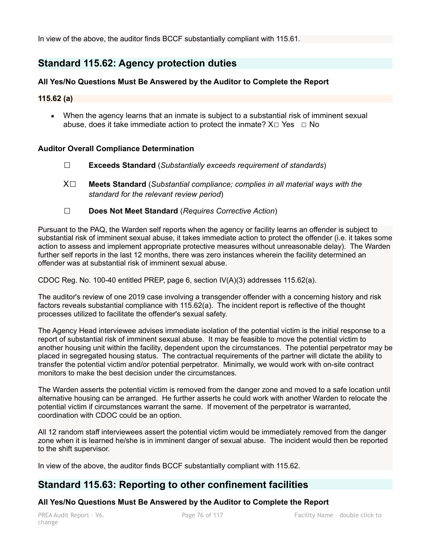In view of the above, the auditor finds BCCF substantially compliant with 115.61.

# **Standard 115.62: Agency protection duties**

## **All Yes/No Questions Must Be Answered by the Auditor to Complete the Report**

## **115.62 (a)**

**■** When the agency learns that an inmate is subject to a substantial risk of imminent sexual abuse, does it take immediate action to protect the inmate?  $X \Box Y$ es  $\Box$  No

## **Auditor Overall Compliance Determination**

- ☐ **Exceeds Standard** (*Substantially exceeds requirement of standards*)
- X☐ **Meets Standard** (*Substantial compliance; complies in all material ways with the standard for the relevant review period*)
- ☐ **Does Not Meet Standard** (*Requires Corrective Action*)

Pursuant to the PAQ, the Warden self reports when the agency or facility learns an offender is subject to substantial risk of imminent sexual abuse, it takes immediate action to protect the offender (i.e. it takes some action to assess and implement appropriate protective measures without unreasonable delay). The Warden further self reports in the last 12 months, there was zero instances wherein the facility determined an offender was at substantial risk of imminent sexual abuse.

CDOC Reg. No. 100-40 entitled PREP, page 6, section IV(A)(3) addresses 115.62(a).

The auditor's review of one 2019 case involving a transgender offender with a concerning history and risk factors reveals substantial compliance with 115.62(a). The incident report is reflective of the thought processes utilized to facilitate the offender's sexual safety.

The Agency Head interviewee advises immediate isolation of the potential victim is the initial response to a report of substantial risk of imminent sexual abuse. It may be feasible to move the potential victim to another housing unit within the facility, dependent upon the circumstances. The potential perpetrator may be placed in segregated housing status. The contractual requirements of the partner will dictate the ability to transfer the potential victim and/or potential perpetrator. Minimally, we would work with on-site contract monitors to make the best decision under the circumstances.

The Warden asserts the potential victim is removed from the danger zone and moved to a safe location until alternative housing can be arranged. He further asserts he could work with another Warden to relocate the potential victim if circumstances warrant the same. If movement of the perpetrator is warranted, coordination with CDOC could be an option.

All 12 random staff interviewees assert the potential victim would be immediately removed from the danger zone when it is learned he/she is in imminent danger of sexual abuse. The incident would then be reported to the shift supervisor.

In view of the above, the auditor finds BCCF substantially compliant with 115.62.

# **Standard 115.63: Reporting to other confinement facilities**

## **All Yes/No Questions Must Be Answered by the Auditor to Complete the Report**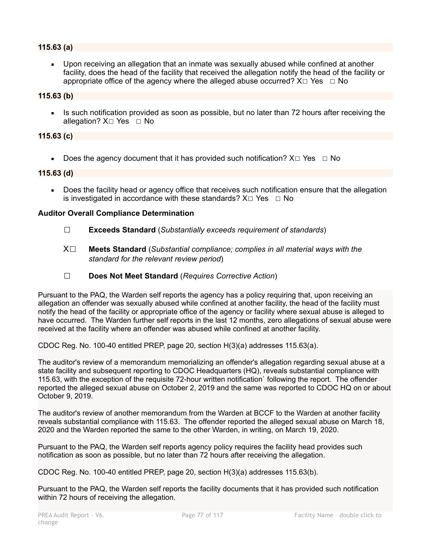## **115.63 (a)**

**•** Upon receiving an allegation that an inmate was sexually abused while confined at another facility, does the head of the facility that received the allegation notify the head of the facility or appropriate office of the agency where the alleged abuse occurred?  $X \Box Y$ es  $\Box$  No

## **115.63 (b)**

Is such notification provided as soon as possible, but no later than 72 hours after receiving the allegation? X□ Yes □ No

## **115.63 (c)**

**•** Does the agency document that it has provided such notification?  $X \square Ye$ s  $\Box$  No

## **115.63 (d)**

Does the facility head or agency office that receives such notification ensure that the allegation is investigated in accordance with these standards?  $X \Box Y$ es  $\Box$  No

## **Auditor Overall Compliance Determination**

- ☐ **Exceeds Standard** (*Substantially exceeds requirement of standards*)
- X☐ **Meets Standard** (*Substantial compliance; complies in all material ways with the standard for the relevant review period*)
- ☐ **Does Not Meet Standard** (*Requires Corrective Action*)

Pursuant to the PAQ, the Warden self reports the agency has a policy requiring that, upon receiving an allegation an offender was sexually abused while confined at another facility, the head of the facility must notify the head of the facility or appropriate office of the agency or facility where sexual abuse is alleged to have occurred. The Warden further self reports in the last 12 months, zero allegations of sexual abuse were received at the facility where an offender was abused while confined at another facility.

CDOC Reg. No. 100-40 entitled PREP, page 20, section H(3)(a) addresses 115.63(a).

The auditor's review of a memorandum memorializing an offender's allegation regarding sexual abuse at a state facility and subsequent reporting to CDOC Headquarters (HQ), reveals substantial compliance with 115.63, with the exception of the requisite 72-hour written notification` following the report. The offender reported the alleged sexual abuse on October 2, 2019 and the same was reported to CDOC HQ on or about October 9, 2019.

The auditor's review of another memorandum from the Warden at BCCF to the Warden at another facility reveals substantial compliance with 115.63. The offender reported the alleged sexual abuse on March 18, 2020 and the Warden reported the same to the other Warden, in writing, on March 19, 2020.

Pursuant to the PAQ, the Warden self reports agency policy requires the facility head provides such notification as soon as possible, but no later than 72 hours after receiving the allegation.

CDOC Reg. No. 100-40 entitled PREP, page 20, section H(3)(a) addresses 115.63(b).

Pursuant to the PAQ, the Warden self reports the facility documents that it has provided such notification within 72 hours of receiving the allegation.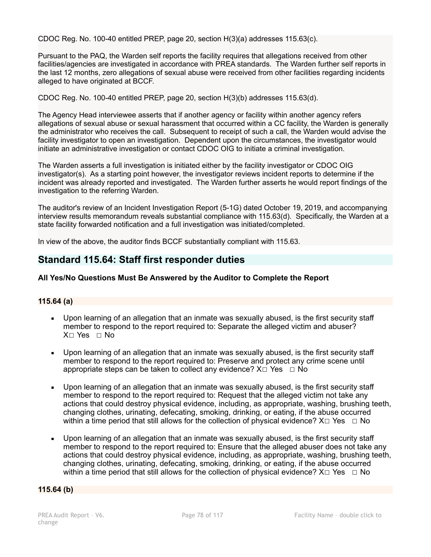CDOC Reg. No. 100-40 entitled PREP, page 20, section H(3)(a) addresses 115.63(c).

Pursuant to the PAQ, the Warden self reports the facility requires that allegations received from other facilities/agencies are investigated in accordance with PREA standards. The Warden further self reports in the last 12 months, zero allegations of sexual abuse were received from other facilities regarding incidents alleged to have originated at BCCF.

CDOC Reg. No. 100-40 entitled PREP, page 20, section H(3)(b) addresses 115.63(d).

The Agency Head interviewee asserts that if another agency or facility within another agency refers allegations of sexual abuse or sexual harassment that occurred within a CC facility, the Warden is generally the administrator who receives the call. Subsequent to receipt of such a call, the Warden would advise the facility investigator to open an investigation. Dependent upon the circumstances, the investigator would initiate an administrative investigation or contact CDOC OIG to initiate a criminal investigation.

The Warden asserts a full investigation is initiated either by the facility investigator or CDOC OIG investigator(s). As a starting point however, the investigator reviews incident reports to determine if the incident was already reported and investigated. The Warden further asserts he would report findings of the investigation to the referring Warden.

The auditor's review of an Incident Investigation Report (5-1G) dated October 19, 2019, and accompanying interview results memorandum reveals substantial compliance with 115.63(d). Specifically, the Warden at a state facility forwarded notification and a full investigation was initiated/completed.

In view of the above, the auditor finds BCCF substantially compliant with 115.63.

# **Standard 115.64: Staff first responder duties**

## **All Yes/No Questions Must Be Answered by the Auditor to Complete the Report**

## **115.64 (a)**

- Upon learning of an allegation that an inmate was sexually abused, is the first security staff member to respond to the report required to: Separate the alleged victim and abuser? X☐ Yes ☐ No
- Upon learning of an allegation that an inmate was sexually abused, is the first security staff member to respond to the report required to: Preserve and protect any crime scene until appropriate steps can be taken to collect any evidence?  $X \Box Y$ es  $\Box$  No
- Upon learning of an allegation that an inmate was sexually abused, is the first security staff member to respond to the report required to: Request that the alleged victim not take any actions that could destroy physical evidence, including, as appropriate, washing, brushing teeth, changing clothes, urinating, defecating, smoking, drinking, or eating, if the abuse occurred within a time period that still allows for the collection of physical evidence?  $X \Box Y$ es  $\Box$  No
- Upon learning of an allegation that an inmate was sexually abused, is the first security staff member to respond to the report required to: Ensure that the alleged abuser does not take any actions that could destroy physical evidence, including, as appropriate, washing, brushing teeth, changing clothes, urinating, defecating, smoking, drinking, or eating, if the abuse occurred within a time period that still allows for the collection of physical evidence?  $X \Box Y$ es  $\Box$  No

## **115.64 (b)**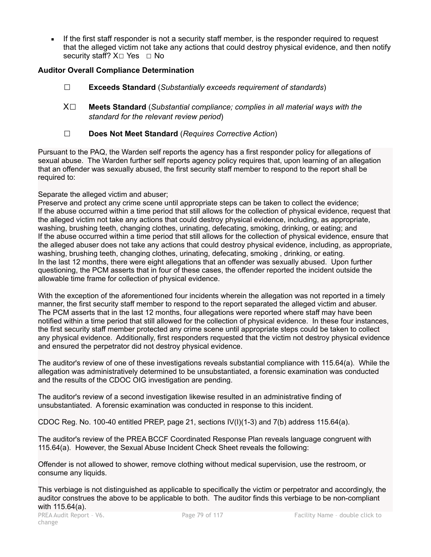If the first staff responder is not a security staff member, is the responder required to request that the alleged victim not take any actions that could destroy physical evidence, and then notify security staff?  $X□$  Yes  $□$  No

## **Auditor Overall Compliance Determination**

- ☐ **Exceeds Standard** (*Substantially exceeds requirement of standards*)
- X☐ **Meets Standard** (*Substantial compliance; complies in all material ways with the standard for the relevant review period*)
- ☐ **Does Not Meet Standard** (*Requires Corrective Action*)

Pursuant to the PAQ, the Warden self reports the agency has a first responder policy for allegations of sexual abuse. The Warden further self reports agency policy requires that, upon learning of an allegation that an offender was sexually abused, the first security staff member to respond to the report shall be required to:

Separate the alleged victim and abuser;

Preserve and protect any crime scene until appropriate steps can be taken to collect the evidence; If the abuse occurred within a time period that still allows for the collection of physical evidence, request that the alleged victim not take any actions that could destroy physical evidence, including, as appropriate, washing, brushing teeth, changing clothes, urinating, defecating, smoking, drinking, or eating; and If the abuse occurred within a time period that still allows for the collection of physical evidence, ensure that the alleged abuser does not take any actions that could destroy physical evidence, including, as appropriate, washing, brushing teeth, changing clothes, urinating, defecating, smoking , drinking, or eating. In the last 12 months, there were eight allegations that an offender was sexually abused. Upon further questioning, the PCM asserts that in four of these cases, the offender reported the incident outside the allowable time frame for collection of physical evidence.

With the exception of the aforementioned four incidents wherein the allegation was not reported in a timely manner, the first security staff member to respond to the report separated the alleged victim and abuser. The PCM asserts that in the last 12 months, four allegations were reported where staff may have been notified within a time period that still allowed for the collection of physical evidence. In these four instances, the first security staff member protected any crime scene until appropriate steps could be taken to collect any physical evidence. Additionally, first responders requested that the victim not destroy physical evidence and ensured the perpetrator did not destroy physical evidence.

The auditor's review of one of these investigations reveals substantial compliance with 115.64(a). While the allegation was administratively determined to be unsubstantiated, a forensic examination was conducted and the results of the CDOC OIG investigation are pending.

The auditor's review of a second investigation likewise resulted in an administrative finding of unsubstantiated. A forensic examination was conducted in response to this incident.

CDOC Reg. No. 100-40 entitled PREP, page 21, sections IV(I)(1-3) and 7(b) address 115.64(a).

The auditor's review of the PREA BCCF Coordinated Response Plan reveals language congruent with 115.64(a). However, the Sexual Abuse Incident Check Sheet reveals the following:

Offender is not allowed to shower, remove clothing without medical supervision, use the restroom, or consume any liquids.

This verbiage is not distinguished as applicable to specifically the victim or perpetrator and accordingly, the auditor construes the above to be applicable to both. The auditor finds this verbiage to be non-compliant with 115.64(a).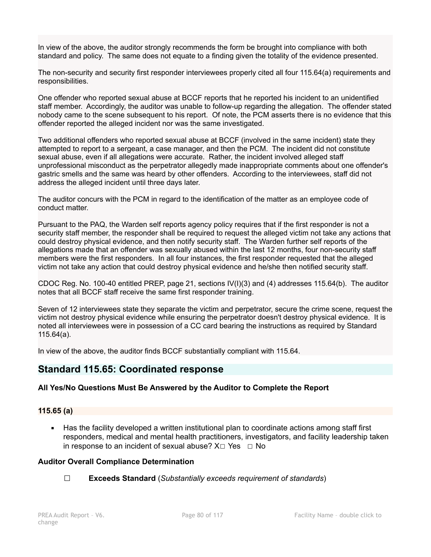In view of the above, the auditor strongly recommends the form be brought into compliance with both standard and policy. The same does not equate to a finding given the totality of the evidence presented.

The non-security and security first responder interviewees properly cited all four 115.64(a) requirements and responsibilities.

One offender who reported sexual abuse at BCCF reports that he reported his incident to an unidentified staff member. Accordingly, the auditor was unable to follow-up regarding the allegation. The offender stated nobody came to the scene subsequent to his report. Of note, the PCM asserts there is no evidence that this offender reported the alleged incident nor was the same investigated.

Two additional offenders who reported sexual abuse at BCCF (involved in the same incident) state they attempted to report to a sergeant, a case manager, and then the PCM. The incident did not constitute sexual abuse, even if all allegations were accurate. Rather, the incident involved alleged staff unprofessional misconduct as the perpetrator allegedly made inappropriate comments about one offender's gastric smells and the same was heard by other offenders. According to the interviewees, staff did not address the alleged incident until three days later.

The auditor concurs with the PCM in regard to the identification of the matter as an employee code of conduct matter.

Pursuant to the PAQ, the Warden self reports agency policy requires that if the first responder is not a security staff member, the responder shall be required to request the alleged victim not take any actions that could destroy physical evidence, and then notify security staff. The Warden further self reports of the allegations made that an offender was sexually abused within the last 12 months, four non-security staff members were the first responders. In all four instances, the first responder requested that the alleged victim not take any action that could destroy physical evidence and he/she then notified security staff.

CDOC Reg. No. 100-40 entitled PREP, page 21, sections IV(I)(3) and (4) addresses 115.64(b). The auditor notes that all BCCF staff receive the same first responder training.

Seven of 12 interviewees state they separate the victim and perpetrator, secure the crime scene, request the victim not destroy physical evidence while ensuring the perpetrator doesn't destroy physical evidence. It is noted all interviewees were in possession of a CC card bearing the instructions as required by Standard 115.64(a).

In view of the above, the auditor finds BCCF substantially compliant with 115.64.

# **Standard 115.65: Coordinated response**

## **All Yes/No Questions Must Be Answered by the Auditor to Complete the Report**

## **115.65 (a)**

■ Has the facility developed a written institutional plan to coordinate actions among staff first responders, medical and mental health practitioners, investigators, and facility leadership taken in response to an incident of sexual abuse?  $X \Box Y$ es  $\Box$  No

## **Auditor Overall Compliance Determination**

☐ **Exceeds Standard** (*Substantially exceeds requirement of standards*)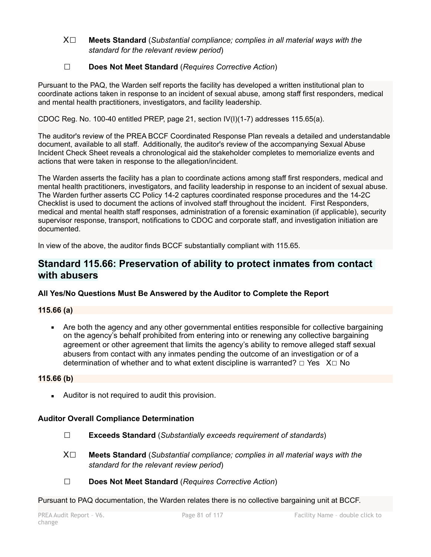X☐ **Meets Standard** (*Substantial compliance; complies in all material ways with the standard for the relevant review period*)

# ☐ **Does Not Meet Standard** (*Requires Corrective Action*)

Pursuant to the PAQ, the Warden self reports the facility has developed a written institutional plan to coordinate actions taken in response to an incident of sexual abuse, among staff first responders, medical and mental health practitioners, investigators, and facility leadership.

CDOC Reg. No. 100-40 entitled PREP, page 21, section IV(I)(1-7) addresses 115.65(a).

The auditor's review of the PREA BCCF Coordinated Response Plan reveals a detailed and understandable document, available to all staff. Additionally, the auditor's review of the accompanying Sexual Abuse Incident Check Sheet reveals a chronological aid the stakeholder completes to memorialize events and actions that were taken in response to the allegation/incident.

The Warden asserts the facility has a plan to coordinate actions among staff first responders, medical and mental health practitioners, investigators, and facility leadership in response to an incident of sexual abuse. The Warden further asserts CC Policy 14-2 captures coordinated response procedures and the 14-2C Checklist is used to document the actions of involved staff throughout the incident. First Responders, medical and mental health staff responses, administration of a forensic examination (if applicable), security supervisor response, transport, notifications to CDOC and corporate staff, and investigation initiation are documented.

In view of the above, the auditor finds BCCF substantially compliant with 115.65.

# **Standard 115.66: Preservation of ability to protect inmates from contact with abusers**

# **All Yes/No Questions Must Be Answered by the Auditor to Complete the Report**

# **115.66 (a)**

▪ Are both the agency and any other governmental entities responsible for collective bargaining on the agency's behalf prohibited from entering into or renewing any collective bargaining agreement or other agreement that limits the agency's ability to remove alleged staff sexual abusers from contact with any inmates pending the outcome of an investigation or of a determination of whether and to what extent discipline is warranted?  $□$  Yes  $X□$  No

## **115.66 (b)**

■ Auditor is not required to audit this provision.

## **Auditor Overall Compliance Determination**

- ☐ **Exceeds Standard** (*Substantially exceeds requirement of standards*)
- X☐ **Meets Standard** (*Substantial compliance; complies in all material ways with the standard for the relevant review period*)
- ☐ **Does Not Meet Standard** (*Requires Corrective Action*)

Pursuant to PAQ documentation, the Warden relates there is no collective bargaining unit at BCCF.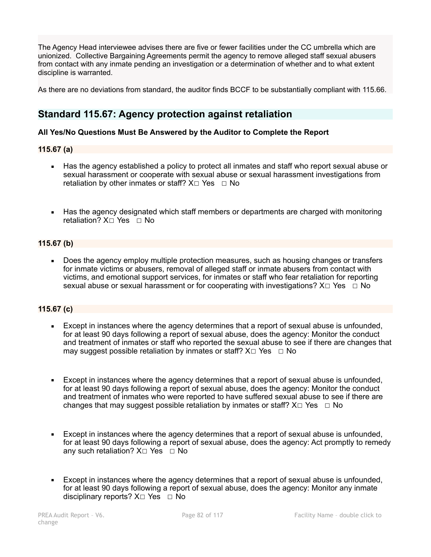The Agency Head interviewee advises there are five or fewer facilities under the CC umbrella which are unionized. Collective Bargaining Agreements permit the agency to remove alleged staff sexual abusers from contact with any inmate pending an investigation or a determination of whether and to what extent discipline is warranted.

As there are no deviations from standard, the auditor finds BCCF to be substantially compliant with 115.66.

# **Standard 115.67: Agency protection against retaliation**

## **All Yes/No Questions Must Be Answered by the Auditor to Complete the Report**

## **115.67 (a)**

- Has the agency established a policy to protect all inmates and staff who report sexual abuse or sexual harassment or cooperate with sexual abuse or sexual harassment investigations from retaliation by other inmates or staff?  $X \square Y$ es  $\square$  No
- Has the agency designated which staff members or departments are charged with monitoring retaliation? X□ Yes □ No

# **115.67 (b)**

Does the agency employ multiple protection measures, such as housing changes or transfers for inmate victims or abusers, removal of alleged staff or inmate abusers from contact with victims, and emotional support services, for inmates or staff who fear retaliation for reporting sexual abuse or sexual harassment or for cooperating with investigations?  $X \Box Y$ es  $\Box$  No

## **115.67 (c)**

- **Except in instances where the agency determines that a report of sexual abuse is unfounded,** for at least 90 days following a report of sexual abuse, does the agency: Monitor the conduct and treatment of inmates or staff who reported the sexual abuse to see if there are changes that may suggest possible retaliation by inmates or staff?  $X\square$  Yes  $\square$  No
- **Except in instances where the agency determines that a report of sexual abuse is unfounded,** for at least 90 days following a report of sexual abuse, does the agency: Monitor the conduct and treatment of inmates who were reported to have suffered sexual abuse to see if there are changes that may suggest possible retaliation by inmates or staff?  $X \Box Y$ es  $\Box$  No
- Except in instances where the agency determines that a report of sexual abuse is unfounded, for at least 90 days following a report of sexual abuse, does the agency: Act promptly to remedy any such retaliation?  $X \square$  Yes  $\square$  No
- **Except in instances where the agency determines that a report of sexual abuse is unfounded,** for at least 90 days following a report of sexual abuse, does the agency: Monitor any inmate disciplinary reports?  $X□$  Yes  $□$  No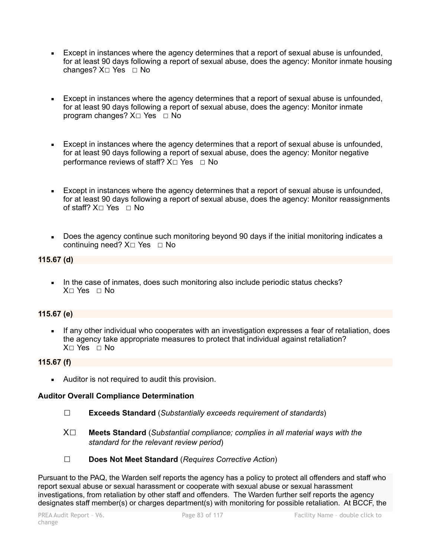- **Except in instances where the agency determines that a report of sexual abuse is unfounded,** for at least 90 days following a report of sexual abuse, does the agency: Monitor inmate housing changes? X□ Yes □ No
- Except in instances where the agency determines that a report of sexual abuse is unfounded, for at least 90 days following a report of sexual abuse, does the agency: Monitor inmate program changes?  $X□$  Yes  $□$  No
- **Except in instances where the agency determines that a report of sexual abuse is unfounded,** for at least 90 days following a report of sexual abuse, does the agency: Monitor negative performance reviews of staff?  $X□$  Yes □ No
- **Except in instances where the agency determines that a report of sexual abuse is unfounded,** for at least 90 days following a report of sexual abuse, does the agency: Monitor reassignments of staff?  $X□$  Yes □ No
- Does the agency continue such monitoring beyond 90 days if the initial monitoring indicates a continuing need? X□ Yes □ No

# **115.67 (d)**

In the case of inmates, does such monitoring also include periodic status checks? X☐ Yes ☐ No

# **115.67 (e)**

If any other individual who cooperates with an investigation expresses a fear of retaliation, does the agency take appropriate measures to protect that individual against retaliation? X☐ Yes ☐ No

# **115.67 (f)**

**EXECUTE:** Auditor is not required to audit this provision.

# **Auditor Overall Compliance Determination**

- ☐ **Exceeds Standard** (*Substantially exceeds requirement of standards*)
- X☐ **Meets Standard** (*Substantial compliance; complies in all material ways with the standard for the relevant review period*)
- ☐ **Does Not Meet Standard** (*Requires Corrective Action*)

Pursuant to the PAQ, the Warden self reports the agency has a policy to protect all offenders and staff who report sexual abuse or sexual harassment or cooperate with sexual abuse or sexual harassment investigations, from retaliation by other staff and offenders. The Warden further self reports the agency designates staff member(s) or charges department(s) with monitoring for possible retaliation. At BCCF, the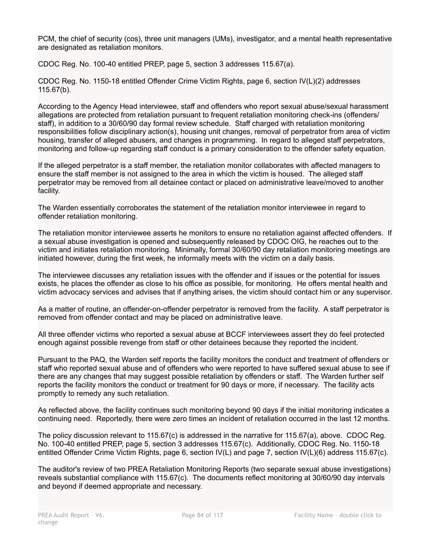PCM, the chief of security (cos), three unit managers (UMs), investigator, and a mental health representative are designated as retaliation monitors.

CDOC Reg. No. 100-40 entitled PREP, page 5, section 3 addresses 115.67(a).

CDOC Reg. No. 1150-18 entitled Offender Crime Victim Rights, page 6, section IV(L)(2) addresses 115.67(b).

According to the Agency Head interviewee, staff and offenders who report sexual abuse/sexual harassment allegations are protected from retaliation pursuant to frequent retaliation monitoring check-ins (offenders/ staff), in addition to a 30/60/90 day formal review schedule. Staff charged with retaliation monitoring responsibilities follow disciplinary action(s), housing unit changes, removal of perpetrator from area of victim housing, transfer of alleged abusers, and changes in programming. In regard to alleged staff perpetrators, monitoring and follow-up regarding staff conduct is a primary consideration to the offender safety equation.

If the alleged perpetrator is a staff member, the retaliation monitor collaborates with affected managers to ensure the staff member is not assigned to the area in which the victim is housed. The alleged staff perpetrator may be removed from all detainee contact or placed on administrative leave/moved to another facility.

The Warden essentially corroborates the statement of the retaliation monitor interviewee in regard to offender retaliation monitoring.

The retaliation monitor interviewee asserts he monitors to ensure no retaliation against affected offenders. If a sexual abuse investigation is opened and subsequently released by CDOC OIG, he reaches out to the victim and initiates retaliation monitoring. Minimally, formal 30/60/90 day retaliation monitoring meetings are initiated however, during the first week, he informally meets with the victim on a daily basis.

The interviewee discusses any retaliation issues with the offender and if issues or the potential for issues exists, he places the offender as close to his office as possible, for monitoring. He offers mental health and victim advocacy services and advises that if anything arises, the victim should contact him or any supervisor.

As a matter of routine, an offender-on-offender perpetrator is removed from the facility. A staff perpetrator is removed from offender contact and may be placed on administrative leave.

All three offender victims who reported a sexual abuse at BCCF interviewees assert they do feel protected enough against possible revenge from staff or other detainees because they reported the incident.

Pursuant to the PAQ, the Warden self reports the facility monitors the conduct and treatment of offenders or staff who reported sexual abuse and of offenders who were reported to have suffered sexual abuse to see if there are any changes that may suggest possible retaliation by offenders or staff. The Warden further self reports the facility monitors the conduct or treatment for 90 days or more, if necessary. The facility acts promptly to remedy any such retaliation.

As reflected above, the facility continues such monitoring beyond 90 days if the initial monitoring indicates a continuing need. Reportedly, there were zero times an incident of retaliation occurred in the last 12 months.

The policy discussion relevant to 115.67(c) is addressed in the narrative for 115.67(a), above. CDOC Reg. No. 100-40 entitled PREP, page 5, section 3 addresses 115.67(c). Additionally, CDOC Reg. No. 1150-18 entitled Offender Crime Victim Rights, page 6, section IV(L) and page 7, section IV(L)(6) address 115.67(c).

The auditor's review of two PREA Retaliation Monitoring Reports (two separate sexual abuse investigations) reveals substantial compliance with 115.67(c). The documents reflect monitoring at 30/60/90 day intervals and beyond if deemed appropriate and necessary.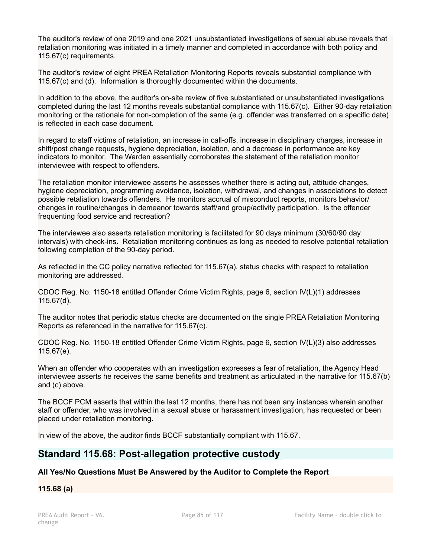The auditor's review of one 2019 and one 2021 unsubstantiated investigations of sexual abuse reveals that retaliation monitoring was initiated in a timely manner and completed in accordance with both policy and 115.67(c) requirements.

The auditor's review of eight PREA Retaliation Monitoring Reports reveals substantial compliance with 115.67(c) and (d). Information is thoroughly documented within the documents.

In addition to the above, the auditor's on-site review of five substantiated or unsubstantiated investigations completed during the last 12 months reveals substantial compliance with 115.67(c). Either 90-day retaliation monitoring or the rationale for non-completion of the same (e.g. offender was transferred on a specific date) is reflected in each case document.

In regard to staff victims of retaliation, an increase in call-offs, increase in disciplinary charges, increase in shift/post change requests, hygiene depreciation, isolation, and a decrease in performance are key indicators to monitor. The Warden essentially corroborates the statement of the retaliation monitor interviewee with respect to offenders.

The retaliation monitor interviewee asserts he assesses whether there is acting out, attitude changes, hygiene depreciation, programming avoidance, isolation, withdrawal, and changes in associations to detect possible retaliation towards offenders. He monitors accrual of misconduct reports, monitors behavior/ changes in routine/changes in demeanor towards staff/and group/activity participation. Is the offender frequenting food service and recreation?

The interviewee also asserts retaliation monitoring is facilitated for 90 days minimum (30/60/90 day intervals) with check-ins. Retaliation monitoring continues as long as needed to resolve potential retaliation following completion of the 90-day period.

As reflected in the CC policy narrative reflected for 115.67(a), status checks with respect to retaliation monitoring are addressed.

CDOC Reg. No. 1150-18 entitled Offender Crime Victim Rights, page 6, section IV(L)(1) addresses 115.67(d).

The auditor notes that periodic status checks are documented on the single PREA Retaliation Monitoring Reports as referenced in the narrative for 115.67(c).

CDOC Reg. No. 1150-18 entitled Offender Crime Victim Rights, page 6, section IV(L)(3) also addresses 115.67(e).

When an offender who cooperates with an investigation expresses a fear of retaliation, the Agency Head interviewee asserts he receives the same benefits and treatment as articulated in the narrative for 115.67(b) and (c) above.

The BCCF PCM asserts that within the last 12 months, there has not been any instances wherein another staff or offender, who was involved in a sexual abuse or harassment investigation, has requested or been placed under retaliation monitoring.

In view of the above, the auditor finds BCCF substantially compliant with 115.67.

# **Standard 115.68: Post-allegation protective custody**

# **All Yes/No Questions Must Be Answered by the Auditor to Complete the Report**

## **115.68 (a)**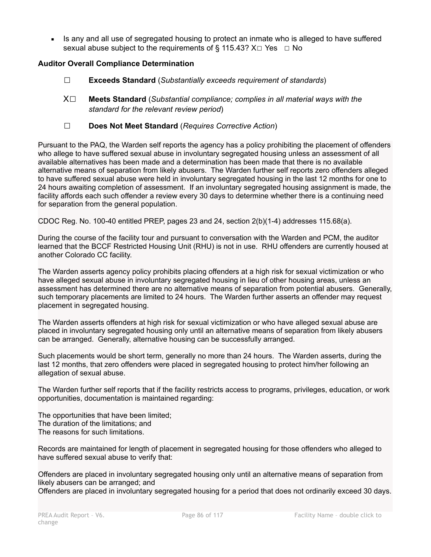**EXECT** Is any and all use of segregated housing to protect an inmate who is alleged to have suffered sexual abuse subject to the requirements of § 115.43?  $X \Box Y$ es  $\Box$  No

# **Auditor Overall Compliance Determination**

- ☐ **Exceeds Standard** (*Substantially exceeds requirement of standards*)
- X☐ **Meets Standard** (*Substantial compliance; complies in all material ways with the standard for the relevant review period*)
- ☐ **Does Not Meet Standard** (*Requires Corrective Action*)

Pursuant to the PAQ, the Warden self reports the agency has a policy prohibiting the placement of offenders who allege to have suffered sexual abuse in involuntary segregated housing unless an assessment of all available alternatives has been made and a determination has been made that there is no available alternative means of separation from likely abusers. The Warden further self reports zero offenders alleged to have suffered sexual abuse were held in involuntary segregated housing in the last 12 months for one to 24 hours awaiting completion of assessment. If an involuntary segregated housing assignment is made, the facility affords each such offender a review every 30 days to determine whether there is a continuing need for separation from the general population.

CDOC Reg. No. 100-40 entitled PREP, pages 23 and 24, section 2(b)(1-4) addresses 115.68(a).

During the course of the facility tour and pursuant to conversation with the Warden and PCM, the auditor learned that the BCCF Restricted Housing Unit (RHU) is not in use. RHU offenders are currently housed at another Colorado CC facility.

The Warden asserts agency policy prohibits placing offenders at a high risk for sexual victimization or who have alleged sexual abuse in involuntary segregated housing in lieu of other housing areas, unless an assessment has determined there are no alternative means of separation from potential abusers. Generally, such temporary placements are limited to 24 hours. The Warden further asserts an offender may request placement in segregated housing.

The Warden asserts offenders at high risk for sexual victimization or who have alleged sexual abuse are placed in involuntary segregated housing only until an alternative means of separation from likely abusers can be arranged. Generally, alternative housing can be successfully arranged.

Such placements would be short term, generally no more than 24 hours. The Warden asserts, during the last 12 months, that zero offenders were placed in segregated housing to protect him/her following an allegation of sexual abuse.

The Warden further self reports that if the facility restricts access to programs, privileges, education, or work opportunities, documentation is maintained regarding:

The opportunities that have been limited; The duration of the limitations; and The reasons for such limitations.

Records are maintained for length of placement in segregated housing for those offenders who alleged to have suffered sexual abuse to verify that:

Offenders are placed in involuntary segregated housing only until an alternative means of separation from likely abusers can be arranged; and

Offenders are placed in involuntary segregated housing for a period that does not ordinarily exceed 30 days.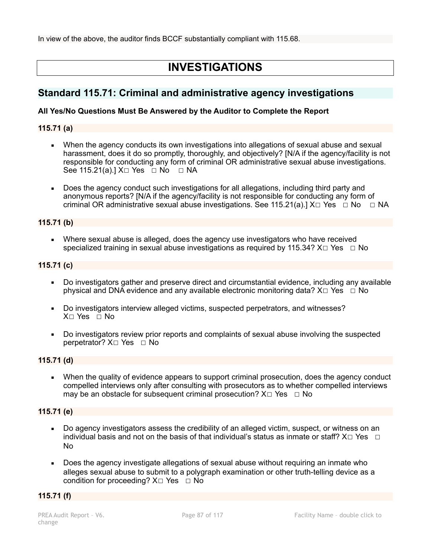In view of the above, the auditor finds BCCF substantially compliant with 115.68.

# **INVESTIGATIONS**

# **Standard 115.71: Criminal and administrative agency investigations**

## **All Yes/No Questions Must Be Answered by the Auditor to Complete the Report**

## **115.71 (a)**

- When the agency conducts its own investigations into allegations of sexual abuse and sexual harassment, does it do so promptly, thoroughly, and objectively? [N/A if the agency/facility is not responsible for conducting any form of criminal OR administrative sexual abuse investigations. See 115.21(a).] X□ Yes □ No □ NA
- Does the agency conduct such investigations for all allegations, including third party and anonymous reports? [N/A if the agency/facility is not responsible for conducting any form of criminal OR administrative sexual abuse investigations. See 115.21(a).]  $X \Box Y$ es  $\Box$  No  $\Box$  NA

## **115.71 (b)**

**•** Where sexual abuse is alleged, does the agency use investigators who have received specialized training in sexual abuse investigations as required by 115.34?  $X \Box Y$ es  $\Box$  No

## **115.71 (c)**

- Do investigators gather and preserve direct and circumstantial evidence, including any available physical and DNA evidence and any available electronic monitoring data?  $X \Box Y$ es  $\Box$  No
- Do investigators interview alleged victims, suspected perpetrators, and witnesses? X□ Yes □ No
- Do investigators review prior reports and complaints of sexual abuse involving the suspected perpetrator? X□ Yes □ No

## **115.71 (d)**

When the quality of evidence appears to support criminal prosecution, does the agency conduct compelled interviews only after consulting with prosecutors as to whether compelled interviews may be an obstacle for subsequent criminal prosecution?  $X \Box Y$ es  $\Box$  No

## **115.71 (e)**

- Do agency investigators assess the credibility of an alleged victim, suspect, or witness on an individual basis and not on the basis of that individual's status as inmate or staff?  $X \Box Y$ es  $\Box$ No
- Does the agency investigate allegations of sexual abuse without requiring an inmate who alleges sexual abuse to submit to a polygraph examination or other truth-telling device as a condition for proceeding?  $X \Box Y$ es  $\Box \text{No}$

## **115.71 (f)**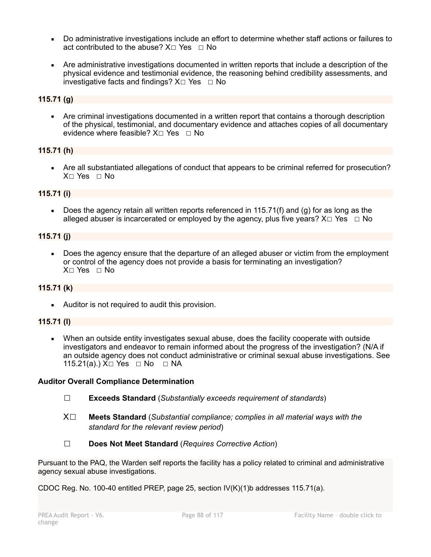- Do administrative investigations include an effort to determine whether staff actions or failures to act contributed to the abuse?  $X \Box Y$ es  $\Box$  No
- Are administrative investigations documented in written reports that include a description of the physical evidence and testimonial evidence, the reasoning behind credibility assessments, and investigative facts and findings?  $X \Box Y$ es  $\Box$  No

# **115.71 (g)**

Are criminal investigations documented in a written report that contains a thorough description of the physical, testimonial, and documentary evidence and attaches copies of all documentary evidence where feasible?  $X \square$  Yes  $\square$  No

# **115.71 (h)**

Are all substantiated allegations of conduct that appears to be criminal referred for prosecution? X☐ Yes ☐ No

# **115.71 (i)**

Does the agency retain all written reports referenced in 115.71(f) and (g) for as long as the alleged abuser is incarcerated or employed by the agency, plus five years?  $X \Box Y$ es  $\Box$  No

# **115.71 (j)**

Does the agency ensure that the departure of an alleged abuser or victim from the employment or control of the agency does not provide a basis for terminating an investigation? X☐ Yes ☐ No

# **115.71 (k)**

■ Auditor is not required to audit this provision.

## **115.71 (l)**

▪ When an outside entity investigates sexual abuse, does the facility cooperate with outside investigators and endeavor to remain informed about the progress of the investigation? (N/A if an outside agency does not conduct administrative or criminal sexual abuse investigations. See 115.21(a).) X□ Yes □ No □ NA

## **Auditor Overall Compliance Determination**

- ☐ **Exceeds Standard** (*Substantially exceeds requirement of standards*)
- X☐ **Meets Standard** (*Substantial compliance; complies in all material ways with the standard for the relevant review period*)
- ☐ **Does Not Meet Standard** (*Requires Corrective Action*)

Pursuant to the PAQ, the Warden self reports the facility has a policy related to criminal and administrative agency sexual abuse investigations.

CDOC Reg. No. 100-40 entitled PREP, page 25, section  $IV(K)(1)$ b addresses 115.71(a).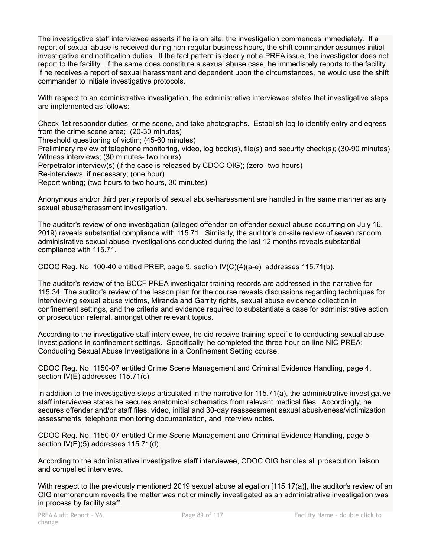The investigative staff interviewee asserts if he is on site, the investigation commences immediately. If a report of sexual abuse is received during non-regular business hours, the shift commander assumes initial investigative and notification duties. If the fact pattern is clearly not a PREA issue, the investigator does not report to the facility. If the same does constitute a sexual abuse case, he immediately reports to the facility. If he receives a report of sexual harassment and dependent upon the circumstances, he would use the shift commander to initiate investigative protocols.

With respect to an administrative investigation, the administrative interviewee states that investigative steps are implemented as follows:

Check 1st responder duties, crime scene, and take photographs. Establish log to identify entry and egress from the crime scene area; (20-30 minutes)

Threshold questioning of victim; (45-60 minutes)

Preliminary review of telephone monitoring, video, log book(s), file(s) and security check(s); (30-90 minutes) Witness interviews; (30 minutes- two hours)

Perpetrator interview(s) (if the case is released by CDOC OIG); (zero- two hours)

Re-interviews, if necessary; (one hour)

Report writing; (two hours to two hours, 30 minutes)

Anonymous and/or third party reports of sexual abuse/harassment are handled in the same manner as any sexual abuse/harassment investigation.

The auditor's review of one investigation (alleged offender-on-offender sexual abuse occurring on July 16, 2019) reveals substantial compliance with 115.71. Similarly, the auditor's on-site review of seven random administrative sexual abuse investigations conducted during the last 12 months reveals substantial compliance with 115.71.

CDOC Reg. No. 100-40 entitled PREP, page 9, section IV(C)(4)(a-e) addresses 115.71(b).

The auditor's review of the BCCF PREA investigator training records are addressed in the narrative for 115.34. The auditor's review of the lesson plan for the course reveals discussions regarding techniques for interviewing sexual abuse victims, Miranda and Garrity rights, sexual abuse evidence collection in confinement settings, and the criteria and evidence required to substantiate a case for administrative action or prosecution referral, amongst other relevant topics.

According to the investigative staff interviewee, he did receive training specific to conducting sexual abuse investigations in confinement settings. Specifically, he completed the three hour on-line NIC PREA: Conducting Sexual Abuse Investigations in a Confinement Setting course.

CDOC Reg. No. 1150-07 entitled Crime Scene Management and Criminal Evidence Handling, page 4, section IV(E) addresses 115.71(c).

In addition to the investigative steps articulated in the narrative for 115.71(a), the administrative investigative staff interviewee states he secures anatomical schematics from relevant medical files. Accordingly, he secures offender and/or staff files, video, initial and 30-day reassessment sexual abusiveness/victimization assessments, telephone monitoring documentation, and interview notes.

CDOC Reg. No. 1150-07 entitled Crime Scene Management and Criminal Evidence Handling, page 5 section IV(E)(5) addresses 115.71(d).

According to the administrative investigative staff interviewee, CDOC OIG handles all prosecution liaison and compelled interviews.

With respect to the previously mentioned 2019 sexual abuse allegation [115.17(a)], the auditor's review of an OIG memorandum reveals the matter was not criminally investigated as an administrative investigation was in process by facility staff.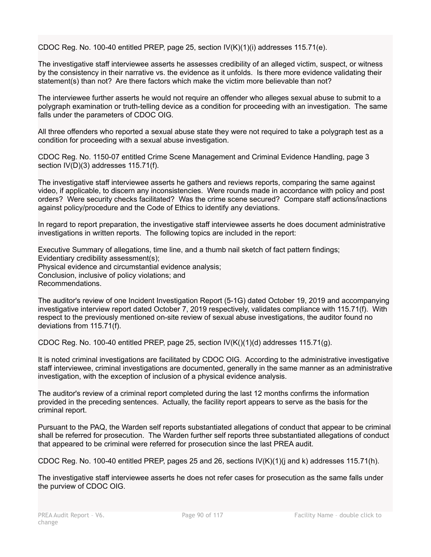CDOC Reg. No. 100-40 entitled PREP, page 25, section  $IV(K)(1)(i)$  addresses 115.71(e).

The investigative staff interviewee asserts he assesses credibility of an alleged victim, suspect, or witness by the consistency in their narrative vs. the evidence as it unfolds. Is there more evidence validating their statement(s) than not? Are there factors which make the victim more believable than not?

The interviewee further asserts he would not require an offender who alleges sexual abuse to submit to a polygraph examination or truth-telling device as a condition for proceeding with an investigation. The same falls under the parameters of CDOC OIG.

All three offenders who reported a sexual abuse state they were not required to take a polygraph test as a condition for proceeding with a sexual abuse investigation.

CDOC Reg. No. 1150-07 entitled Crime Scene Management and Criminal Evidence Handling, page 3 section IV(D)(3) addresses 115.71(f).

The investigative staff interviewee asserts he gathers and reviews reports, comparing the same against video, if applicable, to discern any inconsistencies. Were rounds made in accordance with policy and post orders? Were security checks facilitated? Was the crime scene secured? Compare staff actions/inactions against policy/procedure and the Code of Ethics to identify any deviations.

In regard to report preparation, the investigative staff interviewee asserts he does document administrative investigations in written reports. The following topics are included in the report:

Executive Summary of allegations, time line, and a thumb nail sketch of fact pattern findings; Evidentiary credibility assessment(s); Physical evidence and circumstantial evidence analysis; Conclusion, inclusive of policy violations; and Recommendations.

The auditor's review of one Incident Investigation Report (5-1G) dated October 19, 2019 and accompanying investigative interview report dated October 7, 2019 respectively, validates compliance with 115.71(f). With respect to the previously mentioned on-site review of sexual abuse investigations, the auditor found no deviations from 115.71(f).

CDOC Reg. No. 100-40 entitled PREP, page 25, section  $IV(K)(1)(d)$  addresses 115.71(g).

It is noted criminal investigations are facilitated by CDOC OIG. According to the administrative investigative staff interviewee, criminal investigations are documented, generally in the same manner as an administrative investigation, with the exception of inclusion of a physical evidence analysis.

The auditor's review of a criminal report completed during the last 12 months confirms the information provided in the preceding sentences. Actually, the facility report appears to serve as the basis for the criminal report.

Pursuant to the PAQ, the Warden self reports substantiated allegations of conduct that appear to be criminal shall be referred for prosecution. The Warden further self reports three substantiated allegations of conduct that appeared to be criminal were referred for prosecution since the last PREA audit.

CDOC Reg. No. 100-40 entitled PREP, pages 25 and 26, sections IV(K)(1)(j and k) addresses 115.71(h).

The investigative staff interviewee asserts he does not refer cases for prosecution as the same falls under the purview of CDOC OIG.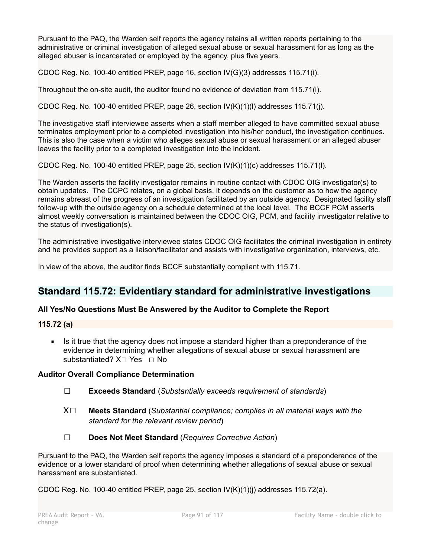Pursuant to the PAQ, the Warden self reports the agency retains all written reports pertaining to the administrative or criminal investigation of alleged sexual abuse or sexual harassment for as long as the alleged abuser is incarcerated or employed by the agency, plus five years.

CDOC Reg. No. 100-40 entitled PREP, page 16, section IV(G)(3) addresses 115.71(i).

Throughout the on-site audit, the auditor found no evidence of deviation from 115.71(i).

CDOC Reg. No. 100-40 entitled PREP, page 26, section  $IV(K)(1)(I)$  addresses 115.71(j).

The investigative staff interviewee asserts when a staff member alleged to have committed sexual abuse terminates employment prior to a completed investigation into his/her conduct, the investigation continues. This is also the case when a victim who alleges sexual abuse or sexual harassment or an alleged abuser leaves the facility prior to a completed investigation into the incident.

CDOC Reg. No. 100-40 entitled PREP, page 25, section IV(K)(1)(c) addresses 115.71(l).

The Warden asserts the facility investigator remains in routine contact with CDOC OIG investigator(s) to obtain updates. The CCPC relates, on a global basis, it depends on the customer as to how the agency remains abreast of the progress of an investigation facilitated by an outside agency. Designated facility staff follow-up with the outside agency on a schedule determined at the local level. The BCCF PCM asserts almost weekly conversation is maintained between the CDOC OIG, PCM, and facility investigator relative to the status of investigation(s).

The administrative investigative interviewee states CDOC OIG facilitates the criminal investigation in entirety and he provides support as a liaison/facilitator and assists with investigative organization, interviews, etc.

In view of the above, the auditor finds BCCF substantially compliant with 115.71.

# **Standard 115.72: Evidentiary standard for administrative investigations**

## **All Yes/No Questions Must Be Answered by the Auditor to Complete the Report**

## **115.72 (a)**

• Is it true that the agency does not impose a standard higher than a preponderance of the evidence in determining whether allegations of sexual abuse or sexual harassment are substantiated? X□ Yes □ No

## **Auditor Overall Compliance Determination**

- ☐ **Exceeds Standard** (*Substantially exceeds requirement of standards*)
- X☐ **Meets Standard** (*Substantial compliance; complies in all material ways with the standard for the relevant review period*)
- ☐ **Does Not Meet Standard** (*Requires Corrective Action*)

Pursuant to the PAQ, the Warden self reports the agency imposes a standard of a preponderance of the evidence or a lower standard of proof when determining whether allegations of sexual abuse or sexual harassment are substantiated.

CDOC Reg. No. 100-40 entitled PREP, page 25, section  $IV(K)(1)(i)$  addresses 115.72(a).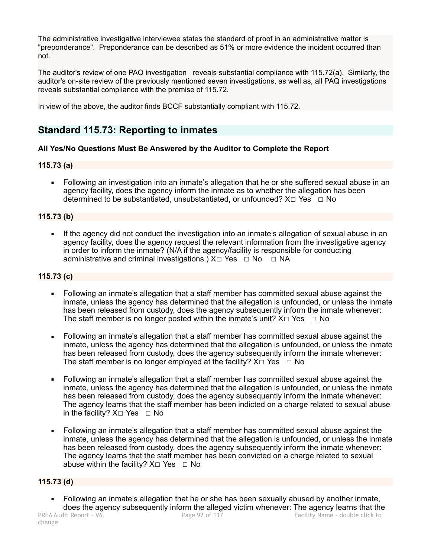The administrative investigative interviewee states the standard of proof in an administrative matter is "preponderance". Preponderance can be described as 51% or more evidence the incident occurred than not.

The auditor's review of one PAQ investigation reveals substantial compliance with 115.72(a). Similarly, the auditor's on-site review of the previously mentioned seven investigations, as well as, all PAQ investigations reveals substantial compliance with the premise of 115.72.

In view of the above, the auditor finds BCCF substantially compliant with 115.72.

# **Standard 115.73: Reporting to inmates**

# **All Yes/No Questions Must Be Answered by the Auditor to Complete the Report**

# **115.73 (a)**

• Following an investigation into an inmate's allegation that he or she suffered sexual abuse in an agency facility, does the agency inform the inmate as to whether the allegation has been determined to be substantiated, unsubstantiated, or unfounded?  $X \Box Y$ es  $\Box$  No

# **115.73 (b)**

**.** If the agency did not conduct the investigation into an inmate's allegation of sexual abuse in an agency facility, does the agency request the relevant information from the investigative agency in order to inform the inmate? (N/A if the agency/facility is responsible for conducting administrative and criminal investigations.)  $X \Box Y$ es  $\Box$  No  $\Box$  NA

# **115.73 (c)**

- Following an inmate's allegation that a staff member has committed sexual abuse against the inmate, unless the agency has determined that the allegation is unfounded, or unless the inmate has been released from custody, does the agency subsequently inform the inmate whenever: The staff member is no longer posted within the inmate's unit?  $X \Box Y$ es  $\Box$  No
- Following an inmate's allegation that a staff member has committed sexual abuse against the inmate, unless the agency has determined that the allegation is unfounded, or unless the inmate has been released from custody, does the agency subsequently inform the inmate whenever: The staff member is no longer employed at the facility?  $X \Box Y$ es  $\Box$  No
- Following an inmate's allegation that a staff member has committed sexual abuse against the inmate, unless the agency has determined that the allegation is unfounded, or unless the inmate has been released from custody, does the agency subsequently inform the inmate whenever: The agency learns that the staff member has been indicted on a charge related to sexual abuse in the facility?  $X\square$  Yes  $\square$  No
- Following an inmate's allegation that a staff member has committed sexual abuse against the inmate, unless the agency has determined that the allegation is unfounded, or unless the inmate has been released from custody, does the agency subsequently inform the inmate whenever: The agency learns that the staff member has been convicted on a charge related to sexual abuse within the facility?  $X \Box Y$ es  $\Box$  No

# **115.73 (d)**

• Following an inmate's allegation that he or she has been sexually abused by another inmate, does the agency subsequently inform the alleged victim whenever: The agency learns that the<br>PREA Audit Report - V6. Page 92 of 117<br>Facility Name - double click to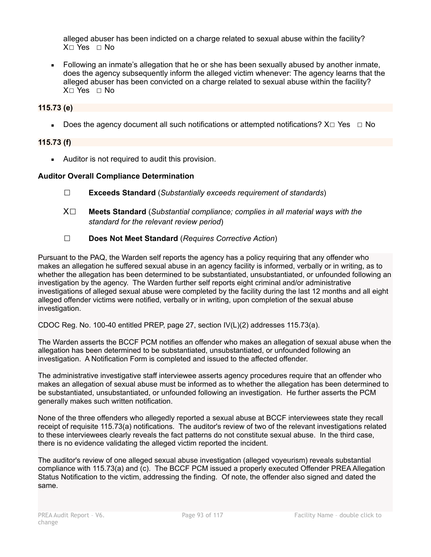alleged abuser has been indicted on a charge related to sexual abuse within the facility? X☐ Yes ☐ No

▪ Following an inmate's allegation that he or she has been sexually abused by another inmate, does the agency subsequently inform the alleged victim whenever: The agency learns that the alleged abuser has been convicted on a charge related to sexual abuse within the facility? X☐ Yes ☐ No

# **115.73 (e)**

**•** Does the agency document all such notifications or attempted notifications?  $X \square Ye$   $\square$  No

# **115.73 (f)**

■ Auditor is not required to audit this provision.

# **Auditor Overall Compliance Determination**

- ☐ **Exceeds Standard** (*Substantially exceeds requirement of standards*)
- X☐ **Meets Standard** (*Substantial compliance; complies in all material ways with the standard for the relevant review period*)
- ☐ **Does Not Meet Standard** (*Requires Corrective Action*)

Pursuant to the PAQ, the Warden self reports the agency has a policy requiring that any offender who makes an allegation he suffered sexual abuse in an agency facility is informed, verbally or in writing, as to whether the allegation has been determined to be substantiated, unsubstantiated, or unfounded following an investigation by the agency. The Warden further self reports eight criminal and/or administrative investigations of alleged sexual abuse were completed by the facility during the last 12 months and all eight alleged offender victims were notified, verbally or in writing, upon completion of the sexual abuse investigation.

CDOC Reg. No. 100-40 entitled PREP, page 27, section IV(L)(2) addresses 115.73(a).

The Warden asserts the BCCF PCM notifies an offender who makes an allegation of sexual abuse when the allegation has been determined to be substantiated, unsubstantiated, or unfounded following an investigation. A Notification Form is completed and issued to the affected offender.

The administrative investigative staff interviewee asserts agency procedures require that an offender who makes an allegation of sexual abuse must be informed as to whether the allegation has been determined to be substantiated, unsubstantiated, or unfounded following an investigation. He further asserts the PCM generally makes such written notification.

None of the three offenders who allegedly reported a sexual abuse at BCCF interviewees state they recall receipt of requisite 115.73(a) notifications. The auditor's review of two of the relevant investigations related to these interviewees clearly reveals the fact patterns do not constitute sexual abuse. In the third case, there is no evidence validating the alleged victim reported the incident.

The auditor's review of one alleged sexual abuse investigation (alleged voyeurism) reveals substantial compliance with 115.73(a) and (c). The BCCF PCM issued a properly executed Offender PREA Allegation Status Notification to the victim, addressing the finding. Of note, the offender also signed and dated the same.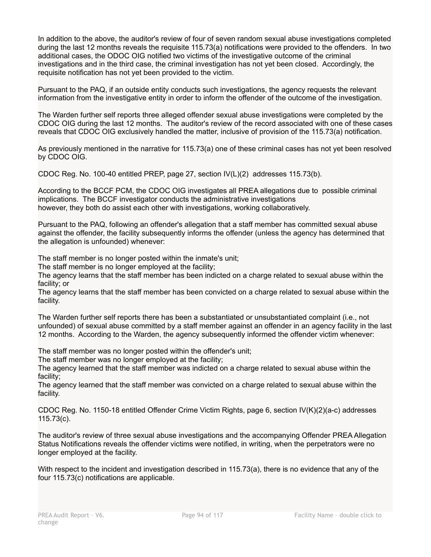In addition to the above, the auditor's review of four of seven random sexual abuse investigations completed during the last 12 months reveals the requisite 115.73(a) notifications were provided to the offenders. In two additional cases, the ODOC OIG notified two victims of the investigative outcome of the criminal investigations and in the third case, the criminal investigation has not yet been closed. Accordingly, the requisite notification has not yet been provided to the victim.

Pursuant to the PAQ, if an outside entity conducts such investigations, the agency requests the relevant information from the investigative entity in order to inform the offender of the outcome of the investigation.

The Warden further self reports three alleged offender sexual abuse investigations were completed by the CDOC OIG during the last 12 months. The auditor's review of the record associated with one of these cases reveals that CDOC OIG exclusively handled the matter, inclusive of provision of the 115.73(a) notification.

As previously mentioned in the narrative for 115.73(a) one of these criminal cases has not yet been resolved by CDOC OIG.

CDOC Reg. No. 100-40 entitled PREP, page 27, section IV(L)(2) addresses 115.73(b).

According to the BCCF PCM, the CDOC OIG investigates all PREA allegations due to possible criminal implications. The BCCF investigator conducts the administrative investigations however, they both do assist each other with investigations, working collaboratively.

Pursuant to the PAQ, following an offender's allegation that a staff member has committed sexual abuse against the offender, the facility subsequently informs the offender (unless the agency has determined that the allegation is unfounded) whenever:

The staff member is no longer posted within the inmate's unit;

The staff member is no longer employed at the facility;

The agency learns that the staff member has been indicted on a charge related to sexual abuse within the facility; or

The agency learns that the staff member has been convicted on a charge related to sexual abuse within the facility.

The Warden further self reports there has been a substantiated or unsubstantiated complaint (i.e., not unfounded) of sexual abuse committed by a staff member against an offender in an agency facility in the last 12 months. According to the Warden, the agency subsequently informed the offender victim whenever:

The staff member was no longer posted within the offender's unit;

The staff member was no longer employed at the facility;

The agency learned that the staff member was indicted on a charge related to sexual abuse within the facility;

The agency learned that the staff member was convicted on a charge related to sexual abuse within the facility.

CDOC Reg. No. 1150-18 entitled Offender Crime Victim Rights, page 6, section IV(K)(2)(a-c) addresses 115.73(c).

The auditor's review of three sexual abuse investigations and the accompanying Offender PREA Allegation Status Notifications reveals the offender victims were notified, in writing, when the perpetrators were no longer employed at the facility.

With respect to the incident and investigation described in 115.73(a), there is no evidence that any of the four 115.73(c) notifications are applicable.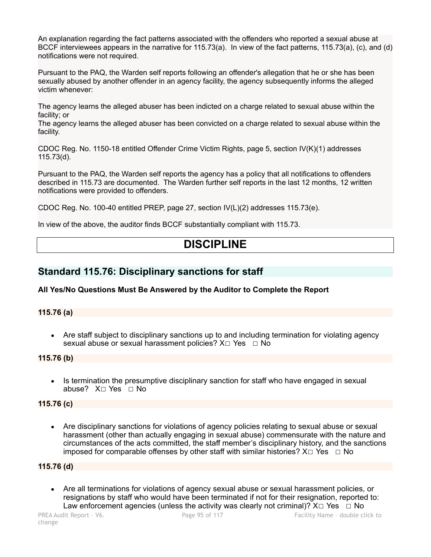An explanation regarding the fact patterns associated with the offenders who reported a sexual abuse at BCCF interviewees appears in the narrative for 115.73(a). In view of the fact patterns, 115.73(a), (c), and (d) notifications were not required.

Pursuant to the PAQ, the Warden self reports following an offender's allegation that he or she has been sexually abused by another offender in an agency facility, the agency subsequently informs the alleged victim whenever:

The agency learns the alleged abuser has been indicted on a charge related to sexual abuse within the facility; or

The agency learns the alleged abuser has been convicted on a charge related to sexual abuse within the facility.

CDOC Reg. No. 1150-18 entitled Offender Crime Victim Rights, page 5, section IV(K)(1) addresses 115.73(d).

Pursuant to the PAQ, the Warden self reports the agency has a policy that all notifications to offenders described in 115.73 are documented. The Warden further self reports in the last 12 months, 12 written notifications were provided to offenders.

CDOC Reg. No. 100-40 entitled PREP, page 27, section IV(L)(2) addresses 115.73(e).

In view of the above, the auditor finds BCCF substantially compliant with 115.73.

# **DISCIPLINE**

# **Standard 115.76: Disciplinary sanctions for staff**

## **All Yes/No Questions Must Be Answered by the Auditor to Complete the Report**

## **115.76 (a)**

• Are staff subject to disciplinary sanctions up to and including termination for violating agency sexual abuse or sexual harassment policies? X□ Yes □ No

## **115.76 (b)**

Is termination the presumptive disciplinary sanction for staff who have engaged in sexual abuse? X☐ Yes ☐ No

## **115.76 (c)**

**EXECT** Are disciplinary sanctions for violations of agency policies relating to sexual abuse or sexual harassment (other than actually engaging in sexual abuse) commensurate with the nature and circumstances of the acts committed, the staff member's disciplinary history, and the sanctions imposed for comparable offenses by other staff with similar histories?  $X \Box Y$ es  $\Box$  No

## **115.76 (d)**

Are all terminations for violations of agency sexual abuse or sexual harassment policies, or resignations by staff who would have been terminated if not for their resignation, reported to: Law enforcement agencies (unless the activity was clearly not criminal)?  $X \Box Y$ es  $\Box$  No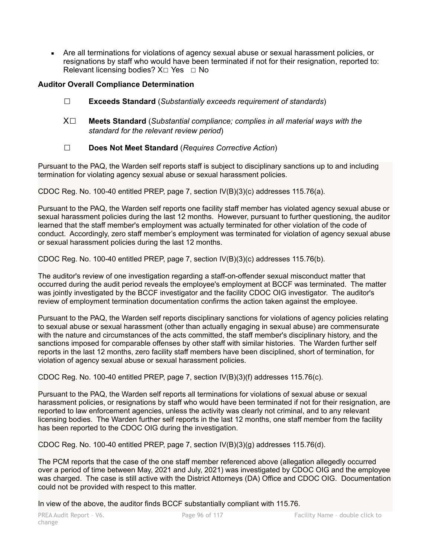▪ Are all terminations for violations of agency sexual abuse or sexual harassment policies, or resignations by staff who would have been terminated if not for their resignation, reported to: Relevant licensing bodies?  $X \square$  Yes  $\square$  No

# **Auditor Overall Compliance Determination**

- ☐ **Exceeds Standard** (*Substantially exceeds requirement of standards*)
- X☐ **Meets Standard** (*Substantial compliance; complies in all material ways with the standard for the relevant review period*)
- ☐ **Does Not Meet Standard** (*Requires Corrective Action*)

Pursuant to the PAQ, the Warden self reports staff is subject to disciplinary sanctions up to and including termination for violating agency sexual abuse or sexual harassment policies.

CDOC Reg. No. 100-40 entitled PREP, page 7, section IV(B)(3)(c) addresses 115.76(a).

Pursuant to the PAQ, the Warden self reports one facility staff member has violated agency sexual abuse or sexual harassment policies during the last 12 months. However, pursuant to further questioning, the auditor learned that the staff member's employment was actually terminated for other violation of the code of conduct. Accordingly, zero staff member's employment was terminated for violation of agency sexual abuse or sexual harassment policies during the last 12 months.

CDOC Reg. No. 100-40 entitled PREP, page 7, section IV(B)(3)(c) addresses 115.76(b).

The auditor's review of one investigation regarding a staff-on-offender sexual misconduct matter that occurred during the audit period reveals the employee's employment at BCCF was terminated. The matter was jointly investigated by the BCCF investigator and the facility CDOC OIG investigator. The auditor's review of employment termination documentation confirms the action taken against the employee.

Pursuant to the PAQ, the Warden self reports disciplinary sanctions for violations of agency policies relating to sexual abuse or sexual harassment (other than actually engaging in sexual abuse) are commensurate with the nature and circumstances of the acts committed, the staff member's disciplinary history, and the sanctions imposed for comparable offenses by other staff with similar histories. The Warden further self reports in the last 12 months, zero facility staff members have been disciplined, short of termination, for violation of agency sexual abuse or sexual harassment policies.

CDOC Reg. No. 100-40 entitled PREP, page 7, section IV(B)(3)(f) addresses 115.76(c).

Pursuant to the PAQ, the Warden self reports all terminations for violations of sexual abuse or sexual harassment policies, or resignations by staff who would have been terminated if not for their resignation, are reported to law enforcement agencies, unless the activity was clearly not criminal, and to any relevant licensing bodies. The Warden further self reports in the last 12 months, one staff member from the facility has been reported to the CDOC OIG during the investigation.

CDOC Reg. No. 100-40 entitled PREP, page 7, section IV(B)(3)(g) addresses 115.76(d).

The PCM reports that the case of the one staff member referenced above (allegation allegedly occurred over a period of time between May, 2021 and July, 2021) was investigated by CDOC OIG and the employee was charged. The case is still active with the District Attorneys (DA) Office and CDOC OIG. Documentation could not be provided with respect to this matter.

In view of the above, the auditor finds BCCF substantially compliant with 115.76.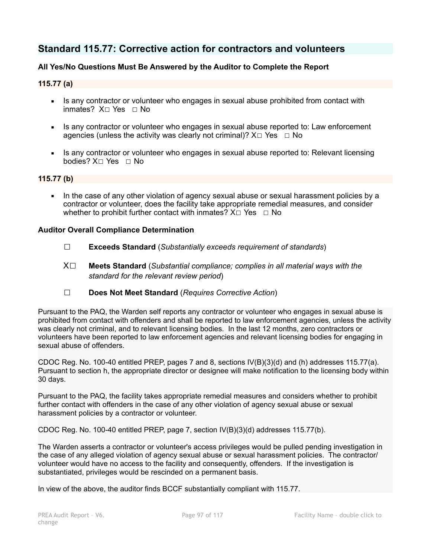# **Standard 115.77: Corrective action for contractors and volunteers**

# **All Yes/No Questions Must Be Answered by the Auditor to Complete the Report**

## **115.77 (a)**

- **EXECT** Is any contractor or volunteer who engages in sexual abuse prohibited from contact with inmates? X☐ Yes ☐ No
- **EXECT** Is any contractor or volunteer who engages in sexual abuse reported to: Law enforcement agencies (unless the activity was clearly not criminal)?  $X \Box Y$ es  $\Box$  No
- **EXECT** Is any contractor or volunteer who engages in sexual abuse reported to: Relevant licensing bodies? X☐ Yes ☐ No

## **115.77 (b)**

• In the case of any other violation of agency sexual abuse or sexual harassment policies by a contractor or volunteer, does the facility take appropriate remedial measures, and consider whether to prohibit further contact with inmates?  $X \Box Y$ es  $\Box N$ o

## **Auditor Overall Compliance Determination**

- ☐ **Exceeds Standard** (*Substantially exceeds requirement of standards*)
- X☐ **Meets Standard** (*Substantial compliance; complies in all material ways with the standard for the relevant review period*)
- ☐ **Does Not Meet Standard** (*Requires Corrective Action*)

Pursuant to the PAQ, the Warden self reports any contractor or volunteer who engages in sexual abuse is prohibited from contact with offenders and shall be reported to law enforcement agencies, unless the activity was clearly not criminal, and to relevant licensing bodies. In the last 12 months, zero contractors or volunteers have been reported to law enforcement agencies and relevant licensing bodies for engaging in sexual abuse of offenders.

CDOC Reg. No. 100-40 entitled PREP, pages 7 and 8, sections IV(B)(3)(d) and (h) addresses 115.77(a). Pursuant to section h, the appropriate director or designee will make notification to the licensing body within 30 days.

Pursuant to the PAQ, the facility takes appropriate remedial measures and considers whether to prohibit further contact with offenders in the case of any other violation of agency sexual abuse or sexual harassment policies by a contractor or volunteer.

CDOC Reg. No. 100-40 entitled PREP, page 7, section IV(B)(3)(d) addresses 115.77(b).

The Warden asserts a contractor or volunteer's access privileges would be pulled pending investigation in the case of any alleged violation of agency sexual abuse or sexual harassment policies. The contractor/ volunteer would have no access to the facility and consequently, offenders. If the investigation is substantiated, privileges would be rescinded on a permanent basis.

In view of the above, the auditor finds BCCF substantially compliant with 115.77.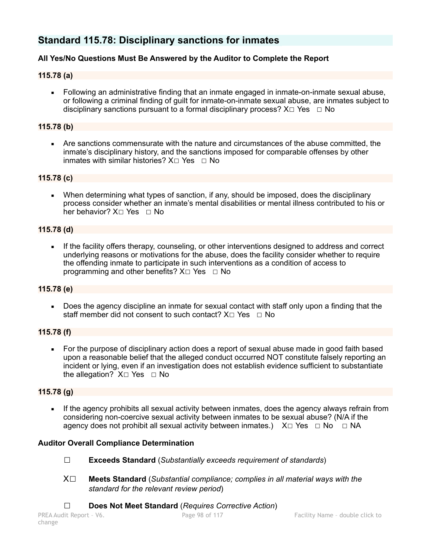# **Standard 115.78: Disciplinary sanctions for inmates**

# **All Yes/No Questions Must Be Answered by the Auditor to Complete the Report**

## **115.78 (a)**

• Following an administrative finding that an inmate engaged in inmate-on-inmate sexual abuse, or following a criminal finding of guilt for inmate-on-inmate sexual abuse, are inmates subject to disciplinary sanctions pursuant to a formal disciplinary process?  $X \Box Y$ es  $\Box$  No

## **115.78 (b)**

▪ Are sanctions commensurate with the nature and circumstances of the abuse committed, the inmate's disciplinary history, and the sanctions imposed for comparable offenses by other inmates with similar histories?  $X \cap Y$ es  $\Box$  No

## **115.78 (c)**

• When determining what types of sanction, if any, should be imposed, does the disciplinary process consider whether an inmate's mental disabilities or mental illness contributed to his or her behavior? X□ Yes □ No

## **115.78 (d)**

If the facility offers therapy, counseling, or other interventions designed to address and correct underlying reasons or motivations for the abuse, does the facility consider whether to require the offending inmate to participate in such interventions as a condition of access to programming and other benefits?  $X \Box Y$ es  $\Box$  No

## **115.78 (e)**

Does the agency discipline an inmate for sexual contact with staff only upon a finding that the staff member did not consent to such contact?  $X \square Y$ es  $\square N$ o

## **115.78 (f)**

▪ For the purpose of disciplinary action does a report of sexual abuse made in good faith based upon a reasonable belief that the alleged conduct occurred NOT constitute falsely reporting an incident or lying, even if an investigation does not establish evidence sufficient to substantiate the allegation? X□ Yes □ No

## **115.78 (g)**

If the agency prohibits all sexual activity between inmates, does the agency always refrain from considering non-coercive sexual activity between inmates to be sexual abuse? (N/A if the agency does not prohibit all sexual activity between inmates.)  $X \Box Y$ es  $\Box$  No  $\Box$  NA

## **Auditor Overall Compliance Determination**

- ☐ **Exceeds Standard** (*Substantially exceeds requirement of standards*)
- X☐ **Meets Standard** (*Substantial compliance; complies in all material ways with the standard for the relevant review period*)
- ☐ **Does Not Meet Standard** (*Requires Corrective Action*)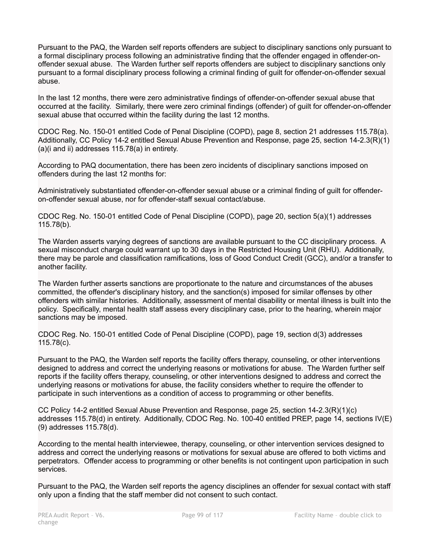Pursuant to the PAQ, the Warden self reports offenders are subject to disciplinary sanctions only pursuant to a formal disciplinary process following an administrative finding that the offender engaged in offender-onoffender sexual abuse. The Warden further self reports offenders are subject to disciplinary sanctions only pursuant to a formal disciplinary process following a criminal finding of guilt for offender-on-offender sexual abuse.

In the last 12 months, there were zero administrative findings of offender-on-offender sexual abuse that occurred at the facility. Similarly, there were zero criminal findings (offender) of guilt for offender-on-offender sexual abuse that occurred within the facility during the last 12 months.

CDOC Reg. No. 150-01 entitled Code of Penal Discipline (COPD), page 8, section 21 addresses 115.78(a). Additionally, CC Policy 14-2 entitled Sexual Abuse Prevention and Response, page 25, section 14-2.3(R)(1) (a)(i and ii) addresses 115.78(a) in entirety.

According to PAQ documentation, there has been zero incidents of disciplinary sanctions imposed on offenders during the last 12 months for:

Administratively substantiated offender-on-offender sexual abuse or a criminal finding of guilt for offenderon-offender sexual abuse, nor for offender-staff sexual contact/abuse.

CDOC Reg. No. 150-01 entitled Code of Penal Discipline (COPD), page 20, section 5(a)(1) addresses 115.78(b).

The Warden asserts varying degrees of sanctions are available pursuant to the CC disciplinary process. A sexual misconduct charge could warrant up to 30 days in the Restricted Housing Unit (RHU). Additionally, there may be parole and classification ramifications, loss of Good Conduct Credit (GCC), and/or a transfer to another facility.

The Warden further asserts sanctions are proportionate to the nature and circumstances of the abuses committed, the offender's disciplinary history, and the sanction(s) imposed for similar offenses by other offenders with similar histories. Additionally, assessment of mental disability or mental illness is built into the policy. Specifically, mental health staff assess every disciplinary case, prior to the hearing, wherein major sanctions may be imposed.

CDOC Reg. No. 150-01 entitled Code of Penal Discipline (COPD), page 19, section d(3) addresses 115.78(c).

Pursuant to the PAQ, the Warden self reports the facility offers therapy, counseling, or other interventions designed to address and correct the underlying reasons or motivations for abuse. The Warden further self reports if the facility offers therapy, counseling, or other interventions designed to address and correct the underlying reasons or motivations for abuse, the facility considers whether to require the offender to participate in such interventions as a condition of access to programming or other benefits.

CC Policy 14-2 entitled Sexual Abuse Prevention and Response, page 25, section 14-2.3(R)(1)(c) addresses 115.78(d) in entirety. Additionally, CDOC Reg. No. 100-40 entitled PREP, page 14, sections IV(E) (9) addresses 115.78(d).

According to the mental health interviewee, therapy, counseling, or other intervention services designed to address and correct the underlying reasons or motivations for sexual abuse are offered to both victims and perpetrators. Offender access to programming or other benefits is not contingent upon participation in such services.

Pursuant to the PAQ, the Warden self reports the agency disciplines an offender for sexual contact with staff only upon a finding that the staff member did not consent to such contact.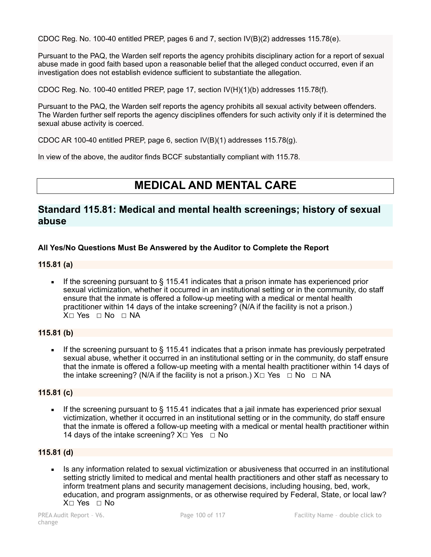CDOC Reg. No. 100-40 entitled PREP, pages 6 and 7, section IV(B)(2) addresses 115.78(e).

Pursuant to the PAQ, the Warden self reports the agency prohibits disciplinary action for a report of sexual abuse made in good faith based upon a reasonable belief that the alleged conduct occurred, even if an investigation does not establish evidence sufficient to substantiate the allegation.

CDOC Reg. No. 100-40 entitled PREP, page 17, section IV(H)(1)(b) addresses 115.78(f).

Pursuant to the PAQ, the Warden self reports the agency prohibits all sexual activity between offenders. The Warden further self reports the agency disciplines offenders for such activity only if it is determined the sexual abuse activity is coerced.

CDOC AR 100-40 entitled PREP, page 6, section IV(B)(1) addresses 115.78(g).

In view of the above, the auditor finds BCCF substantially compliant with 115.78.

# **MEDICAL AND MENTAL CARE**

# **Standard 115.81: Medical and mental health screenings; history of sexual abuse**

## **All Yes/No Questions Must Be Answered by the Auditor to Complete the Report**

## **115.81 (a)**

**•** If the screening pursuant to  $\S$  115.41 indicates that a prison inmate has experienced prior sexual victimization, whether it occurred in an institutional setting or in the community, do staff ensure that the inmate is offered a follow-up meeting with a medical or mental health practitioner within 14 days of the intake screening? (N/A if the facility is not a prison.) X□ Yes □ No □ NA

## **115.81 (b)**

**•** If the screening pursuant to  $\S$  115.41 indicates that a prison inmate has previously perpetrated sexual abuse, whether it occurred in an institutional setting or in the community, do staff ensure that the inmate is offered a follow-up meeting with a mental health practitioner within 14 days of the intake screening? (N/A if the facility is not a prison.)  $X \Box Y$ es  $\Box$  No  $\Box$  NA

## **115.81 (c)**

If the screening pursuant to  $\S$  115.41 indicates that a jail inmate has experienced prior sexual victimization, whether it occurred in an institutional setting or in the community, do staff ensure that the inmate is offered a follow-up meeting with a medical or mental health practitioner within 14 days of the intake screening?  $X \square$  Yes  $\square$  No

## **115.81 (d)**

**EXECT** Is any information related to sexual victimization or abusiveness that occurred in an institutional setting strictly limited to medical and mental health practitioners and other staff as necessary to inform treatment plans and security management decisions, including housing, bed, work, education, and program assignments, or as otherwise required by Federal, State, or local law? X☐ Yes ☐ No

change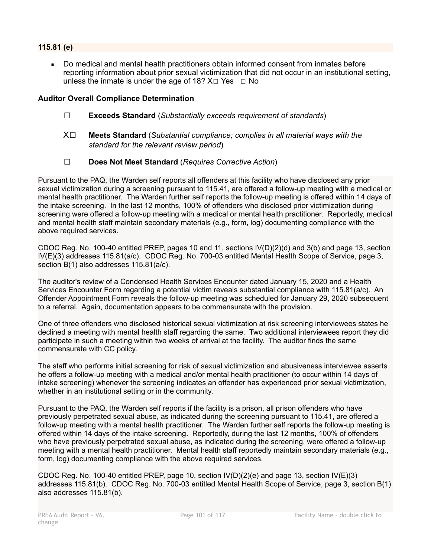# **115.81 (e)**

Do medical and mental health practitioners obtain informed consent from inmates before reporting information about prior sexual victimization that did not occur in an institutional setting, unless the inmate is under the age of 18?  $X \square$  Yes  $\square$  No

## **Auditor Overall Compliance Determination**

- ☐ **Exceeds Standard** (*Substantially exceeds requirement of standards*)
- X☐ **Meets Standard** (*Substantial compliance; complies in all material ways with the standard for the relevant review period*)
- ☐ **Does Not Meet Standard** (*Requires Corrective Action*)

Pursuant to the PAQ, the Warden self reports all offenders at this facility who have disclosed any prior sexual victimization during a screening pursuant to 115.41, are offered a follow-up meeting with a medical or mental health practitioner. The Warden further self reports the follow-up meeting is offered within 14 days of the intake screening. In the last 12 months, 100% of offenders who disclosed prior victimization during screening were offered a follow-up meeting with a medical or mental health practitioner. Reportedly, medical and mental health staff maintain secondary materials (e.g., form, log) documenting compliance with the above required services.

CDOC Reg. No. 100-40 entitled PREP, pages 10 and 11, sections IV(D)(2)(d) and 3(b) and page 13, section IV(E)(3) addresses 115.81(a/c). CDOC Reg. No. 700-03 entitled Mental Health Scope of Service, page 3, section B(1) also addresses 115.81(a/c).

The auditor's review of a Condensed Health Services Encounter dated January 15, 2020 and a Health Services Encounter Form regarding a potential victim reveals substantial compliance with 115.81(a/c). An Offender Appointment Form reveals the follow-up meeting was scheduled for January 29, 2020 subsequent to a referral. Again, documentation appears to be commensurate with the provision.

One of three offenders who disclosed historical sexual victimization at risk screening interviewees states he declined a meeting with mental health staff regarding the same. Two additional interviewees report they did participate in such a meeting within two weeks of arrival at the facility. The auditor finds the same commensurate with CC policy.

The staff who performs initial screening for risk of sexual victimization and abusiveness interviewee asserts he offers a follow-up meeting with a medical and/or mental health practitioner (to occur within 14 days of intake screening) whenever the screening indicates an offender has experienced prior sexual victimization, whether in an institutional setting or in the community.

Pursuant to the PAQ, the Warden self reports if the facility is a prison, all prison offenders who have previously perpetrated sexual abuse, as indicated during the screening pursuant to 115.41, are offered a follow-up meeting with a mental health practitioner. The Warden further self reports the follow-up meeting is offered within 14 days of the intake screening. Reportedly, during the last 12 months, 100% of offenders who have previously perpetrated sexual abuse, as indicated during the screening, were offered a follow-up meeting with a mental health practitioner. Mental health staff reportedly maintain secondary materials (e.g., form, log) documenting compliance with the above required services.

CDOC Reg. No. 100-40 entitled PREP, page 10, section IV(D)(2)(e) and page 13, section IV(E)(3) addresses 115.81(b). CDOC Reg. No. 700-03 entitled Mental Health Scope of Service, page 3, section B(1) also addresses 115.81(b).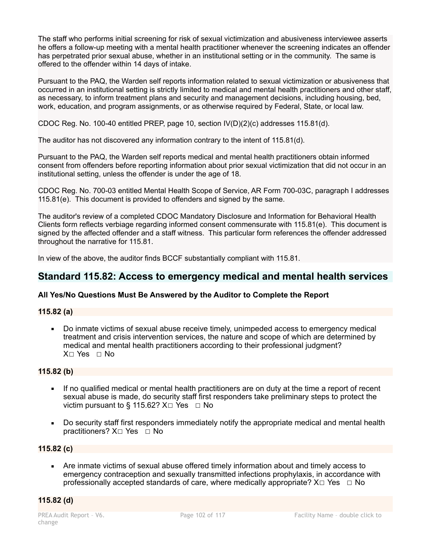The staff who performs initial screening for risk of sexual victimization and abusiveness interviewee asserts he offers a follow-up meeting with a mental health practitioner whenever the screening indicates an offender has perpetrated prior sexual abuse, whether in an institutional setting or in the community. The same is offered to the offender within 14 days of intake.

Pursuant to the PAQ, the Warden self reports information related to sexual victimization or abusiveness that occurred in an institutional setting is strictly limited to medical and mental health practitioners and other staff, as necessary, to inform treatment plans and security and management decisions, including housing, bed, work, education, and program assignments, or as otherwise required by Federal, State, or local law.

CDOC Reg. No. 100-40 entitled PREP, page 10, section IV(D)(2)(c) addresses 115.81(d).

The auditor has not discovered any information contrary to the intent of 115.81(d).

Pursuant to the PAQ, the Warden self reports medical and mental health practitioners obtain informed consent from offenders before reporting information about prior sexual victimization that did not occur in an institutional setting, unless the offender is under the age of 18.

CDOC Reg. No. 700-03 entitled Mental Health Scope of Service, AR Form 700-03C, paragraph I addresses 115.81(e). This document is provided to offenders and signed by the same.

The auditor's review of a completed CDOC Mandatory Disclosure and Information for Behavioral Health Clients form reflects verbiage regarding informed consent commensurate with 115.81(e). This document is signed by the affected offender and a staff witness. This particular form references the offender addressed throughout the narrative for 115.81.

In view of the above, the auditor finds BCCF substantially compliant with 115.81.

# **Standard 115.82: Access to emergency medical and mental health services**

## **All Yes/No Questions Must Be Answered by the Auditor to Complete the Report**

## **115.82 (a)**

• Do inmate victims of sexual abuse receive timely, unimpeded access to emergency medical treatment and crisis intervention services, the nature and scope of which are determined by medical and mental health practitioners according to their professional judgment? X□ Yes □ No

## **115.82 (b)**

- If no qualified medical or mental health practitioners are on duty at the time a report of recent sexual abuse is made, do security staff first responders take preliminary steps to protect the victim pursuant to § 115.62?  $X \square Y$ es  $\square$  No
- Do security staff first responders immediately notify the appropriate medical and mental health practitioners?  $X□$  Yes  $□$  No

## **115.82 (c)**

Are inmate victims of sexual abuse offered timely information about and timely access to emergency contraception and sexually transmitted infections prophylaxis, in accordance with professionally accepted standards of care, where medically appropriate?  $X \Box Y$ es  $\Box$  No

## **115.82 (d)**

change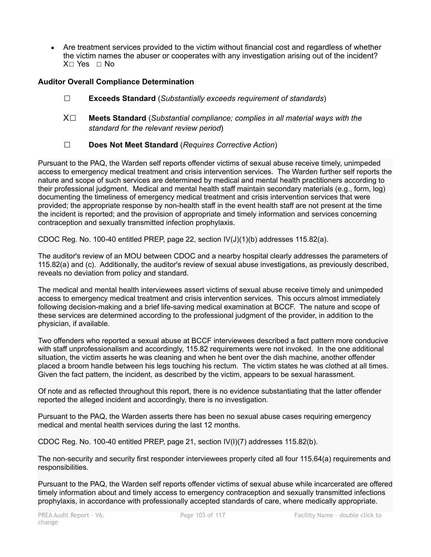• Are treatment services provided to the victim without financial cost and regardless of whether the victim names the abuser or cooperates with any investigation arising out of the incident? X☐ Yes ☐ No

# **Auditor Overall Compliance Determination**

- ☐ **Exceeds Standard** (*Substantially exceeds requirement of standards*)
- X☐ **Meets Standard** (*Substantial compliance; complies in all material ways with the standard for the relevant review period*)
- ☐ **Does Not Meet Standard** (*Requires Corrective Action*)

Pursuant to the PAQ, the Warden self reports offender victims of sexual abuse receive timely, unimpeded access to emergency medical treatment and crisis intervention services. The Warden further self reports the nature and scope of such services are determined by medical and mental health practitioners according to their professional judgment. Medical and mental health staff maintain secondary materials (e.g., form, log) documenting the timeliness of emergency medical treatment and crisis intervention services that were provided; the appropriate response by non-health staff in the event health staff are not present at the time the incident is reported; and the provision of appropriate and timely information and services concerning contraception and sexually transmitted infection prophylaxis.

CDOC Reg. No. 100-40 entitled PREP, page 22, section  $\text{IV}(J)(1)(b)$  addresses 115.82(a).

The auditor's review of an MOU between CDOC and a nearby hospital clearly addresses the parameters of 115.82(a) and (c). Additionally, the auditor's review of sexual abuse investigations, as previously described, reveals no deviation from policy and standard.

The medical and mental health interviewees assert victims of sexual abuse receive timely and unimpeded access to emergency medical treatment and crisis intervention services. This occurs almost immediately following decision-making and a brief life-saving medical examination at BCCF. The nature and scope of these services are determined according to the professional judgment of the provider, in addition to the physician, if available.

Two offenders who reported a sexual abuse at BCCF interviewees described a fact pattern more conducive with staff unprofessionalism and accordingly, 115.82 requirements were not invoked. In the one additional situation, the victim asserts he was cleaning and when he bent over the dish machine, another offender placed a broom handle between his legs touching his rectum. The victim states he was clothed at all times. Given the fact pattern, the incident, as described by the victim, appears to be sexual harassment.

Of note and as reflected throughout this report, there is no evidence substantiating that the latter offender reported the alleged incident and accordingly, there is no investigation.

Pursuant to the PAQ, the Warden asserts there has been no sexual abuse cases requiring emergency medical and mental health services during the last 12 months.

CDOC Reg. No. 100-40 entitled PREP, page 21, section IV(I)(7) addresses 115.82(b).

The non-security and security first responder interviewees properly cited all four 115.64(a) requirements and responsibilities.

Pursuant to the PAQ, the Warden self reports offender victims of sexual abuse while incarcerated are offered timely information about and timely access to emergency contraception and sexually transmitted infections prophylaxis, in accordance with professionally accepted standards of care, where medically appropriate.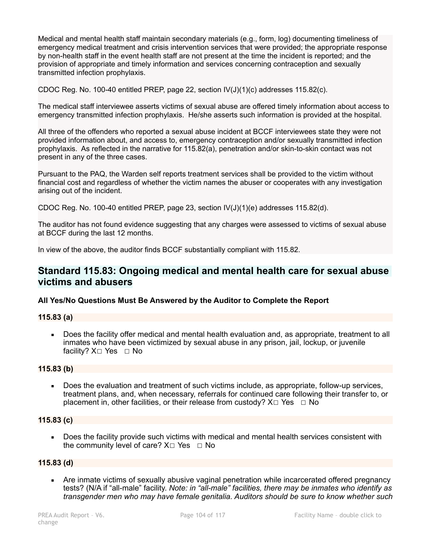Medical and mental health staff maintain secondary materials (e.g., form, log) documenting timeliness of emergency medical treatment and crisis intervention services that were provided; the appropriate response by non-health staff in the event health staff are not present at the time the incident is reported; and the provision of appropriate and timely information and services concerning contraception and sexually transmitted infection prophylaxis.

CDOC Reg. No. 100-40 entitled PREP, page 22, section  $IV(J)(1)(c)$  addresses 115.82(c).

The medical staff interviewee asserts victims of sexual abuse are offered timely information about access to emergency transmitted infection prophylaxis. He/she asserts such information is provided at the hospital.

All three of the offenders who reported a sexual abuse incident at BCCF interviewees state they were not provided information about, and access to, emergency contraception and/or sexually transmitted infection prophylaxis. As reflected in the narrative for 115.82(a), penetration and/or skin-to-skin contact was not present in any of the three cases.

Pursuant to the PAQ, the Warden self reports treatment services shall be provided to the victim without financial cost and regardless of whether the victim names the abuser or cooperates with any investigation arising out of the incident.

CDOC Reg. No. 100-40 entitled PREP, page 23, section  $IV(J)(1)(e)$  addresses 115.82(d).

The auditor has not found evidence suggesting that any charges were assessed to victims of sexual abuse at BCCF during the last 12 months.

In view of the above, the auditor finds BCCF substantially compliant with 115.82.

# **Standard 115.83: Ongoing medical and mental health care for sexual abuse victims and abusers**

## **All Yes/No Questions Must Be Answered by the Auditor to Complete the Report**

## **115.83 (a)**

Does the facility offer medical and mental health evaluation and, as appropriate, treatment to all inmates who have been victimized by sexual abuse in any prison, jail, lockup, or juvenile facility?  $X□$  Yes  $□$  No

## **115.83 (b)**

Does the evaluation and treatment of such victims include, as appropriate, follow-up services, treatment plans, and, when necessary, referrals for continued care following their transfer to, or placement in, other facilities, or their release from custody?  $X \Box Y$ es  $\Box \text{No}$ 

#### **115.83 (c)**

Does the facility provide such victims with medical and mental health services consistent with the community level of care?  $X \Box Y$ es  $\Box N$ o

## **115.83 (d)**

• Are inmate victims of sexually abusive vaginal penetration while incarcerated offered pregnancy tests? (N/A if "all-male" facility. *Note: in "all-male" facilities, there may be inmates who identify as transgender men who may have female genitalia. Auditors should be sure to know whether such*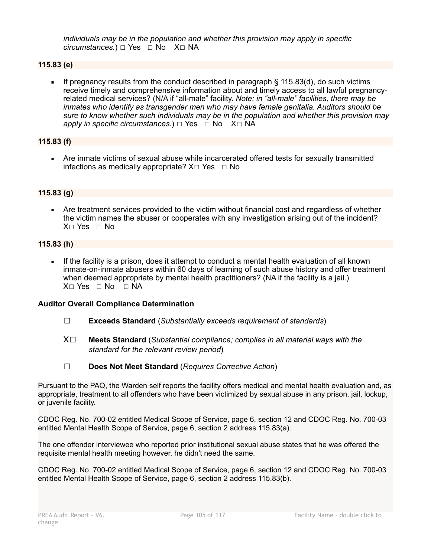*individuals may be in the population and whether this provision may apply in specific circumstances.*) □ Yes □ No X□ NA

## **115.83 (e)**

If pregnancy results from the conduct described in paragraph  $\S$  115.83(d), do such victims receive timely and comprehensive information about and timely access to all lawful pregnancyrelated medical services? (N/A if "all-male" facility. *Note: in "all-male" facilities, there may be inmates who identify as transgender men who may have female genitalia. Auditors should be sure to know whether such individuals may be in the population and whether this provision may apply in specific circumstances.*)  $\Box$  Yes  $\Box$  No X $\Box$  NA

## **115.83 (f)**

**EXTER 15 Are inmate victims of sexual abuse while incarcerated offered tests for sexually transmitted** infections as medically appropriate?  $X \Box Y$ es  $\Box$  No

## **115.83 (g)**

• Are treatment services provided to the victim without financial cost and regardless of whether the victim names the abuser or cooperates with any investigation arising out of the incident? X☐ Yes ☐ No

## **115.83 (h)**

**.** If the facility is a prison, does it attempt to conduct a mental health evaluation of all known inmate-on-inmate abusers within 60 days of learning of such abuse history and offer treatment when deemed appropriate by mental health practitioners? (NA if the facility is a jail.) X□ Yes □ No □ NA

## **Auditor Overall Compliance Determination**

- ☐ **Exceeds Standard** (*Substantially exceeds requirement of standards*)
- X☐ **Meets Standard** (*Substantial compliance; complies in all material ways with the standard for the relevant review period*)
- ☐ **Does Not Meet Standard** (*Requires Corrective Action*)

Pursuant to the PAQ, the Warden self reports the facility offers medical and mental health evaluation and, as appropriate, treatment to all offenders who have been victimized by sexual abuse in any prison, jail, lockup, or juvenile facility.

CDOC Reg. No. 700-02 entitled Medical Scope of Service, page 6, section 12 and CDOC Reg. No. 700-03 entitled Mental Health Scope of Service, page 6, section 2 address 115.83(a).

The one offender interviewee who reported prior institutional sexual abuse states that he was offered the requisite mental health meeting however, he didn't need the same.

CDOC Reg. No. 700-02 entitled Medical Scope of Service, page 6, section 12 and CDOC Reg. No. 700-03 entitled Mental Health Scope of Service, page 6, section 2 address 115.83(b).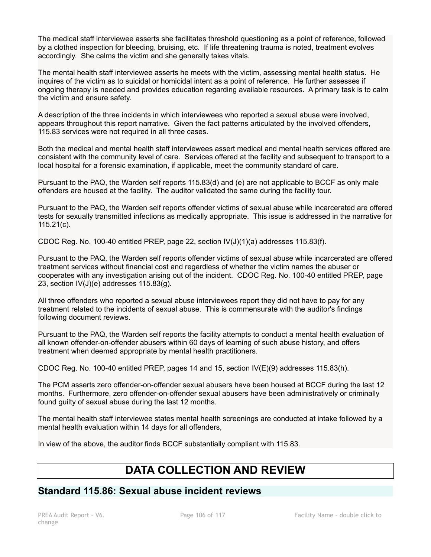The medical staff interviewee asserts she facilitates threshold questioning as a point of reference, followed by a clothed inspection for bleeding, bruising, etc. If life threatening trauma is noted, treatment evolves accordingly. She calms the victim and she generally takes vitals.

The mental health staff interviewee asserts he meets with the victim, assessing mental health status. He inquires of the victim as to suicidal or homicidal intent as a point of reference. He further assesses if ongoing therapy is needed and provides education regarding available resources. A primary task is to calm the victim and ensure safety.

A description of the three incidents in which interviewees who reported a sexual abuse were involved, appears throughout this report narrative. Given the fact patterns articulated by the involved offenders, 115.83 services were not required in all three cases.

Both the medical and mental health staff interviewees assert medical and mental health services offered are consistent with the community level of care. Services offered at the facility and subsequent to transport to a local hospital for a forensic examination, if applicable, meet the community standard of care.

Pursuant to the PAQ, the Warden self reports 115.83(d) and (e) are not applicable to BCCF as only male offenders are housed at the facility. The auditor validated the same during the facility tour.

Pursuant to the PAQ, the Warden self reports offender victims of sexual abuse while incarcerated are offered tests for sexually transmitted infections as medically appropriate. This issue is addressed in the narrative for 115.21(c).

CDOC Reg. No. 100-40 entitled PREP, page 22, section  $\mathsf{IV}(J)(1)(a)$  addresses 115.83(f).

Pursuant to the PAQ, the Warden self reports offender victims of sexual abuse while incarcerated are offered treatment services without financial cost and regardless of whether the victim names the abuser or cooperates with any investigation arising out of the incident. CDOC Reg. No. 100-40 entitled PREP, page 23, section  $IV(J)(e)$  addresses 115.83 $(g)$ .

All three offenders who reported a sexual abuse interviewees report they did not have to pay for any treatment related to the incidents of sexual abuse. This is commensurate with the auditor's findings following document reviews.

Pursuant to the PAQ, the Warden self reports the facility attempts to conduct a mental health evaluation of all known offender-on-offender abusers within 60 days of learning of such abuse history, and offers treatment when deemed appropriate by mental health practitioners.

CDOC Reg. No. 100-40 entitled PREP, pages 14 and 15, section IV(E)(9) addresses 115.83(h).

The PCM asserts zero offender-on-offender sexual abusers have been housed at BCCF during the last 12 months. Furthermore, zero offender-on-offender sexual abusers have been administratively or criminally found guilty of sexual abuse during the last 12 months.

The mental health staff interviewee states mental health screenings are conducted at intake followed by a mental health evaluation within 14 days for all offenders,

In view of the above, the auditor finds BCCF substantially compliant with 115.83.

# **DATA COLLECTION AND REVIEW**

# **Standard 115.86: Sexual abuse incident reviews**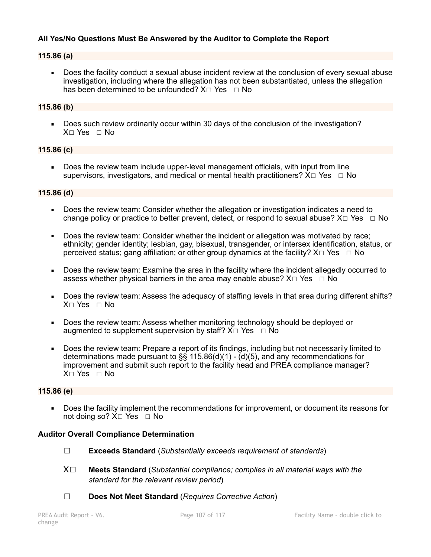# **All Yes/No Questions Must Be Answered by the Auditor to Complete the Report**

## **115.86 (a)**

Does the facility conduct a sexual abuse incident review at the conclusion of every sexual abuse investigation, including where the allegation has not been substantiated, unless the allegation has been determined to be unfounded?  $X \square Y$ es  $\square N$ o

## **115.86 (b)**

Does such review ordinarily occur within 30 days of the conclusion of the investigation? X□ Yes □ No

## **115.86 (c)**

• Does the review team include upper-level management officials, with input from line supervisors, investigators, and medical or mental health practitioners?  $X \Box Y$ es  $\Box$  No

## **115.86 (d)**

- Does the review team: Consider whether the allegation or investigation indicates a need to change policy or practice to better prevent, detect, or respond to sexual abuse?  $X \square Ye$ s  $\square$  No
- Does the review team: Consider whether the incident or allegation was motivated by race; ethnicity; gender identity; lesbian, gay, bisexual, transgender, or intersex identification, status, or perceived status; gang affiliation; or other group dynamics at the facility?  $X \Box Y$ es  $\Box$  No
- Does the review team: Examine the area in the facility where the incident allegedly occurred to assess whether physical barriers in the area may enable abuse?  $X \Box Y$ es  $\Box$  No
- Does the review team: Assess the adequacy of staffing levels in that area during different shifts? X☐ Yes ☐ No
- **Does the review team: Assess whether monitoring technology should be deployed or** augmented to supplement supervision by staff?  $X \Box Y$ es  $\Box$  No
- Does the review team: Prepare a report of its findings, including but not necessarily limited to determinations made pursuant to §§ 115.86(d)(1) -  $\overline{d}$ )(5), and any recommendations for improvement and submit such report to the facility head and PREA compliance manager?  $X \cap Yes \cap No$

#### **115.86 (e)**

Does the facility implement the recommendations for improvement, or document its reasons for not doing so? X□ Yes □ No

## **Auditor Overall Compliance Determination**

- ☐ **Exceeds Standard** (*Substantially exceeds requirement of standards*)
- X☐ **Meets Standard** (*Substantial compliance; complies in all material ways with the standard for the relevant review period*)
- ☐ **Does Not Meet Standard** (*Requires Corrective Action*)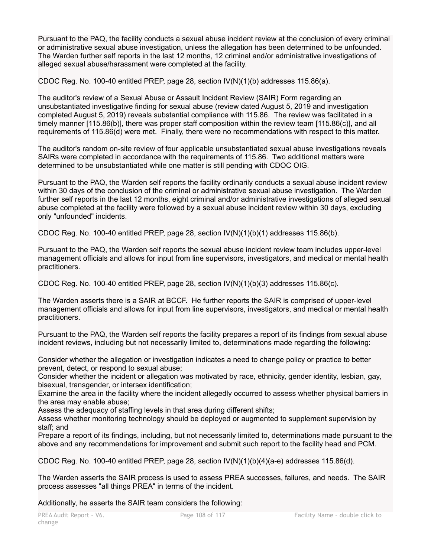Pursuant to the PAQ, the facility conducts a sexual abuse incident review at the conclusion of every criminal or administrative sexual abuse investigation, unless the allegation has been determined to be unfounded. The Warden further self reports in the last 12 months, 12 criminal and/or administrative investigations of alleged sexual abuse/harassment were completed at the facility.

CDOC Reg. No. 100-40 entitled PREP, page 28, section  $\frac{1}{N}$ (1)(b) addresses 115.86(a).

The auditor's review of a Sexual Abuse or Assault Incident Review (SAIR) Form regarding an unsubstantiated investigative finding for sexual abuse (review dated August 5, 2019 and investigation completed August 5, 2019) reveals substantial compliance with 115.86. The review was facilitated in a timely manner [115.86(b)], there was proper staff composition within the review team [115.86(c)], and all requirements of 115.86(d) were met. Finally, there were no recommendations with respect to this matter.

The auditor's random on-site review of four applicable unsubstantiated sexual abuse investigations reveals SAIRs were completed in accordance with the requirements of 115.86. Two additional matters were determined to be unsubstantiated while one matter is still pending with CDOC OIG.

Pursuant to the PAQ, the Warden self reports the facility ordinarily conducts a sexual abuse incident review within 30 days of the conclusion of the criminal or administrative sexual abuse investigation. The Warden further self reports in the last 12 months, eight criminal and/or administrative investigations of alleged sexual abuse completed at the facility were followed by a sexual abuse incident review within 30 days, excluding only "unfounded" incidents.

CDOC Reg. No. 100-40 entitled PREP, page 28, section  $\frac{1}{N(N)}$ (1)(b)(1) addresses 115.86(b).

Pursuant to the PAQ, the Warden self reports the sexual abuse incident review team includes upper-level management officials and allows for input from line supervisors, investigators, and medical or mental health practitioners.

CDOC Reg. No. 100-40 entitled PREP, page 28, section  $\mathsf{IV}(N)(1)(b)(3)$  addresses 115.86(c).

The Warden asserts there is a SAIR at BCCF. He further reports the SAIR is comprised of upper-level management officials and allows for input from line supervisors, investigators, and medical or mental health practitioners.

Pursuant to the PAQ, the Warden self reports the facility prepares a report of its findings from sexual abuse incident reviews, including but not necessarily limited to, determinations made regarding the following:

Consider whether the allegation or investigation indicates a need to change policy or practice to better prevent, detect, or respond to sexual abuse;

Consider whether the incident or allegation was motivated by race, ethnicity, gender identity, lesbian, gay, bisexual, transgender, or intersex identification;

Examine the area in the facility where the incident allegedly occurred to assess whether physical barriers in the area may enable abuse;

Assess the adequacy of staffing levels in that area during different shifts;

Assess whether monitoring technology should be deployed or augmented to supplement supervision by staff; and

Prepare a report of its findings, including, but not necessarily limited to, determinations made pursuant to the above and any recommendations for improvement and submit such report to the facility head and PCM.

CDOC Reg. No. 100-40 entitled PREP, page 28, section  $\frac{1}{N}$ (N)(1)(b)(4)(a-e) addresses 115.86(d).

The Warden asserts the SAIR process is used to assess PREA successes, failures, and needs. The SAIR process assesses "all things PREA" in terms of the incident.

Additionally, he asserts the SAIR team considers the following: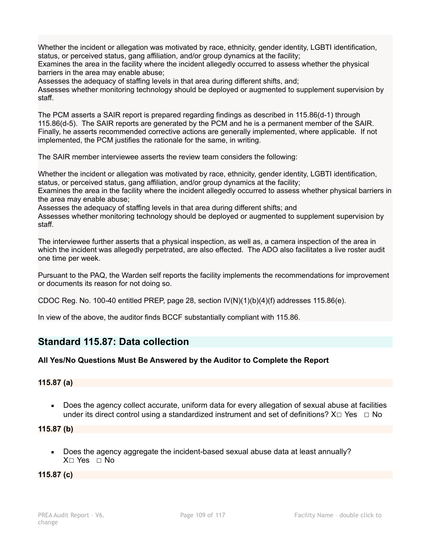Whether the incident or allegation was motivated by race, ethnicity, gender identity, LGBTI identification, status, or perceived status, gang affiliation, and/or group dynamics at the facility;

Examines the area in the facility where the incident allegedly occurred to assess whether the physical barriers in the area may enable abuse;

Assesses the adequacy of staffing levels in that area during different shifts, and;

Assesses whether monitoring technology should be deployed or augmented to supplement supervision by staff.

The PCM asserts a SAIR report is prepared regarding findings as described in 115.86(d-1) through 115.86(d-5). The SAIR reports are generated by the PCM and he is a permanent member of the SAIR. Finally, he asserts recommended corrective actions are generally implemented, where applicable. If not implemented, the PCM justifies the rationale for the same, in writing.

The SAIR member interviewee asserts the review team considers the following:

Whether the incident or allegation was motivated by race, ethnicity, gender identity, LGBTI identification, status, or perceived status, gang affiliation, and/or group dynamics at the facility;

Examines the area in the facility where the incident allegedly occurred to assess whether physical barriers in the area may enable abuse;

Assesses the adequacy of staffing levels in that area during different shifts; and

Assesses whether monitoring technology should be deployed or augmented to supplement supervision by staff.

The interviewee further asserts that a physical inspection, as well as, a camera inspection of the area in which the incident was allegedly perpetrated, are also effected. The ADO also facilitates a live roster audit one time per week.

Pursuant to the PAQ, the Warden self reports the facility implements the recommendations for improvement or documents its reason for not doing so.

CDOC Reg. No. 100-40 entitled PREP, page 28, section  $IVM(1)(b)(4)(f)$  addresses 115.86(e).

In view of the above, the auditor finds BCCF substantially compliant with 115.86.

# **Standard 115.87: Data collection**

#### **All Yes/No Questions Must Be Answered by the Auditor to Complete the Report**

#### **115.87 (a)**

■ Does the agency collect accurate, uniform data for every allegation of sexual abuse at facilities under its direct control using a standardized instrument and set of definitions?  $X \Box Y$ es  $\Box$  No

**115.87 (b)** 

▪ Does the agency aggregate the incident-based sexual abuse data at least annually? X☐ Yes ☐ No

#### **115.87 (c)**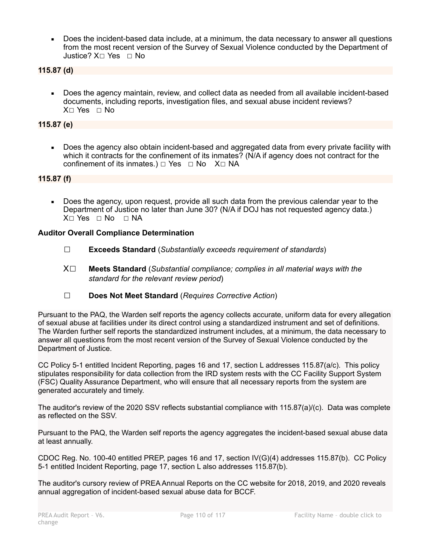Does the incident-based data include, at a minimum, the data necessary to answer all questions from the most recent version of the Survey of Sexual Violence conducted by the Department of Justice? X☐ Yes ☐ No

#### **115.87 (d)**

▪ Does the agency maintain, review, and collect data as needed from all available incident-based documents, including reports, investigation files, and sexual abuse incident reviews? X□ Yes □ No

#### **115.87 (e)**

Does the agency also obtain incident-based and aggregated data from every private facility with which it contracts for the confinement of its inmates? (N/A if agency does not contract for the confinement of its inmates.)  $\Box$  Yes  $\Box$  No X $\Box$  NA

#### **115.87 (f)**

• Does the agency, upon request, provide all such data from the previous calendar year to the Department of Justice no later than June 30? (N/A if DOJ has not requested agency data.) X□ Yes □ No □ NA

#### **Auditor Overall Compliance Determination**

- ☐ **Exceeds Standard** (*Substantially exceeds requirement of standards*)
- X☐ **Meets Standard** (*Substantial compliance; complies in all material ways with the standard for the relevant review period*)
- ☐ **Does Not Meet Standard** (*Requires Corrective Action*)

Pursuant to the PAQ, the Warden self reports the agency collects accurate, uniform data for every allegation of sexual abuse at facilities under its direct control using a standardized instrument and set of definitions. The Warden further self reports the standardized instrument includes, at a minimum, the data necessary to answer all questions from the most recent version of the Survey of Sexual Violence conducted by the Department of Justice.

CC Policy 5-1 entitled Incident Reporting, pages 16 and 17, section L addresses 115.87(a/c). This policy stipulates responsibility for data collection from the IRD system rests with the CC Facility Support System (FSC) Quality Assurance Department, who will ensure that all necessary reports from the system are generated accurately and timely.

The auditor's review of the 2020 SSV reflects substantial compliance with 115.87(a)/(c). Data was complete as reflected on the SSV.

Pursuant to the PAQ, the Warden self reports the agency aggregates the incident-based sexual abuse data at least annually.

CDOC Reg. No. 100-40 entitled PREP, pages 16 and 17, section IV(G)(4) addresses 115.87(b). CC Policy 5-1 entitled Incident Reporting, page 17, section L also addresses 115.87(b).

The auditor's cursory review of PREA Annual Reports on the CC website for 2018, 2019, and 2020 reveals annual aggregation of incident-based sexual abuse data for BCCF.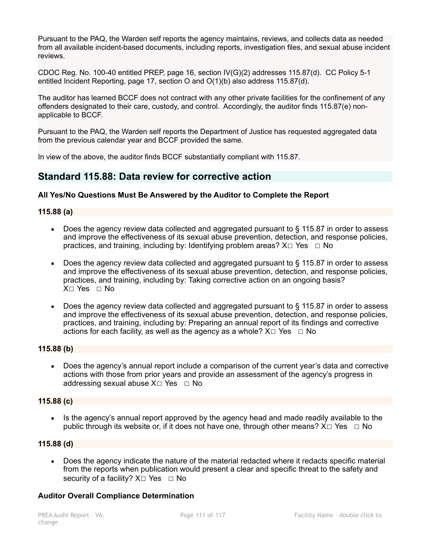Pursuant to the PAQ, the Warden self reports the agency maintains, reviews, and collects data as needed from all available incident-based documents, including reports, investigation files, and sexual abuse incident reviews.

CDOC Reg. No. 100-40 entitled PREP, page 16, section IV(G)(2) addresses 115.87(d). CC Policy 5-1 entitled Incident Reporting, page 17, section O and O(1)(b) also address 115.87(d).

The auditor has learned BCCF does not contract with any other private facilities for the confinement of any offenders designated to their care, custody, and control. Accordingly, the auditor finds 115.87(e) nonapplicable to BCCF.

Pursuant to the PAQ, the Warden self reports the Department of Justice has requested aggregated data from the previous calendar year and BCCF provided the same.

In view of the above, the auditor finds BCCF substantially compliant with 115.87.

### **Standard 115.88: Data review for corrective action**

#### **All Yes/No Questions Must Be Answered by the Auditor to Complete the Report**

#### **115.88 (a)**

- Does the agency review data collected and aggregated pursuant to § 115.87 in order to assess and improve the effectiveness of its sexual abuse prevention, detection, and response policies, practices, and training, including by: Identifying problem areas?  $X \Box Y$ es  $\Box$  No
- Does the agency review data collected and aggregated pursuant to § 115.87 in order to assess and improve the effectiveness of its sexual abuse prevention, detection, and response policies, practices, and training, including by: Taking corrective action on an ongoing basis? X☐ Yes ☐ No
- Does the agency review data collected and aggregated pursuant to  $\S$  115.87 in order to assess and improve the effectiveness of its sexual abuse prevention, detection, and response policies, practices, and training, including by: Preparing an annual report of its findings and corrective actions for each facility, as well as the agency as a whole?  $X \Box Y$ es  $\Box$  No

#### **115.88 (b)**

Does the agency's annual report include a comparison of the current year's data and corrective actions with those from prior years and provide an assessment of the agency's progress in addressing sexual abuse  $X \square Y$ es  $\square N$ o

#### **115.88 (c)**

Is the agency's annual report approved by the agency head and made readily available to the public through its website or, if it does not have one, through other means?  $X \square Y$ es  $\square$  No

#### **115.88 (d)**

• Does the agency indicate the nature of the material redacted where it redacts specific material from the reports when publication would present a clear and specific threat to the safety and security of a facility?  $X \square Y$ es  $\square N$ o

#### **Auditor Overall Compliance Determination**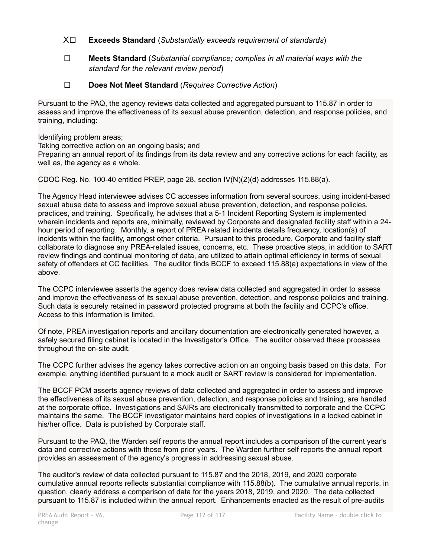- X☐ **Exceeds Standard** (*Substantially exceeds requirement of standards*)
- ☐ **Meets Standard** (*Substantial compliance; complies in all material ways with the standard for the relevant review period*)
- ☐ **Does Not Meet Standard** (*Requires Corrective Action*)

Pursuant to the PAQ, the agency reviews data collected and aggregated pursuant to 115.87 in order to assess and improve the effectiveness of its sexual abuse prevention, detection, and response policies, and training, including:

Identifying problem areas;

Taking corrective action on an ongoing basis; and Preparing an annual report of its findings from its data review and any corrective actions for each facility, as well as, the agency as a whole.

CDOC Reg. No. 100-40 entitled PREP, page 28, section IV(N)(2)(d) addresses 115.88(a).

The Agency Head interviewee advises CC accesses information from several sources, using incident-based sexual abuse data to assess and improve sexual abuse prevention, detection, and response policies, practices, and training. Specifically, he advises that a 5-1 Incident Reporting System is implemented wherein incidents and reports are, minimally, reviewed by Corporate and designated facility staff within a 24 hour period of reporting. Monthly, a report of PREA related incidents details frequency, location(s) of incidents within the facility, amongst other criteria. Pursuant to this procedure, Corporate and facility staff collaborate to diagnose any PREA-related issues, concerns, etc. These proactive steps, in addition to SART review findings and continual monitoring of data, are utilized to attain optimal efficiency in terms of sexual safety of offenders at CC facilities. The auditor finds BCCF to exceed 115.88(a) expectations in view of the above.

The CCPC interviewee asserts the agency does review data collected and aggregated in order to assess and improve the effectiveness of its sexual abuse prevention, detection, and response policies and training. Such data is securely retained in password protected programs at both the facility and CCPC's office. Access to this information is limited.

Of note, PREA investigation reports and ancillary documentation are electronically generated however, a safely secured filing cabinet is located in the Investigator's Office. The auditor observed these processes throughout the on-site audit.

The CCPC further advises the agency takes corrective action on an ongoing basis based on this data. For example, anything identified pursuant to a mock audit or SART review is considered for implementation.

The BCCF PCM asserts agency reviews of data collected and aggregated in order to assess and improve the effectiveness of its sexual abuse prevention, detection, and response policies and training, are handled at the corporate office. Investigations and SAIRs are electronically transmitted to corporate and the CCPC maintains the same. The BCCF investigator maintains hard copies of investigations in a locked cabinet in his/her office. Data is published by Corporate staff.

Pursuant to the PAQ, the Warden self reports the annual report includes a comparison of the current year's data and corrective actions with those from prior years. The Warden further self reports the annual report provides an assessment of the agency's progress in addressing sexual abuse.

The auditor's review of data collected pursuant to 115.87 and the 2018, 2019, and 2020 corporate cumulative annual reports reflects substantial compliance with 115.88(b). The cumulative annual reports, in question, clearly address a comparison of data for the years 2018, 2019, and 2020. The data collected pursuant to 115.87 is included within the annual report. Enhancements enacted as the result of pre-audits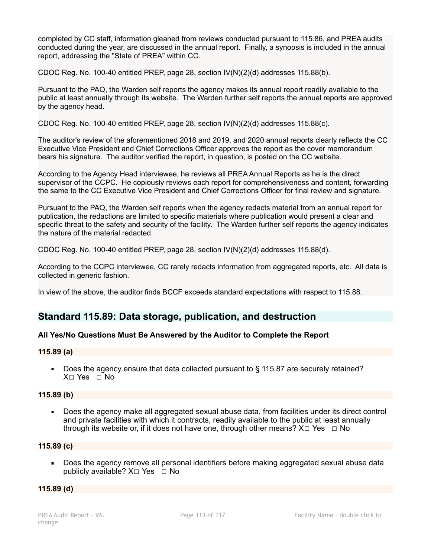completed by CC staff, information gleaned from reviews conducted pursuant to 115.86, and PREA audits conducted during the year, are discussed in the annual report. Finally, a synopsis is included in the annual report, addressing the "State of PREA" within CC.

CDOC Reg. No. 100-40 entitled PREP, page 28, section IV(N)(2)(d) addresses 115.88(b).

Pursuant to the PAQ, the Warden self reports the agency makes its annual report readily available to the public at least annually through its website. The Warden further self reports the annual reports are approved by the agency head.

CDOC Reg. No. 100-40 entitled PREP, page 28, section IV(N)(2)(d) addresses 115.88(c).

The auditor's review of the aforementioned 2018 and 2019, and 2020 annual reports clearly reflects the CC Executive Vice President and Chief Corrections Officer approves the report as the cover memorandum bears his signature. The auditor verified the report, in question, is posted on the CC website.

According to the Agency Head interviewee, he reviews all PREA Annual Reports as he is the direct supervisor of the CCPC. He copiously reviews each report for comprehensiveness and content, forwarding the same to the CC Executive Vice President and Chief Corrections Officer for final review and signature.

Pursuant to the PAQ, the Warden self reports when the agency redacts material from an annual report for publication, the redactions are limited to specific materials where publication would present a clear and specific threat to the safety and security of the facility. The Warden further self reports the agency indicates the nature of the material redacted.

CDOC Reg. No. 100-40 entitled PREP, page 28, section  $\frac{1}{N}$ (2)(d) addresses 115.88(d).

According to the CCPC interviewee, CC rarely redacts information from aggregated reports, etc. All data is collected in generic fashion.

In view of the above, the auditor finds BCCF exceeds standard expectations with respect to 115.88.

# **Standard 115.89: Data storage, publication, and destruction**

#### **All Yes/No Questions Must Be Answered by the Auditor to Complete the Report**

#### **115.89 (a)**

Does the agency ensure that data collected pursuant to § 115.87 are securely retained? X☐ Yes ☐ No

#### **115.89 (b)**

■ Does the agency make all aggregated sexual abuse data, from facilities under its direct control and private facilities with which it contracts, readily available to the public at least annually through its website or, if it does not have one, through other means?  $X \Box Y$ es  $\Box$  No

#### **115.89 (c)**

■ Does the agency remove all personal identifiers before making aggregated sexual abuse data publicly available?  $X \square$  Yes  $\square$  No

#### **115.89 (d)**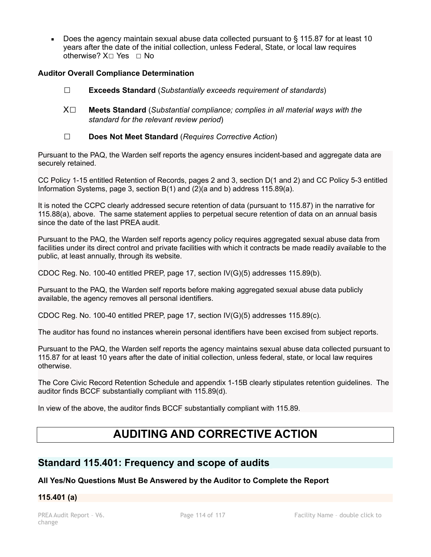**• Does the agency maintain sexual abuse data collected pursuant to**  $\S$  **115.87 for at least 10** years after the date of the initial collection, unless Federal, State, or local law requires otherwise? X□ Yes □ No

#### **Auditor Overall Compliance Determination**

- ☐ **Exceeds Standard** (*Substantially exceeds requirement of standards*)
- X☐ **Meets Standard** (*Substantial compliance; complies in all material ways with the standard for the relevant review period*)
- ☐ **Does Not Meet Standard** (*Requires Corrective Action*)

Pursuant to the PAQ, the Warden self reports the agency ensures incident-based and aggregate data are securely retained.

CC Policy 1-15 entitled Retention of Records, pages 2 and 3, section D(1 and 2) and CC Policy 5-3 entitled Information Systems, page 3, section B(1) and (2)(a and b) address 115.89(a).

It is noted the CCPC clearly addressed secure retention of data (pursuant to 115.87) in the narrative for 115.88(a), above. The same statement applies to perpetual secure retention of data on an annual basis since the date of the last PREA audit.

Pursuant to the PAQ, the Warden self reports agency policy requires aggregated sexual abuse data from facilities under its direct control and private facilities with which it contracts be made readily available to the public, at least annually, through its website.

CDOC Reg. No. 100-40 entitled PREP, page 17, section IV(G)(5) addresses 115.89(b).

Pursuant to the PAQ, the Warden self reports before making aggregated sexual abuse data publicly available, the agency removes all personal identifiers.

CDOC Reg. No. 100-40 entitled PREP, page 17, section IV(G)(5) addresses 115.89(c).

The auditor has found no instances wherein personal identifiers have been excised from subject reports.

Pursuant to the PAQ, the Warden self reports the agency maintains sexual abuse data collected pursuant to 115.87 for at least 10 years after the date of initial collection, unless federal, state, or local law requires otherwise.

The Core Civic Record Retention Schedule and appendix 1-15B clearly stipulates retention guidelines. The auditor finds BCCF substantially compliant with 115.89(d).

In view of the above, the auditor finds BCCF substantially compliant with 115.89.

# **AUDITING AND CORRECTIVE ACTION**

## **Standard 115.401: Frequency and scope of audits**

#### **All Yes/No Questions Must Be Answered by the Auditor to Complete the Report**

#### **115.401 (a)**

change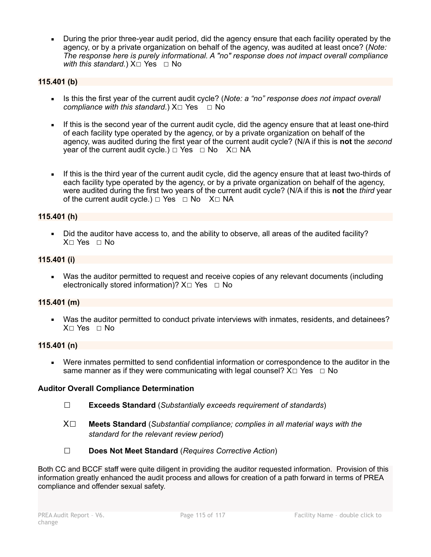During the prior three-year audit period, did the agency ensure that each facility operated by the agency, or by a private organization on behalf of the agency, was audited at least once? (*Note: The response here is purely informational. A "no" response does not impact overall compliance with this standard.*)  $X□$  Yes  $□$  No

#### **115.401 (b)**

- **EXECT:** Is this the first year of the current audit cycle? (*Note: a "no" response does not impact overall compliance with this standard.*)  $X□$  Yes  $□$  No
- **.** If this is the second year of the current audit cycle, did the agency ensure that at least one-third of each facility type operated by the agency, or by a private organization on behalf of the agency, was audited during the first year of the current audit cycle? (N/A if this is **not** the *second* year of the current audit cycle.)  $\Box$  Yes  $\Box$  No X $\Box$  NA
- **.** If this is the third year of the current audit cycle, did the agency ensure that at least two-thirds of each facility type operated by the agency, or by a private organization on behalf of the agency, were audited during the first two years of the current audit cycle? (N/A if this is **not** the *third* year of the current audit cycle.)  $\Box$  Yes  $\Box$  No X $\Box$  NA

#### **115.401 (h)**

▪ Did the auditor have access to, and the ability to observe, all areas of the audited facility? X□ Yes □ No

#### **115.401 (i)**

▪ Was the auditor permitted to request and receive copies of any relevant documents (including electronically stored information)?  $X \Box Y$ es  $\Box$  No

#### **115.401 (m)**

■ Was the auditor permitted to conduct private interviews with inmates, residents, and detainees? X☐ Yes ☐ No

#### **115.401 (n)**

Were inmates permitted to send confidential information or correspondence to the auditor in the same manner as if they were communicating with legal counsel?  $X \Box Y$ es  $\Box$  No

#### **Auditor Overall Compliance Determination**

- ☐ **Exceeds Standard** (*Substantially exceeds requirement of standards*)
- X☐ **Meets Standard** (*Substantial compliance; complies in all material ways with the standard for the relevant review period*)
- ☐ **Does Not Meet Standard** (*Requires Corrective Action*)

Both CC and BCCF staff were quite diligent in providing the auditor requested information. Provision of this information greatly enhanced the audit process and allows for creation of a path forward in terms of PREA compliance and offender sexual safety.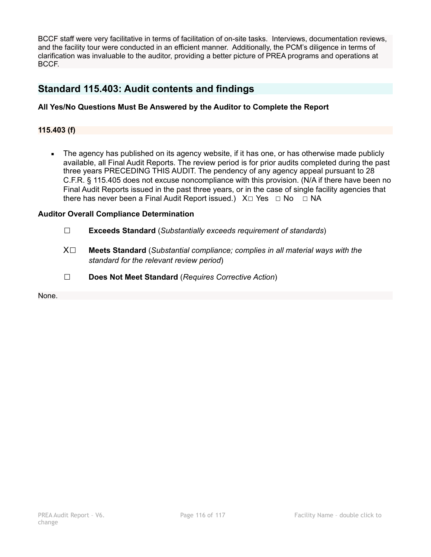BCCF staff were very facilitative in terms of facilitation of on-site tasks. Interviews, documentation reviews, and the facility tour were conducted in an efficient manner. Additionally, the PCM's diligence in terms of clarification was invaluable to the auditor, providing a better picture of PREA programs and operations at BCCF.

## **Standard 115.403: Audit contents and findings**

#### **All Yes/No Questions Must Be Answered by the Auditor to Complete the Report**

#### **115.403 (f)**

The agency has published on its agency website, if it has one, or has otherwise made publicly available, all Final Audit Reports. The review period is for prior audits completed during the past three years PRECEDING THIS AUDIT. The pendency of any agency appeal pursuant to 28 C.F.R. § 115.405 does not excuse noncompliance with this provision. (N/A if there have been no Final Audit Reports issued in the past three years, or in the case of single facility agencies that there has never been a Final Audit Report issued.) X□ Yes □ No □ NA

#### **Auditor Overall Compliance Determination**

- ☐ **Exceeds Standard** (*Substantially exceeds requirement of standards*)
- X☐ **Meets Standard** (*Substantial compliance; complies in all material ways with the standard for the relevant review period*)
- ☐ **Does Not Meet Standard** (*Requires Corrective Action*)

None.